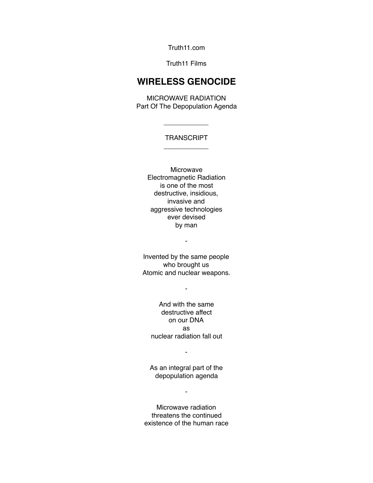Truth11.com

#### Truth11 Films

# **WIRELESS GENOCIDE**

MICROWAVE RADIATION Part Of The Depopulation Agenda

## **TRANSCRIPT** \_\_\_\_\_\_\_\_\_\_\_\_

\_\_\_\_\_\_\_\_\_\_\_\_

Microwave Electromagnetic Radiation is one of the most destructive, insidious, invasive and aggressive technologies ever devised by man

Invented by the same people who brought us Atomic and nuclear weapons.

-

-

And with the same destructive affect on our DNA as nuclear radiation fall out

-

As an integral part of the depopulation agenda

-

Microwave radiation threatens the continued existence of the human race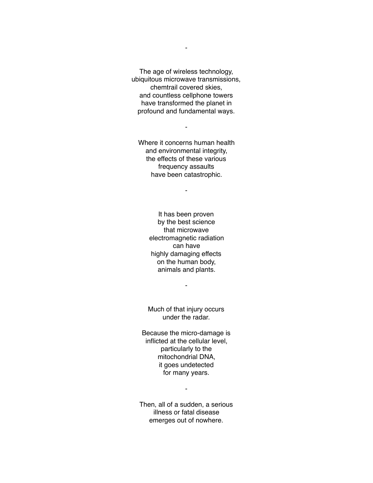The age of wireless technology, ubiquitous microwave transmissions, chemtrail covered skies, and countless cellphone towers have transformed the planet in profound and fundamental ways.

Where it concerns human health and environmental integrity, the effects of these various frequency assaults have been catastrophic.

-

-

It has been proven by the best science that microwave electromagnetic radiation can have highly damaging effects on the human body, animals and plants.

Much of that injury occurs under the radar.

-

Because the micro-damage is inflicted at the cellular level, particularly to the mitochondrial DNA, it goes undetected for many years.

-

Then, all of a sudden, a serious illness or fatal disease emerges out of nowhere.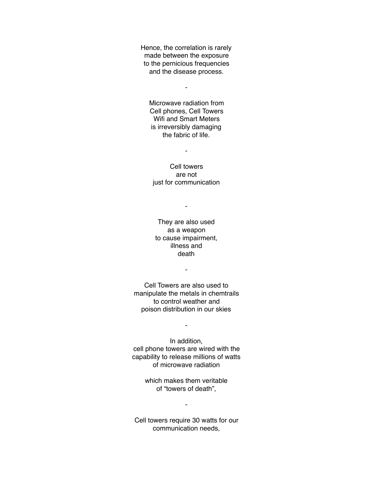Hence, the correlation is rarely made between the exposure to the pernicious frequencies and the disease process.

-

Microwave radiation from Cell phones, Cell Towers Wifi and Smart Meters is irreversibly damaging the fabric of life.

-

Cell towers are not just for communication

-

They are also used as a weapon to cause impairment, illness and death

-

Cell Towers are also used to manipulate the metals in chemtrails to control weather and poison distribution in our skies

-

In addition, cell phone towers are wired with the capability to release millions of watts of microwave radiation

> which makes them veritable of "towers of death",

> > -

Cell towers require 30 watts for our communication needs,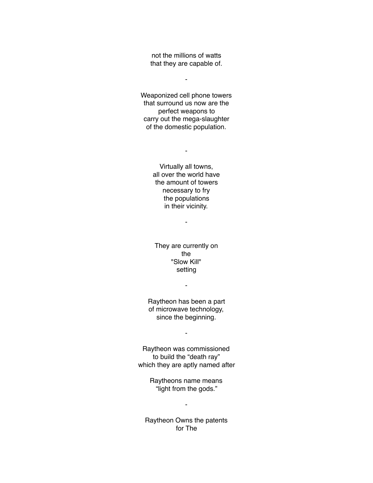not the millions of watts that they are capable of.

-

Weaponized cell phone towers that surround us now are the perfect weapons to carry out the mega-slaughter of the domestic population.

> Virtually all towns, all over the world have the amount of towers

-

necessary to fry the populations in their vicinity.

-

They are currently on the "Slow Kill" setting

-

Raytheon has been a part of microwave technology, since the beginning.

-

Raytheon was commissioned to build the "death ray" which they are aptly named after

> Raytheons name means "light from the gods."

> > -

Raytheon Owns the patents for The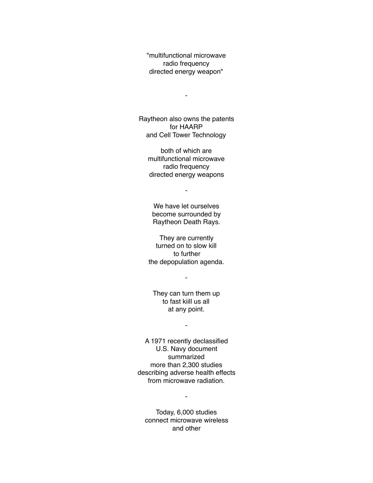"multifunctional microwave radio frequency directed energy weapon"

-

Raytheon also owns the patents for HAARP and Cell Tower Technology

both of which are multifunctional microwave radio frequency directed energy weapons

-

We have let ourselves become surrounded by Raytheon Death Rays.

They are currently turned on to slow kill to further the depopulation agenda.

-

They can turn them up to fast kiill us all at any point.

-

A 1971 recently declassified U.S. Navy document summarized more than 2,300 studies describing adverse health effects from microwave radiation.

 $\blacksquare$ 

Today, 6,000 studies connect microwave wireless and other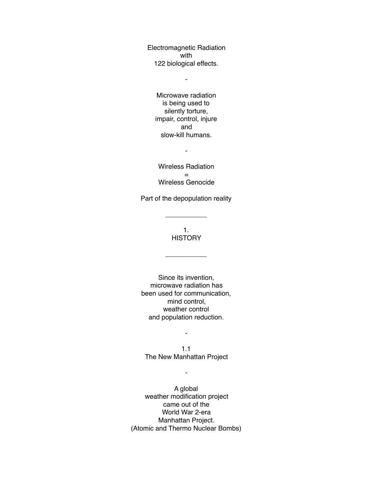Electromagnetic Radiation with 122 biological effects.

-

Microwave radiation is being used to silently torture, impair, control, injure and slow-kill humans.

-

Wireless Radiation = Wireless Genocide

Part of the depopulation reality

\_\_\_\_\_\_\_\_\_\_\_

1. **HISTORY** 

\_\_\_\_\_\_\_\_\_\_\_

Since its invention, microwave radiation has been used for communication, mind control, weather control and population reduction.

1.1 The New Manhattan Project

-

-

A global weather modification project came out of the World War 2-era Manhattan Project. (Atomic and Thermo Nuclear Bombs)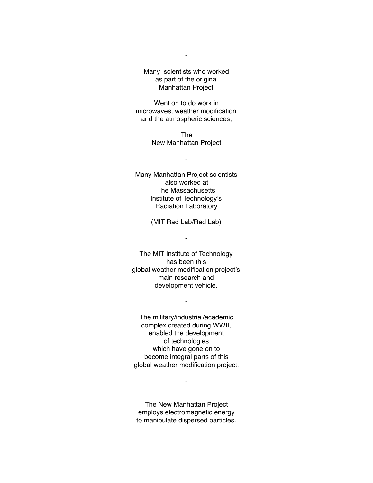Many scientists who worked as part of the original Manhattan Project

Went on to do work in microwaves, weather modification and the atmospheric sciences;

> The New Manhattan Project

> > -

Many Manhattan Project scientists also worked at The Massachusetts Institute of Technology's Radiation Laboratory

(MIT Rad Lab/Rad Lab)

-

The MIT Institute of Technology has been this global weather modification project's main research and development vehicle.

-

The military/industrial/academic complex created during WWII, enabled the development of technologies which have gone on to become integral parts of this global weather modification project.

The New Manhattan Project employs electromagnetic energy to manipulate dispersed particles.

-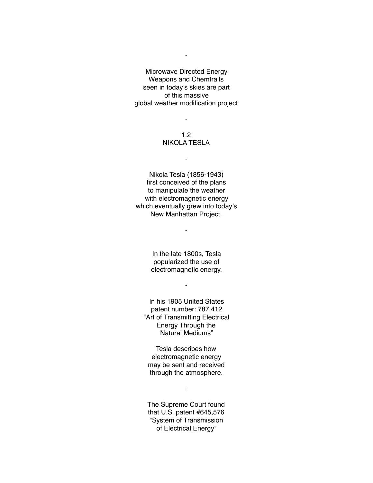Microwave Directed Energy Weapons and Chemtrails seen in today's skies are part of this massive global weather modification project

-

-

#### 1.2 NIKOLA TESLA

-

Nikola Tesla (1856-1943) first conceived of the plans to manipulate the weather with electromagnetic energy which eventually grew into today's New Manhattan Project.

-

In the late 1800s, Tesla popularized the use of electromagnetic energy.

-

In his 1905 United States patent number: 787,412 "Art of Transmitting Electrical Energy Through the Natural Mediums"

Tesla describes how electromagnetic energy may be sent and received through the atmosphere.

-

The Supreme Court found that U.S. patent #645,576 "System of Transmission of Electrical Energy"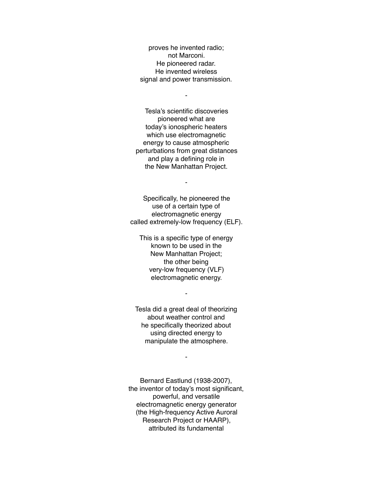proves he invented radio; not Marconi. He pioneered radar. He invented wireless signal and power transmission.

-

Tesla's scientific discoveries pioneered what are today's ionospheric heaters which use electromagnetic energy to cause atmospheric perturbations from great distances and play a defining role in the New Manhattan Project.

Specifically, he pioneered the use of a certain type of electromagnetic energy called extremely-low frequency (ELF).

-

This is a specific type of energy known to be used in the New Manhattan Project; the other being very-low frequency (VLF) electromagnetic energy.

Tesla did a great deal of theorizing about weather control and he specifically theorized about using directed energy to manipulate the atmosphere.

-

-

Bernard Eastlund (1938-2007), the inventor of today's most significant, powerful, and versatile electromagnetic energy generator (the High-frequency Active Auroral Research Project or HAARP), attributed its fundamental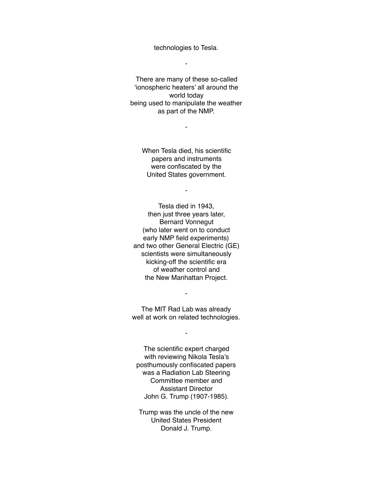technologies to Tesla.

-

There are many of these so-called 'ionospheric heaters' all around the world today being used to manipulate the weather as part of the NMP.

-

When Tesla died, his scientific papers and instruments were confiscated by the United States government.

-

Tesla died in 1943, then just three years later, Bernard Vonnegut (who later went on to conduct early NMP field experiments) and two other General Electric (GE) scientists were simultaneously kicking-off the scientific era of weather control and the New Manhattan Project.

The MIT Rad Lab was already well at work on related technologies.

-

-

The scientific expert charged with reviewing Nikola Tesla's posthumously confiscated papers was a Radiation Lab Steering Committee member and Assistant Director John G. Trump (1907-1985).

Trump was the uncle of the new United States President Donald J. Trump.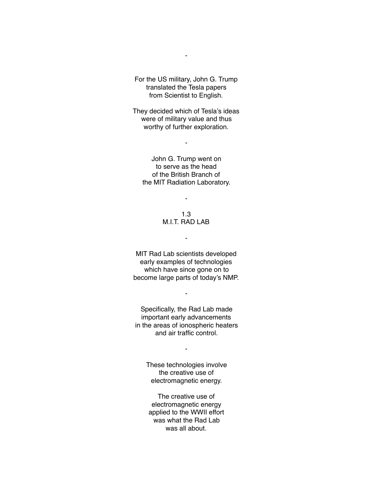For the US military, John G. Trump translated the Tesla papers from Scientist to English.

-

They decided which of Tesla's ideas were of military value and thus worthy of further exploration.

-

John G. Trump went on to serve as the head of the British Branch of the MIT Radiation Laboratory.

-

#### 1.3 M.I.T. RAD LAB

-

MIT Rad Lab scientists developed early examples of technologies which have since gone on to become large parts of today's NMP.

-

Specifically, the Rad Lab made important early advancements in the areas of ionospheric heaters and air traffic control.

-

These technologies involve the creative use of electromagnetic energy.

The creative use of electromagnetic energy applied to the WWII effort was what the Rad Lab was all about.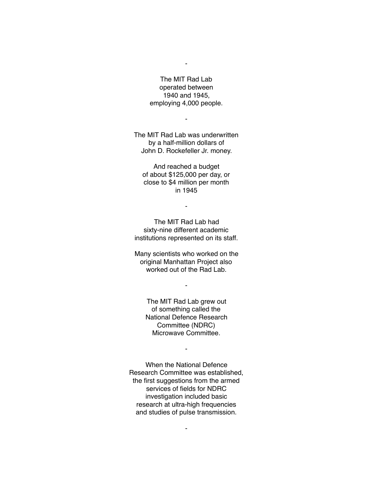The MIT Rad Lab operated between 1940 and 1945, employing 4,000 people.

-

The MIT Rad Lab was underwritten by a half-million dollars of John D. Rockefeller Jr. money.

-

And reached a budget of about \$125,000 per day, or close to \$4 million per month in 1945

The MIT Rad Lab had sixty-nine different academic institutions represented on its staff.

-

Many scientists who worked on the original Manhattan Project also worked out of the Rad Lab.

-

The MIT Rad Lab grew out of something called the National Defence Research Committee (NDRC) Microwave Committee.

-

When the National Defence Research Committee was established, the first suggestions from the armed services of fields for NDRC investigation included basic research at ultra-high frequencies and studies of pulse transmission.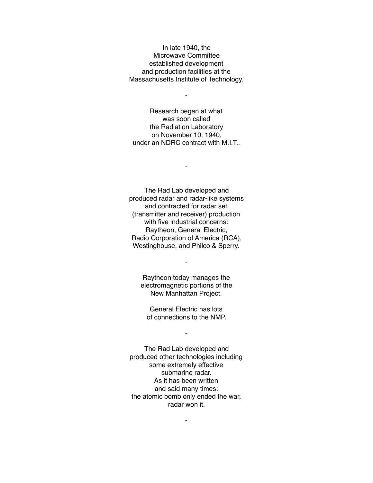In late 1940, the Microwave Committee established development and production facilities at the Massachusetts Institute of Technology.

-

Research began at what was soon called the Radiation Laboratory on November 10, 1940, under an NDRC contract with M.I.T..

-

The Rad Lab developed and produced radar and radar-like systems and contracted for radar set (transmitter and receiver) production with five industrial concerns: Raytheon, General Electric, Radio Corporation of America (RCA), Westinghouse, and Philco & Sperry.

Raytheon today manages the electromagnetic portions of the New Manhattan Project.

-

General Electric has lots of connections to the NMP.

-

The Rad Lab developed and produced other technologies including some extremely effective submarine radar. As it has been written and said many times: the atomic bomb only ended the war, radar won it.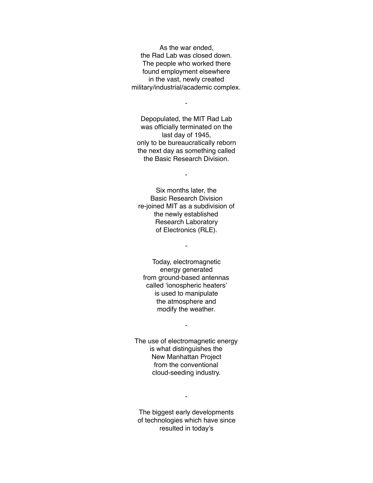As the war ended, the Rad Lab was closed down. The people who worked there found employment elsewhere in the vast, newly created military/industrial/academic complex.

Depopulated, the MIT Rad Lab was officially terminated on the last day of 1945, only to be bureaucratically reborn the next day as something called the Basic Research Division.

-

-

Six months later, the Basic Research Division re-joined MIT as a subdivision of the newly established Research Laboratory of Electronics (RLE).

-

Today, electromagnetic energy generated from ground-based antennas called 'ionospheric heaters' is used to manipulate the atmosphere and modify the weather.

-

The use of electromagnetic energy is what distinguishes the New Manhattan Project from the conventional cloud-seeding industry.

-

The biggest early developments of technologies which have since resulted in today's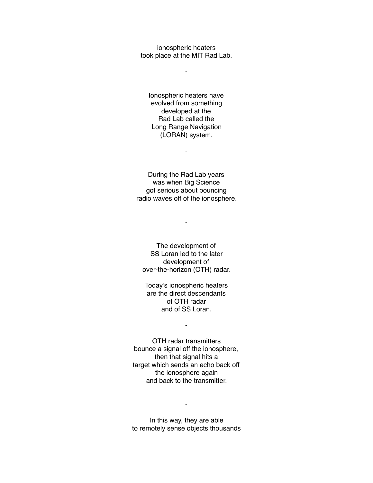ionospheric heaters took place at the MIT Rad Lab.

-

Ionospheric heaters have evolved from something developed at the Rad Lab called the Long Range Navigation (LORAN) system.

-

During the Rad Lab years was when Big Science got serious about bouncing radio waves off of the ionosphere.

-

The development of SS Loran led to the later development of over-the-horizon (OTH) radar.

Today's ionospheric heaters are the direct descendants of OTH radar and of SS Loran.

-

OTH radar transmitters bounce a signal off the ionosphere, then that signal hits a target which sends an echo back off the ionosphere again and back to the transmitter.

In this way, they are able to remotely sense objects thousands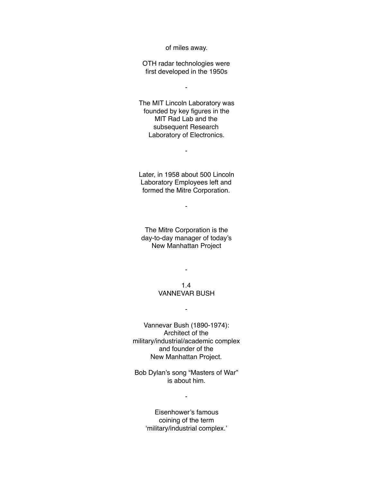of miles away.

OTH radar technologies were first developed in the 1950s

 $\blacksquare$ 

The MIT Lincoln Laboratory was founded by key figures in the MIT Rad Lab and the subsequent Research Laboratory of Electronics.

-

Later, in 1958 about 500 Lincoln Laboratory Employees left and formed the Mitre Corporation.

-

The Mitre Corporation is the day-to-day manager of today's New Manhattan Project

1.4

-

# VANNEVAR BUSH

-

Vannevar Bush (1890-1974): Architect of the military/industrial/academic complex and founder of the New Manhattan Project.

Bob Dylan's song "Masters of War" is about him.

-

Eisenhower's famous coining of the term 'military/industrial complex.'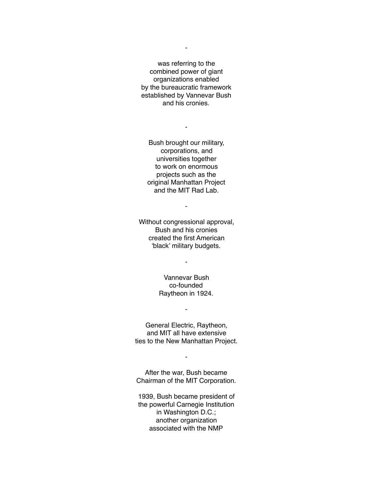was referring to the combined power of giant organizations enabled by the bureaucratic framework established by Vannevar Bush and his cronies.

-

Bush brought our military, corporations, and universities together to work on enormous projects such as the original Manhattan Project and the MIT Rad Lab.

-

Without congressional approval, Bush and his cronies created the first American 'black' military budgets.

> Vannevar Bush co-founded Raytheon in 1924.

-

General Electric, Raytheon, and MIT all have extensive ties to the New Manhattan Project.

-

After the war, Bush became Chairman of the MIT Corporation.

-

1939, Bush became president of the powerful Carnegie Institution in Washington D.C.; another organization associated with the NMP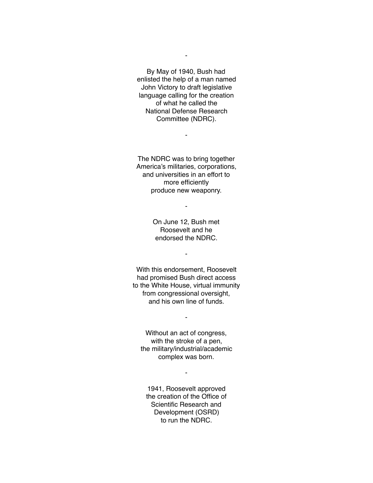By May of 1940, Bush had enlisted the help of a man named John Victory to draft legislative language calling for the creation of what he called the National Defense Research Committee (NDRC).

-

The NDRC was to bring together America's militaries, corporations, and universities in an effort to more efficiently produce new weaponry.

-

-

On June 12, Bush met Roosevelt and he endorsed the NDRC.

-

With this endorsement, Roosevelt had promised Bush direct access to the White House, virtual immunity from congressional oversight, and his own line of funds.

Without an act of congress, with the stroke of a pen, the military/industrial/academic complex was born.

-

-

1941, Roosevelt approved the creation of the Office of Scientific Research and Development (OSRD) to run the NDRC.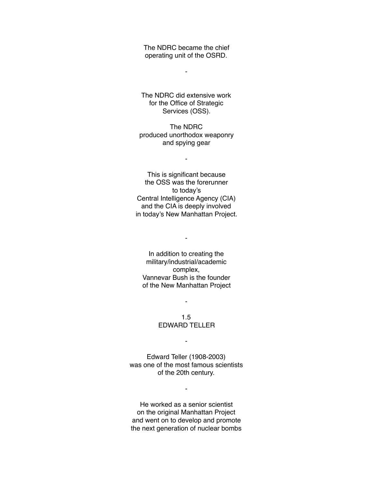The NDRC became the chief operating unit of the OSRD.

-

The NDRC did extensive work for the Office of Strategic Services (OSS).

The NDRC produced unorthodox weaponry and spying gear

-

This is significant because the OSS was the forerunner to today's Central Intelligence Agency (CIA) and the CIA is deeply involved in today's New Manhattan Project.

In addition to creating the military/industrial/academic complex, Vannevar Bush is the founder of the New Manhattan Project

-

1.5 EDWARD TELLER

-

-

Edward Teller (1908-2003) was one of the most famous scientists of the 20th century.

-

He worked as a senior scientist on the original Manhattan Project and went on to develop and promote the next generation of nuclear bombs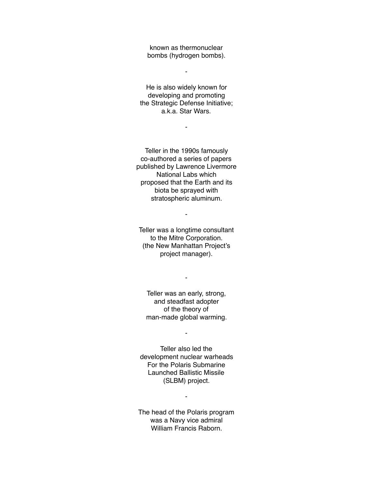known as thermonuclear bombs (hydrogen bombs).

-

He is also widely known for developing and promoting the Strategic Defense Initiative; a.k.a. Star Wars.

-

Teller in the 1990s famously co-authored a series of papers published by Lawrence Livermore National Labs which proposed that the Earth and its biota be sprayed with stratospheric aluminum.

-

Teller was a longtime consultant to the Mitre Corporation. (the New Manhattan Project's project manager).

Teller was an early, strong, and steadfast adopter of the theory of man-made global warming.

-

-

Teller also led the development nuclear warheads For the Polaris Submarine Launched Ballistic Missile (SLBM) project.

The head of the Polaris program was a Navy vice admiral William Francis Raborn.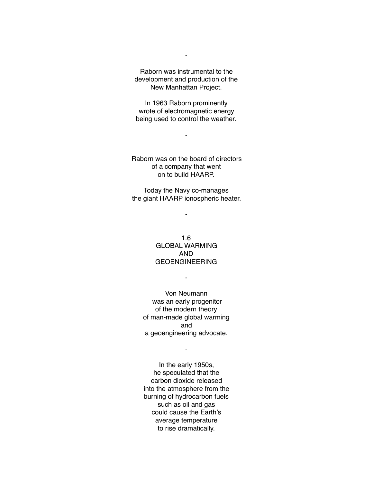Raborn was instrumental to the development and production of the New Manhattan Project.

In 1963 Raborn prominently wrote of electromagnetic energy being used to control the weather.

-

Raborn was on the board of directors of a company that went on to build HAARP.

Today the Navy co-manages the giant HAARP ionospheric heater.

-

1.6 GLOBAL WARMING AND GEOENGINEERING

-

Von Neumann was an early progenitor of the modern theory of man-made global warming and a geoengineering advocate.

-

In the early 1950s, he speculated that the carbon dioxide released into the atmosphere from the burning of hydrocarbon fuels such as oil and gas could cause the Earth's average temperature to rise dramatically.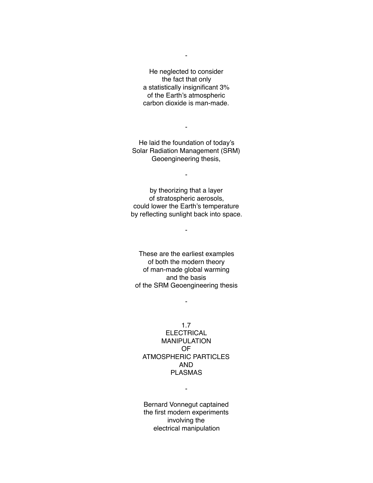He neglected to consider the fact that only a statistically insignificant 3% of the Earth's atmospheric carbon dioxide is man-made.

He laid the foundation of today's Solar Radiation Management (SRM) Geoengineering thesis,

-

-

by theorizing that a layer of stratospheric aerosols, could lower the Earth's temperature by reflecting sunlight back into space.

-

These are the earliest examples of both the modern theory of man-made global warming and the basis of the SRM Geoengineering thesis

-

1.7 **ELECTRICAL** MANIPULATION OF ATMOSPHERIC PARTICLES AND PLASMAS

-

Bernard Vonnegut captained the first modern experiments involving the electrical manipulation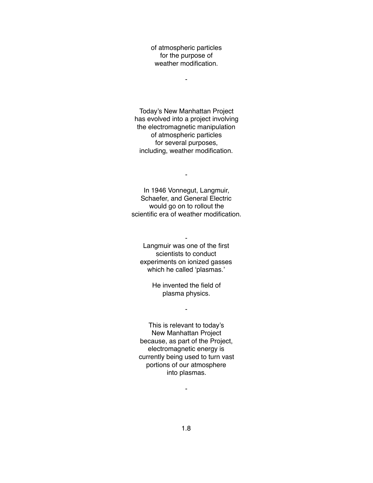of atmospheric particles for the purpose of weather modification.

-

Today's New Manhattan Project has evolved into a project involving the electromagnetic manipulation of atmospheric particles for several purposes, including, weather modification.

In 1946 Vonnegut, Langmuir, Schaefer, and General Electric would go on to rollout the scientific era of weather modification.

-

Langmuir was one of the first scientists to conduct experiments on ionized gasses which he called 'plasmas.'

-

He invented the field of plasma physics.

-

This is relevant to today's New Manhattan Project because, as part of the Project, electromagnetic energy is currently being used to turn vast portions of our atmosphere into plasmas.

1.8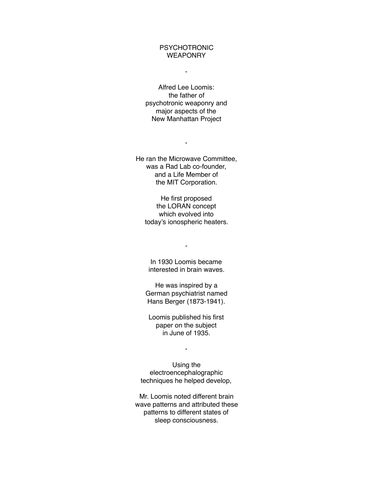### PSYCHOTRONIC **WEAPONRY**

-

Alfred Lee Loomis: the father of psychotronic weaponry and major aspects of the New Manhattan Project

He ran the Microwave Committee, was a Rad Lab co-founder, and a Life Member of the MIT Corporation.

-

He first proposed the LORAN concept which evolved into today's ionospheric heaters.

-

In 1930 Loomis became interested in brain waves.

He was inspired by a German psychiatrist named Hans Berger (1873-1941).

Loomis published his first paper on the subject in June of 1935.

-

Using the electroencephalographic techniques he helped develop,

Mr. Loomis noted different brain wave patterns and attributed these patterns to different states of sleep consciousness.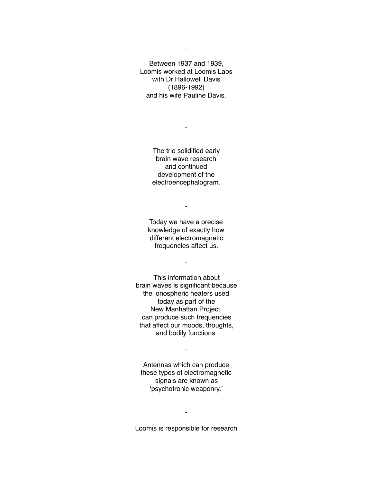Between 1937 and 1939, Loomis worked at Loomis Labs with Dr Hallowell Davis (1896-1992) and his wife Pauline Davis.

> The trio solidified early brain wave research and continued development of the electroencephalogram.

-

Today we have a precise knowledge of exactly how different electromagnetic frequencies affect us.

-

-

This information about brain waves is significant because the ionospheric heaters used today as part of the New Manhattan Project, can produce such frequencies that affect our moods, thoughts, and bodily functions.

Antennas which can produce these types of electromagnetic signals are known as 'psychotronic weaponry.'

-

Loomis is responsible for research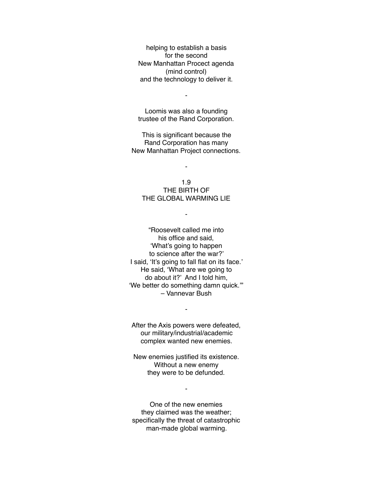helping to establish a basis for the second New Manhattan Procect agenda (mind control) and the technology to deliver it.

-

Loomis was also a founding trustee of the Rand Corporation.

This is significant because the Rand Corporation has many New Manhattan Project connections.

-

1.9 THE BIRTH OF THE GLOBAL WARMING LIE

-

"Roosevelt called me into his office and said, 'What's going to happen to science after the war?' I said, 'It's going to fall flat on its face.' He said, 'What are we going to do about it?' And I told him, 'We better do something damn quick.'" – Vannevar Bush

After the Axis powers were defeated, our military/industrial/academic complex wanted new enemies.

-

New enemies justified its existence. Without a new enemy they were to be defunded.

-

One of the new enemies they claimed was the weather; specifically the threat of catastrophic man-made global warming.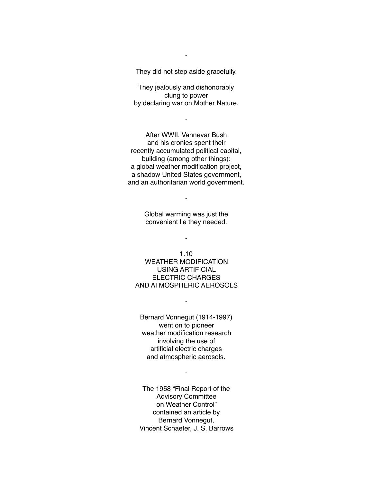They did not step aside gracefully.

-

They jealously and dishonorably clung to power by declaring war on Mother Nature.

-

After WWII, Vannevar Bush and his cronies spent their recently accumulated political capital, building (among other things): a global weather modification project, a shadow United States government, and an authoritarian world government.

> Global warming was just the convenient lie they needed.

> > -

-

1.10 WEATHER MODIFICATION USING ARTIFICIAL ELECTRIC CHARGES AND ATMOSPHERIC AEROSOLS

-

Bernard Vonnegut (1914-1997) went on to pioneer weather modification research involving the use of artificial electric charges and atmospheric aerosols.

-

The 1958 "Final Report of the Advisory Committee on Weather Control" contained an article by Bernard Vonnegut, Vincent Schaefer, J. S. Barrows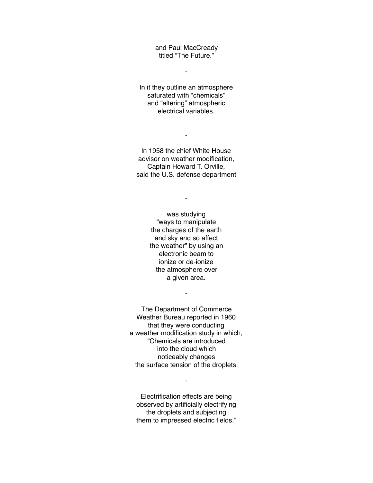and Paul MacCready titled "The Future."

-

In it they outline an atmosphere saturated with "chemicals" and "altering" atmospheric electrical variables.

In 1958 the chief White House advisor on weather modification, Captain Howard T. Orville, said the U.S. defense department

-

-

was studying "ways to manipulate the charges of the earth and sky and so affect the weather" by using an electronic beam to ionize or de-ionize the atmosphere over a given area.

The Department of Commerce Weather Bureau reported in 1960 that they were conducting a weather modification study in which, "Chemicals are introduced into the cloud which noticeably changes the surface tension of the droplets.

-

Electrification effects are being observed by artificially electrifying the droplets and subjecting them to impressed electric fields."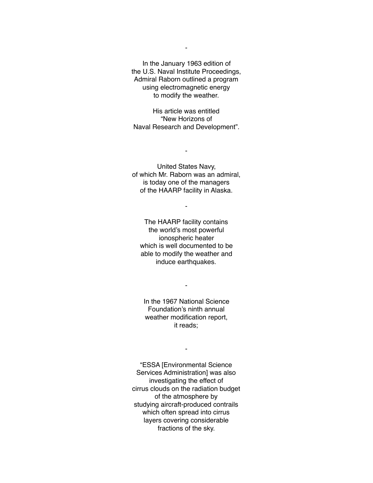In the January 1963 edition of the U.S. Naval Institute Proceedings, Admiral Raborn outlined a program using electromagnetic energy to modify the weather.

His article was entitled "New Horizons of Naval Research and Development".

United States Navy, of which Mr. Raborn was an admiral, is today one of the managers of the HAARP facility in Alaska.

-

-

The HAARP facility contains the world's most powerful ionospheric heater which is well documented to be able to modify the weather and induce earthquakes.

In the 1967 National Science Foundation's ninth annual weather modification report, it reads;

-

-

"ESSA [Environmental Science Services Administration] was also investigating the effect of cirrus clouds on the radiation budget of the atmosphere by studying aircraft-produced contrails which often spread into cirrus layers covering considerable fractions of the sky.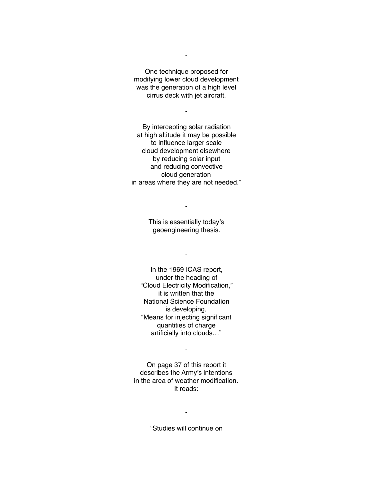One technique proposed for modifying lower cloud development was the generation of a high level cirrus deck with jet aircraft.

-

-

By intercepting solar radiation at high altitude it may be possible to influence larger scale cloud development elsewhere by reducing solar input and reducing convective cloud generation in areas where they are not needed."

> This is essentially today's geoengineering thesis.

-

In the 1969 ICAS report, under the heading of

-

"Cloud Electricity Modification," it is written that the National Science Foundation is developing, "Means for injecting significant quantities of charge artificially into clouds…"

On page 37 of this report it describes the Army's intentions in the area of weather modification. It reads:

-

"Studies will continue on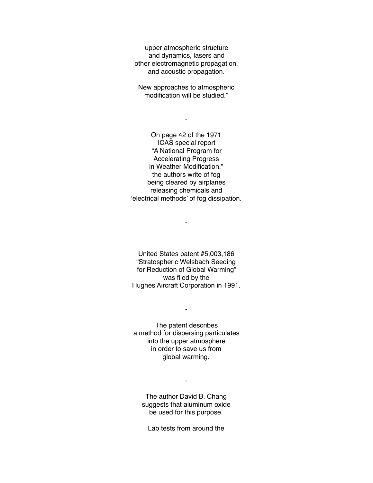upper atmospheric structure and dynamics, lasers and other electromagnetic propagation, and acoustic propagation.

New approaches to atmospheric modification will be studied."

-

On page 42 of the 1971 ICAS special report "A National Program for Accelerating Progress in Weather Modification," the authors write of fog being cleared by airplanes releasing chemicals and 'electrical methods' of fog dissipation.

United States patent #5,003,186 "Stratospheric Welsbach Seeding for Reduction of Global Warming" was filed by the Hughes Aircraft Corporation in 1991.

-

The patent describes a method for dispersing particulates into the upper atmosphere in order to save us from global warming.

-

The author David B. Chang suggests that aluminum oxide be used for this purpose.

-

Lab tests from around the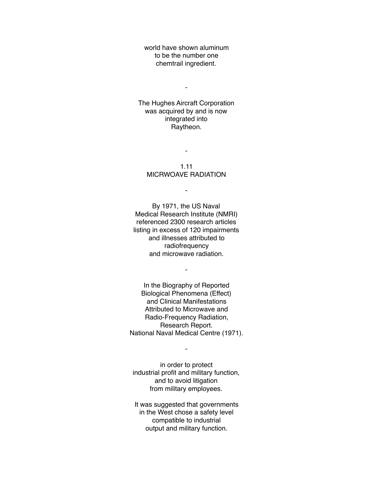world have shown aluminum to be the number one chemtrail ingredient.

-

The Hughes Aircraft Corporation was acquired by and is now integrated into Raytheon.

1.11 MICRWOAVE RADIATION

-

-

By 1971, the US Naval Medical Research Institute (NMRI) referenced 2300 research articles listing in excess of 120 impairments and illnesses attributed to radiofrequency and microwave radiation.

-

In the Biography of Reported Biological Phenomena (Effect) and Clinical Manifestations Attributed to Microwave and Radio-Frequency Radiation, Research Report. National Naval Medical Centre (1971).

in order to protect industrial profit and military function, and to avoid litigation from military employees.

-

It was suggested that governments in the West chose a safety level compatible to industrial output and military function.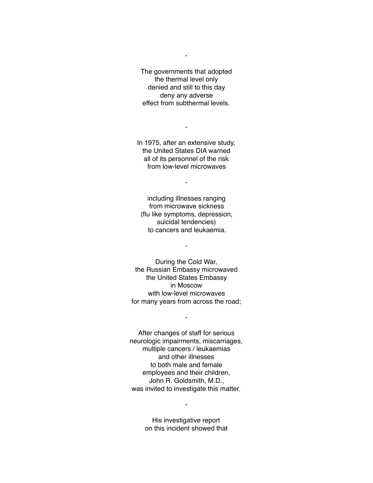The governments that adopted the thermal level only denied and still to this day deny any adverse effect from subthermal levels.

-

In 1975, after an extensive study, the United States DIA warned all of its personnel of the risk from low-level microwaves

-

-

including illnesses ranging from microwave sickness (flu like symptoms, depression, suicidal tendencies) to cancers and leukaemia.

-

During the Cold War, the Russian Embassy microwaved the United States Embassy in Moscow with low-level microwaves for many years from across the road;

-

After changes of staff for serious neurologic impairments, miscarriages, multiple cancers / leukaemias and other illnesses to both male and female employees and their children, John R. Goldsmith, M.D., was invited to investigate this matter.

> His investigative report on this incident showed that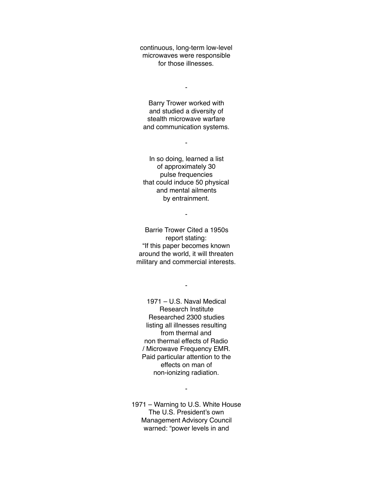continuous, long-term low-level microwaves were responsible for those illnesses.

-

Barry Trower worked with and studied a diversity of stealth microwave warfare and communication systems.

-

In so doing, learned a list of approximately 30 pulse frequencies that could induce 50 physical and mental ailments by entrainment.

-

Barrie Trower Cited a 1950s report stating: "If this paper becomes known around the world, it will threaten military and commercial interests.

-

1971 – U.S. Naval Medical Research Institute Researched 2300 studies listing all illnesses resulting from thermal and non thermal effects of Radio / Microwave Frequency EMR. Paid particular attention to the effects on man of non-ionizing radiation.

-

1971 – Warning to U.S. White House The U.S. President's own Management Advisory Council warned: "power levels in and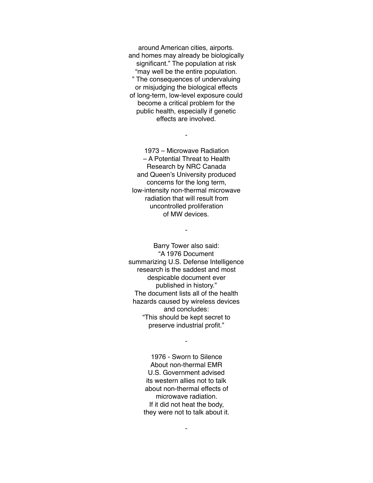around American cities, airports. and homes may already be biologically significant." The population at risk "may well be the entire population. " The consequences of undervaluing or misjudging the biological effects of long-term, low-level exposure could become a critical problem for the public health, especially if genetic effects are involved.

1973 – Microwave Radiation – A Potential Threat to Health Research by NRC Canada and Queen's University produced concerns for the long term, low-intensity non-thermal microwave radiation that will result from uncontrolled proliferation of MW devices.

-

-

Barry Tower also said: "A 1976 Document summarizing U.S. Defense Intelligence research is the saddest and most despicable document ever published in history." The document lists all of the health hazards caused by wireless devices and concludes: "This should be kept secret to preserve industrial profit."

> 1976 - Sworn to Silence About non-thermal EMR U.S. Government advised its western allies not to talk about non-thermal effects of microwave radiation. If it did not heat the body, they were not to talk about it.

> > -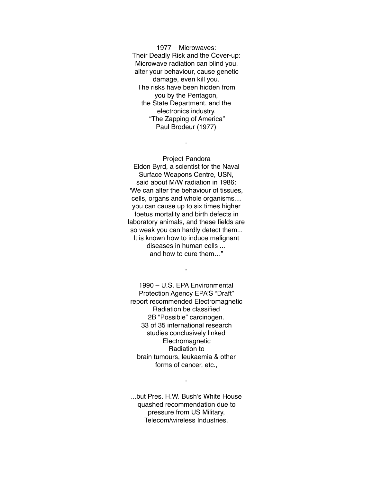1977 – Microwaves: Their Deadly Risk and the Cover-up: Microwave radiation can blind you, alter your behaviour, cause genetic damage, even kill you. The risks have been hidden from you by the Pentagon, the State Department, and the electronics industry. "The Zapping of America" Paul Brodeur (1977)

-

Project Pandora Eldon Byrd, a scientist for the Naval Surface Weapons Centre, USN, said about M/W radiation in 1986: 'We can alter the behaviour of tissues, cells, organs and whole organisms.... you can cause up to six times higher foetus mortality and birth defects in laboratory animals, and these fields are so weak you can hardly detect them... It is known how to induce malignant diseases in human cells ... and how to cure them…"

1990 – U.S. EPA Environmental Protection Agency EPA'S "Draft" report recommended Electromagnetic Radiation be classified 2B "Possible" carcinogen. 33 of 35 international research studies conclusively linked Electromagnetic Radiation to brain tumours, leukaemia & other forms of cancer, etc.,

-

...but Pres. H.W. Bush's White House quashed recommendation due to pressure from US Military, Telecom/wireless Industries.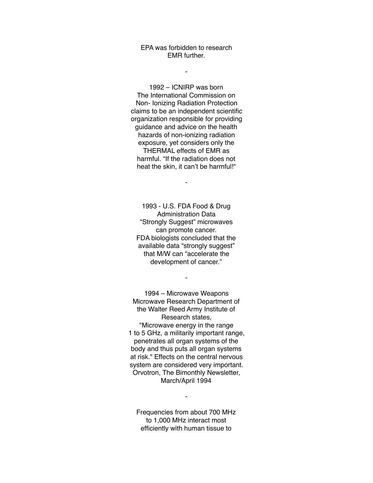EPA was forbidden to research EMR further.

-

1992 – ICNIRP was born The International Commission on Non- Ionizing Radiation Protection claims to be an independent scientific organization responsible for providing guidance and advice on the health hazards of non-ionizing radiation exposure, yet considers only the THERMAL effects of EMR as harmful. "If the radiation does not heat the skin, it can't be harmful!"

1993 - U.S. FDA Food & Drug Administration Data "Strongly Suggest" microwaves can promote cancer. FDA biologists concluded that the available data "strongly suggest" that M/W can "accelerate the development of cancer."

-

-

1994 – Microwave Weapons Microwave Research Department of the Walter Reed Army Institute of Research states, "Microwave energy in the range 1 to 5 GHz, a militarily important range, penetrates all organ systems of the body and thus puts all organ systems at risk." Effects on the central nervous system are considered very important. Orvotron, The Bimonthly Newsletter, March/April 1994

Frequencies from about 700 MHz to 1,000 MHz interact most efficiently with human tissue to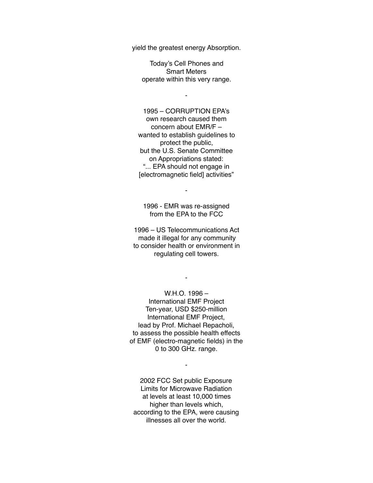yield the greatest energy Absorption.

Today's Cell Phones and Smart Meters operate within this very range.

-

1995 – CORRUPTION EPA's own research caused them concern about EMR/F – wanted to establish guidelines to protect the public, but the U.S. Senate Committee on Appropriations stated: "... EPA should not engage in [electromagnetic field] activities"

1996 - EMR was re-assigned from the EPA to the FCC

-

1996 – US Telecommunications Act made it illegal for any community to consider health or environment in regulating cell towers.

-

W.H.O. 1996 – International EMF Project Ten-year, USD \$250-million International EMF Project, lead by Prof. Michael Repacholi, to assess the possible health effects of EMF (electro-magnetic fields) in the 0 to 300 GHz. range.

2002 FCC Set public Exposure Limits for Microwave Radiation at levels at least 10,000 times higher than levels which, according to the EPA, were causing illnesses all over the world.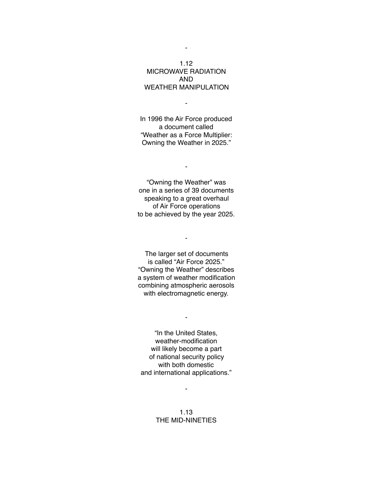# 1.12 MICROWAVE RADIATION AND WEATHER MANIPULATION

-

In 1996 the Air Force produced a document called "Weather as a Force Multiplier: Owning the Weather in 2025."

-

"Owning the Weather" was one in a series of 39 documents speaking to a great overhaul of Air Force operations to be achieved by the year 2025.

The larger set of documents is called "Air Force 2025." "Owning the Weather" describes a system of weather modification combining atmospheric aerosols with electromagnetic energy.

-

"In the United States, weather-modification will likely become a part of national security policy with both domestic and international applications."

-

-

1.13 THE MID-NINETIES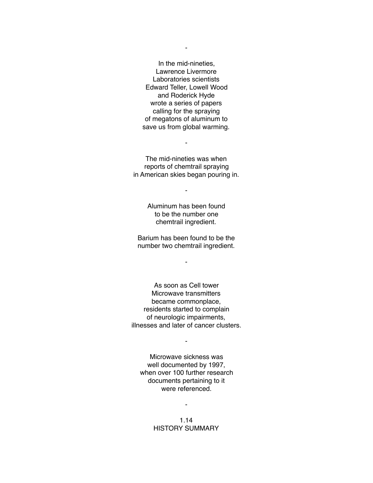In the mid-nineties, Lawrence Livermore Laboratories scientists Edward Teller, Lowell Wood and Roderick Hyde wrote a series of papers calling for the spraying of megatons of aluminum to save us from global warming.

The mid-nineties was when reports of chemtrail spraying in American skies began pouring in.

-

-

Aluminum has been found to be the number one chemtrail ingredient.

Barium has been found to be the number two chemtrail ingredient.

-

As soon as Cell tower Microwave transmitters became commonplace, residents started to complain of neurologic impairments, illnesses and later of cancer clusters.

Microwave sickness was well documented by 1997, when over 100 further research documents pertaining to it were referenced.

-

1.14 HISTORY SUMMARY

-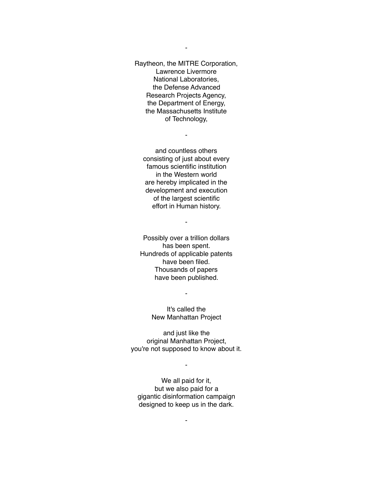Raytheon, the MITRE Corporation, Lawrence Livermore National Laboratories, the Defense Advanced Research Projects Agency, the Department of Energy, the Massachusetts Institute of Technology,

-

and countless others consisting of just about every famous scientific institution in the Western world are hereby implicated in the development and execution of the largest scientific effort in Human history.

-

Possibly over a trillion dollars has been spent. Hundreds of applicable patents have been filed. Thousands of papers have been published.

> It's called the New Manhattan Project

-

and just like the original Manhattan Project, you're not supposed to know about it.

-

We all paid for it, but we also paid for a gigantic disinformation campaign designed to keep us in the dark.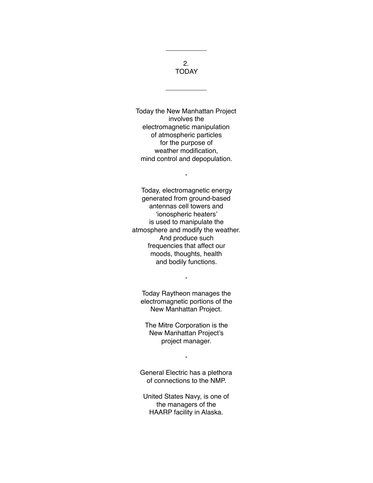2. TODAY

\_\_\_\_\_\_\_\_\_\_\_

\_\_\_\_\_\_\_\_\_\_\_

Today the New Manhattan Project involves the electromagnetic manipulation of atmospheric particles for the purpose of weather modification, mind control and depopulation.

-

Today, electromagnetic energy generated from ground-based antennas cell towers and 'ionospheric heaters' is used to manipulate the atmosphere and modify the weather. And produce such frequencies that affect our moods, thoughts, health and bodily functions.

Today Raytheon manages the electromagnetic portions of the New Manhattan Project.

-

The Mitre Corporation is the New Manhattan Project's project manager.

General Electric has a plethora of connections to the NMP.

-

United States Navy, is one of the managers of the HAARP facility in Alaska.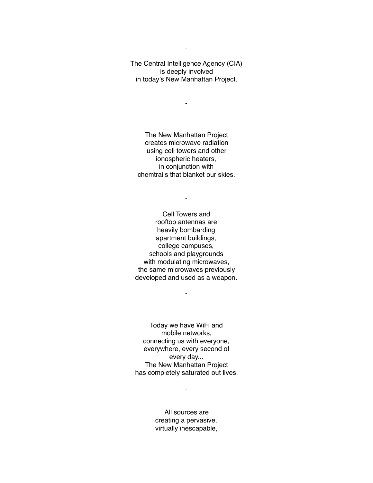The Central Intelligence Agency (CIA) is deeply involved in today's New Manhattan Project.

-

The New Manhattan Project creates microwave radiation using cell towers and other ionospheric heaters, in conjunction with chemtrails that blanket our skies.

-

Cell Towers and rooftop antennas are heavily bombarding apartment buildings, college campuses, schools and playgrounds with modulating microwaves, the same microwaves previously developed and used as a weapon.

-

Today we have WiFi and mobile networks, connecting us with everyone, everywhere, every second of every day... The New Manhattan Project has completely saturated out lives.

> All sources are creating a pervasive, virtually inescapable,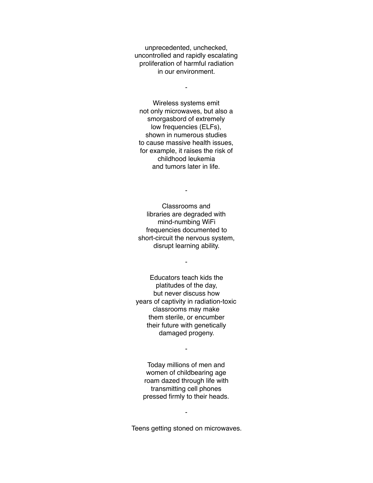unprecedented, unchecked, uncontrolled and rapidly escalating proliferation of harmful radiation in our environment.

-

Wireless systems emit not only microwaves, but also a smorgasbord of extremely low frequencies (ELFs), shown in numerous studies to cause massive health issues, for example, it raises the risk of childhood leukemia and tumors later in life.

-

Classrooms and libraries are degraded with mind-numbing WiFi frequencies documented to short-circuit the nervous system, disrupt learning ability.

-

Educators teach kids the platitudes of the day, but never discuss how years of captivity in radiation-toxic classrooms may make them sterile, or encumber their future with genetically damaged progeny.

-

Today millions of men and women of childbearing age roam dazed through life with transmitting cell phones pressed firmly to their heads.

Teens getting stoned on microwaves.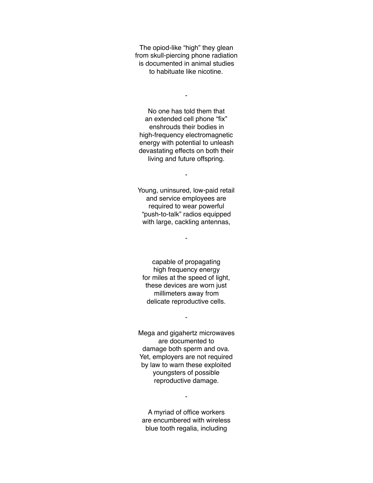The opiod-like "high" they glean from skull-piercing phone radiation is documented in animal studies to habituate like nicotine.

-

No one has told them that an extended cell phone "fix" enshrouds their bodies in high-frequency electromagnetic energy with potential to unleash devastating effects on both their living and future offspring.

Young, uninsured, low-paid retail and service employees are required to wear powerful "push-to-talk" radios equipped with large, cackling antennas,

-

-

capable of propagating high frequency energy for miles at the speed of light, these devices are worn just millimeters away from delicate reproductive cells.

-

Mega and gigahertz microwaves are documented to damage both sperm and ova. Yet, employers are not required by law to warn these exploited youngsters of possible reproductive damage.

A myriad of office workers are encumbered with wireless blue tooth regalia, including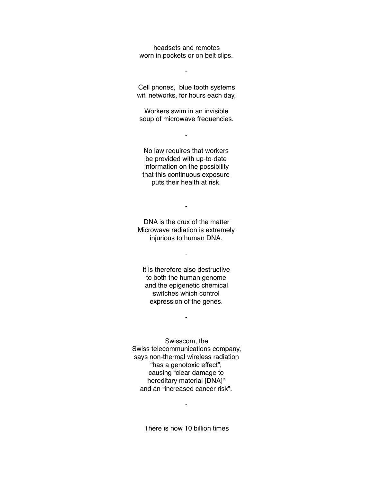headsets and remotes worn in pockets or on belt clips.

-

Cell phones, blue tooth systems wifi networks, for hours each day,

Workers swim in an invisible soup of microwave frequencies.

-

No law requires that workers be provided with up-to-date information on the possibility that this continuous exposure puts their health at risk.

DNA is the crux of the matter Microwave radiation is extremely injurious to human DNA.

-

-

It is therefore also destructive to both the human genome and the epigenetic chemical switches which control expression of the genes.

-

Swisscom, the Swiss telecommunications company, says non-thermal wireless radiation "has a genotoxic effect", causing "clear damage to hereditary material [DNA]" and an "increased cancer risk".

There is now 10 billion times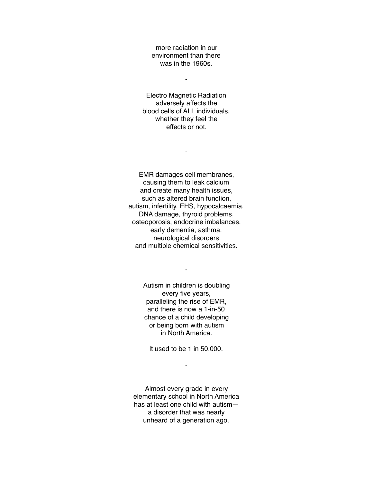more radiation in our environment than there was in the 1960s.

-

Electro Magnetic Radiation adversely affects the blood cells of ALL individuals, whether they feel the effects or not.

-

EMR damages cell membranes, causing them to leak calcium and create many health issues, such as altered brain function, autism, infertility, EHS, hypocalcaemia, DNA damage, thyroid problems, osteoporosis, endocrine imbalances, early dementia, asthma, neurological disorders and multiple chemical sensitivities.

> Autism in children is doubling every five years, paralleling the rise of EMR, and there is now a 1-in-50 chance of a child developing or being born with autism in North America.

-

It used to be 1 in 50,000.

-

Almost every grade in every elementary school in North America has at least one child with autism a disorder that was nearly unheard of a generation ago.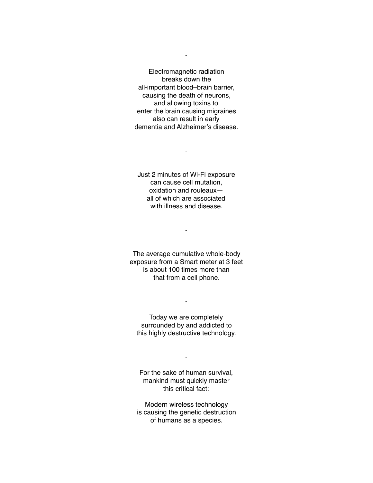Electromagnetic radiation breaks down the all-important blood–brain barrier, causing the death of neurons, and allowing toxins to enter the brain causing migraines also can result in early dementia and Alzheimer's disease.

Just 2 minutes of Wi-Fi exposure can cause cell mutation, oxidation and rouleaux all of which are associated with illness and disease.

-

The average cumulative whole-body exposure from a Smart meter at 3 feet is about 100 times more than that from a cell phone.

-

Today we are completely surrounded by and addicted to this highly destructive technology.

-

For the sake of human survival, mankind must quickly master this critical fact:

-

Modern wireless technology is causing the genetic destruction of humans as a species.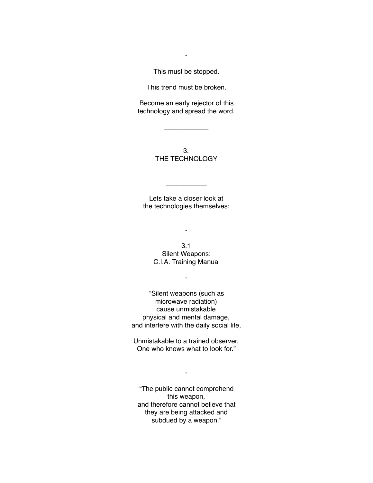This must be stopped.

-

This trend must be broken.

Become an early rejector of this technology and spread the word.

\_\_\_\_\_\_\_\_\_\_\_\_

3. THE TECHNOLOGY

Lets take a closer look at the technologies themselves:

\_\_\_\_\_\_\_\_\_\_\_

3.1 Silent Weapons: C.I.A. Training Manual

-

-

"Silent weapons (such as microwave radiation) cause unmistakable physical and mental damage, and interfere with the daily social life,

Unmistakable to a trained observer, One who knows what to look for."

-

"The public cannot comprehend this weapon, and therefore cannot believe that they are being attacked and subdued by a weapon."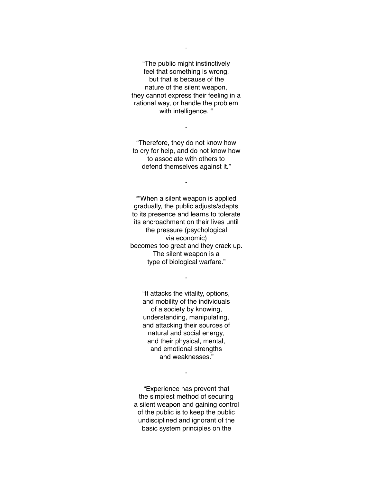"The public might instinctively feel that something is wrong, but that is because of the nature of the silent weapon, they cannot express their feeling in a rational way, or handle the problem with intelligence. "

-

"Therefore, they do not know how to cry for help, and do not know how to associate with others to defend themselves against it."

-

""When a silent weapon is applied gradually, the public adjusts/adapts to its presence and learns to tolerate its encroachment on their lives until the pressure (psychological via economic) becomes too great and they crack up. The silent weapon is a type of biological warfare."

> "It attacks the vitality, options, and mobility of the individuals of a society by knowing, understanding, manipulating, and attacking their sources of natural and social energy, and their physical, mental, and emotional strengths and weaknesses."

-

"Experience has prevent that the simplest method of securing a silent weapon and gaining control of the public is to keep the public undisciplined and ignorant of the basic system principles on the

-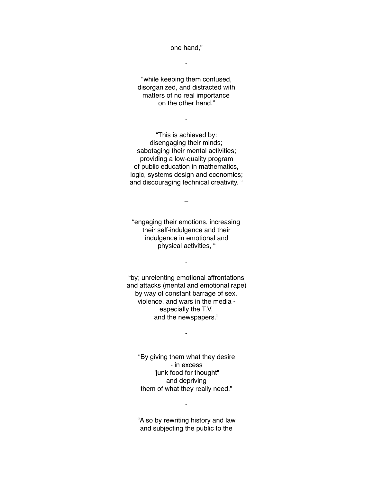one hand,"

-

"while keeping them confused, disorganized, and distracted with matters of no real importance on the other hand."

-

"This is achieved by: disengaging their minds; sabotaging their mental activities; providing a low-quality program of public education in mathematics, logic, systems design and economics; and discouraging technical creativity. "

"engaging their emotions, increasing their self-indulgence and their indulgence in emotional and physical activities, "

-

\_

"by; unrelenting emotional affrontations and attacks (mental and emotional rape) by way of constant barrage of sex, violence, and wars in the media especially the T.V. and the newspapers."

-

"By giving them what they desire - in excess "junk food for thought" and depriving them of what they really need."

"Also by rewriting history and law and subjecting the public to the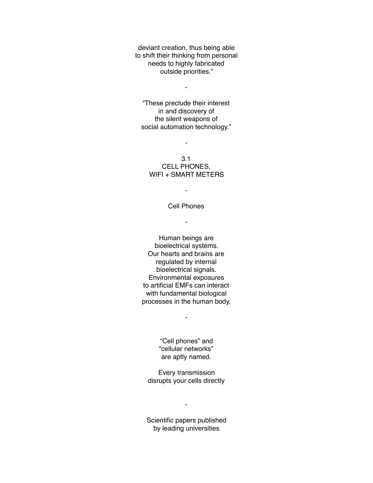deviant creation, thus being able to shift their thinking from personal needs to highly fabricated outside priorities."

-

"These preclude their interest in and discovery of the silent weapons of social automation technology."

-

### 3.1 CELL PHONES, WIFI + SMART METERS

Cell Phones

-

-

Human beings are bioelectrical systems. Our hearts and brains are regulated by internal bioelectrical signals. Environmental exposures to artificial EMFs can interact with fundamental biological processes in the human body,

> "Cell phones" and "cellular networks" are aptly named.

-

Every transmission disrupts your cells directly

Scientific papers published by leading universities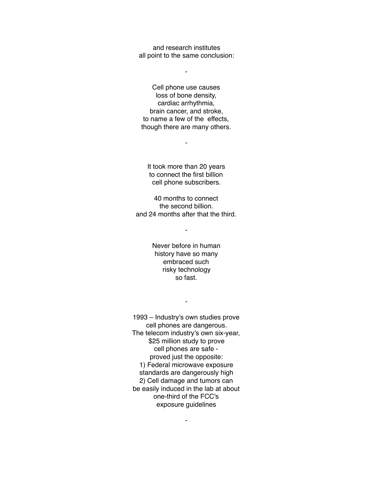and research institutes all point to the same conclusion:

-

Cell phone use causes loss of bone density, cardiac arrhythmia, brain cancer, and stroke, to name a few of the effects, though there are many others.

It took more than 20 years to connect the first billion cell phone subscribers.

-

40 months to connect the second billion. and 24 months after that the third.

-

Never before in human history have so many embraced such risky technology so fast.

-

1993 – Industry's own studies prove cell phones are dangerous. The telecom industry's own six-year, \$25 million study to prove cell phones are safe proved just the opposite: 1) Federal microwave exposure standards are dangerously high 2) Cell damage and tumors can be easily induced in the lab at about one-third of the FCC's exposure guidelines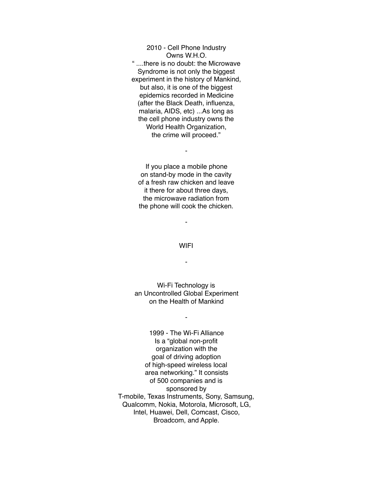2010 - Cell Phone Industry Owns W.H.O. " ....there is no doubt: the Microwave Syndrome is not only the biggest experiment in the history of Mankind, but also, it is one of the biggest epidemics recorded in Medicine (after the Black Death, influenza, malaria, AIDS, etc) ...As long as the cell phone industry owns the World Health Organization, the crime will proceed."

If you place a mobile phone on stand-by mode in the cavity of a fresh raw chicken and leave it there for about three days, the microwave radiation from the phone will cook the chicken.

-

#### **WIFI**

-

-

Wi-Fi Technology is an Uncontrolled Global Experiment on the Health of Mankind

-

1999 - The Wi-Fi Alliance Is a "global non-profit organization with the goal of driving adoption of high-speed wireless local area networking." It consists of 500 companies and is sponsored by T-mobile, Texas Instruments, Sony, Samsung, Qualcomm, Nokia, Motorola, Microsoft, LG, Intel, Huawei, Dell, Comcast, Cisco, Broadcom, and Apple.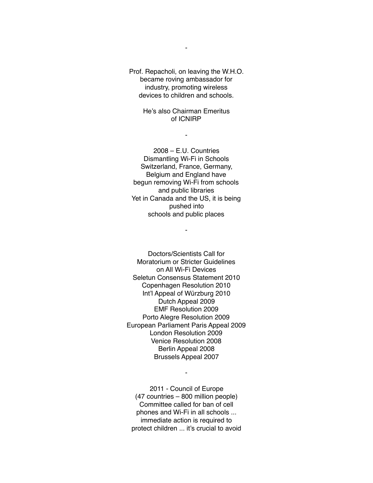Prof. Repacholi, on leaving the W.H.O. became roving ambassador for industry, promoting wireless devices to children and schools.

> He's also Chairman Emeritus of ICNIRP

> > -

2008 – E.U. Countries Dismantling Wi-Fi in Schools Switzerland, France, Germany, Belgium and England have begun removing Wi-Fi from schools and public libraries Yet in Canada and the US, it is being pushed into schools and public places

-

Doctors/Scientists Call for Moratorium or Stricter Guidelines on All Wi-Fi Devices Seletun Consensus Statement 2010 Copenhagen Resolution 2010 Int'l Appeal of Würzburg 2010 Dutch Appeal 2009 EMF Resolution 2009 Porto Alegre Resolution 2009 European Parliament Paris Appeal 2009 London Resolution 2009 Venice Resolution 2008 Berlin Appeal 2008 Brussels Appeal 2007

2011 - Council of Europe (47 countries – 800 million people) Committee called for ban of cell phones and Wi-Fi in all schools ... immediate action is required to protect children ... it's crucial to avoid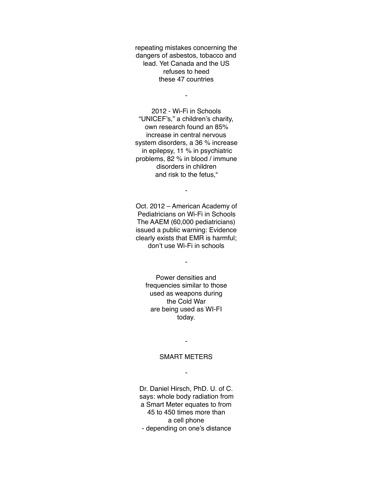repeating mistakes concerning the dangers of asbestos, tobacco and lead. Yet Canada and the US refuses to heed these 47 countries

-

2012 - Wi-Fi in Schools "UNICEF's," a children's charity, own research found an 85% increase in central nervous system disorders, a 36 % increase in epilepsy, 11 % in psychiatric problems, 82 % in blood / immune disorders in children and risk to the fetus,"

Oct. 2012 – American Academy of Pediatricians on Wi-Fi in Schools The AAEM (60,000 pediatricians) issued a public warning: Evidence clearly exists that EMR is harmful; don't use Wi-Fi in schools

-

-

Power densities and frequencies similar to those used as weapons during the Cold War are being used as WI-FI today.

SMART METERS

-

-

Dr. Daniel Hirsch, PhD. U. of C. says: whole body radiation from a Smart Meter equates to from 45 to 450 times more than a cell phone - depending on one's distance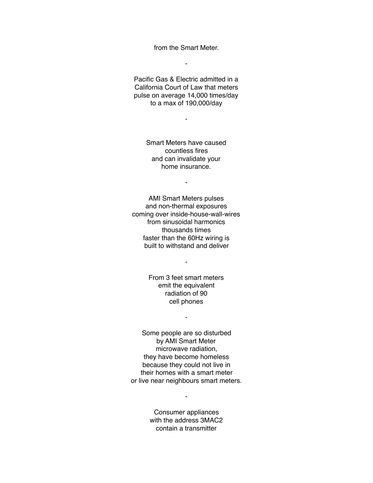from the Smart Meter.

-

Pacific Gas & Electric admitted in a California Court of Law that meters pulse on average 14,000 times/day to a max of 190,000/day

-

Smart Meters have caused countless fires and can invalidate your home insurance.

-

AMI Smart Meters pulses and non-thermal exposures coming over inside-house-wall-wires from sinusoidal harmonics thousands times faster than the 60Hz wiring is built to withstand and deliver

> From 3 feet smart meters emit the equivalent radiation of 90 cell phones

> > -

-

Some people are so disturbed by AMI Smart Meter microwave radiation, they have become homeless because they could not live in their homes with a smart meter or live near neighbours smart meters.

> Consumer appliances with the address 3MAC2 contain a transmitter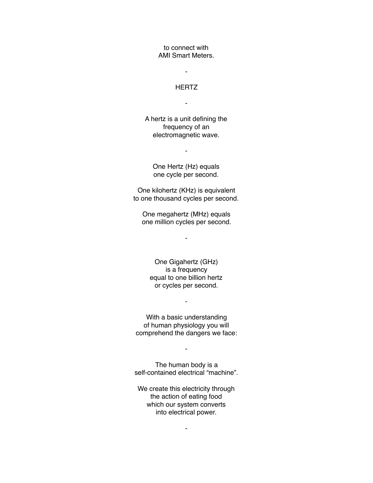to connect with AMI Smart Meters.

### **HERTZ**

-

-

A hertz is a unit defining the frequency of an electromagnetic wave.

> One Hertz (Hz) equals one cycle per second.

-

One kilohertz (KHz) is equivalent to one thousand cycles per second.

One megahertz (MHz) equals one million cycles per second.

-

One Gigahertz (GHz) is a frequency equal to one billion hertz or cycles per second.

With a basic understanding of human physiology you will comprehend the dangers we face:

-

- The human body is a

self-contained electrical "machine".

We create this electricity through the action of eating food which our system converts into electrical power.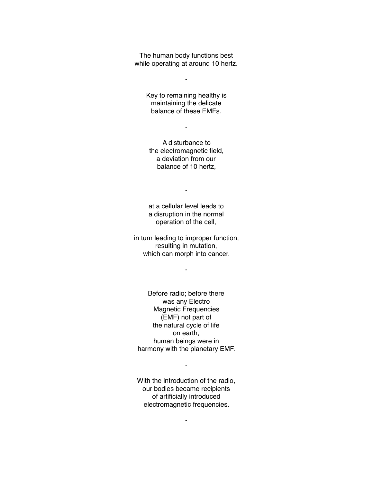The human body functions best while operating at around 10 hertz.

-

Key to remaining healthy is maintaining the delicate balance of these EMFs.

-

A disturbance to the electromagnetic field, a deviation from our balance of 10 hertz,

-

at a cellular level leads to a disruption in the normal operation of the cell,

in turn leading to improper function, resulting in mutation, which can morph into cancer.

-

Before radio; before there was any Electro Magnetic Frequencies (EMF) not part of the natural cycle of life on earth, human beings were in harmony with the planetary EMF.

With the introduction of the radio, our bodies became recipients of artificially introduced electromagnetic frequencies.

-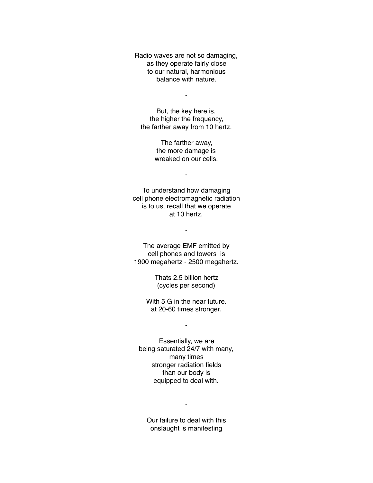Radio waves are not so damaging, as they operate fairly close to our natural, harmonious balance with nature.

-

But, the key here is, the higher the frequency, the farther away from 10 hertz.

> The farther away, the more damage is wreaked on our cells.

> > -

To understand how damaging cell phone electromagnetic radiation is to us, recall that we operate at 10 hertz.

-

The average EMF emitted by cell phones and towers is 1900 megahertz - 2500 megahertz.

> Thats 2.5 billion hertz (cycles per second)

With 5 G in the near future. at 20-60 times stronger.

-

Essentially, we are being saturated 24/7 with many, many times stronger radiation fields than our body is equipped to deal with.

Our failure to deal with this onslaught is manifesting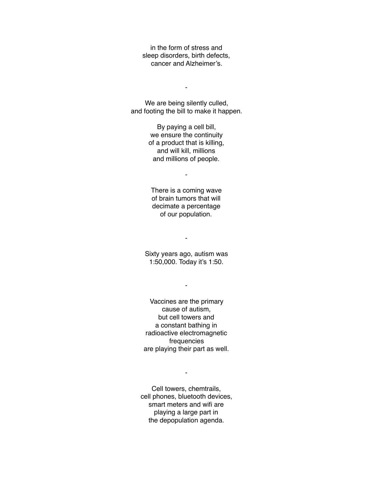in the form of stress and sleep disorders, birth defects, cancer and Alzheimer's.

-

We are being silently culled, and footing the bill to make it happen.

> By paying a cell bill, we ensure the continuity of a product that is killing, and will kill, millions and millions of people.

> > -

There is a coming wave of brain tumors that will decimate a percentage of our population.

-

Sixty years ago, autism was 1:50,000. Today it's 1:50.

-

Vaccines are the primary cause of autism, but cell towers and a constant bathing in radioactive electromagnetic frequencies are playing their part as well.

Cell towers, chemtrails, cell phones, bluetooth devices, smart meters and wifi are playing a large part in the depopulation agenda.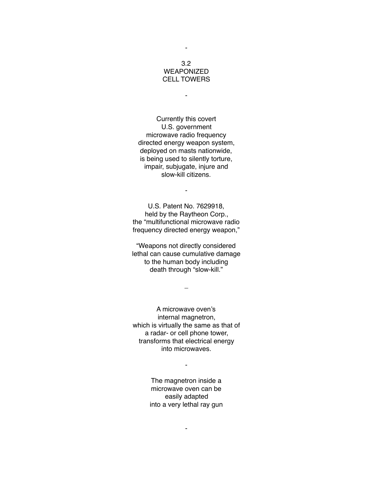## 3.2 **WEAPONIZED** CELL TOWERS

-

-

Currently this covert U.S. government microwave radio frequency directed energy weapon system, deployed on masts nationwide, is being used to silently torture, impair, subjugate, injure and slow-kill citizens.

-

U.S. Patent No. 7629918, held by the Raytheon Corp., the "multifunctional microwave radio frequency directed energy weapon,"

"Weapons not directly considered lethal can cause cumulative damage to the human body including death through "slow-kill."

 $\overline{\phantom{0}}$ 

A microwave oven's internal magnetron, which is virtually the same as that of a radar- or cell phone tower, transforms that electrical energy into microwaves.

> The magnetron inside a microwave oven can be easily adapted into a very lethal ray gun

> > -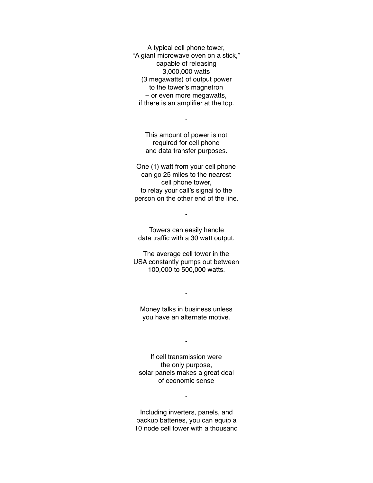A typical cell phone tower, "A giant microwave oven on a stick," capable of releasing 3,000,000 watts (3 megawatts) of output power to the tower's magnetron – or even more megawatts, if there is an amplifier at the top.

-

This amount of power is not required for cell phone and data transfer purposes.

One (1) watt from your cell phone can go 25 miles to the nearest cell phone tower, to relay your call's signal to the person on the other end of the line.

Towers can easily handle data traffic with a 30 watt output.

-

The average cell tower in the USA constantly pumps out between 100,000 to 500,000 watts.

Money talks in business unless you have an alternate motive.

-

-

If cell transmission were the only purpose, solar panels makes a great deal of economic sense

Including inverters, panels, and backup batteries, you can equip a 10 node cell tower with a thousand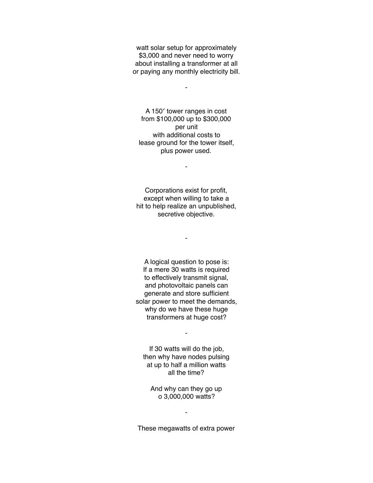watt solar setup for approximately \$3,000 and never need to worry about installing a transformer at all or paying any monthly electricity bill.

-

A 150′ tower ranges in cost from \$100,000 up to \$300,000 per unit with additional costs to lease ground for the tower itself, plus power used.

-

Corporations exist for profit, except when willing to take a hit to help realize an unpublished, secretive objective.

-

A logical question to pose is: If a mere 30 watts is required to effectively transmit signal, and photovoltaic panels can generate and store sufficient solar power to meet the demands, why do we have these huge transformers at huge cost?

If 30 watts will do the job, then why have nodes pulsing at up to half a million watts all the time?

-

And why can they go up o 3,000,000 watts?

These megawatts of extra power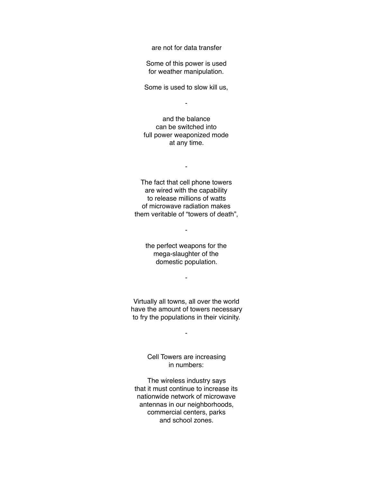are not for data transfer

Some of this power is used for weather manipulation.

Some is used to slow kill us,

-

and the balance can be switched into full power weaponized mode at any time.

-

The fact that cell phone towers are wired with the capability to release millions of watts of microwave radiation makes them veritable of "towers of death",

-

the perfect weapons for the mega-slaughter of the domestic population.

-

Virtually all towns, all over the world have the amount of towers necessary to fry the populations in their vicinity.

-

Cell Towers are increasing in numbers:

The wireless industry says that it must continue to increase its nationwide network of microwave antennas in our neighborhoods, commercial centers, parks and school zones.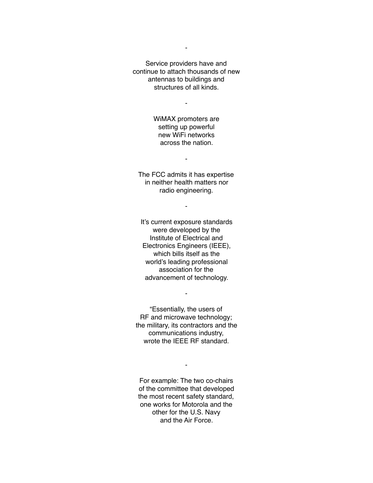Service providers have and continue to attach thousands of new antennas to buildings and structures of all kinds.

-

WiMAX promoters are setting up powerful new WiFi networks across the nation.

-

The FCC admits it has expertise in neither health matters nor radio engineering.

-

It's current exposure standards were developed by the Institute of Electrical and Electronics Engineers (IEEE), which bills itself as the world's leading professional association for the advancement of technology.

"Essentially, the users of RF and microwave technology; the military, its contractors and the communications industry, wrote the IEEE RF standard.

-

For example: The two co-chairs of the committee that developed the most recent safety standard, one works for Motorola and the other for the U.S. Navy and the Air Force.

-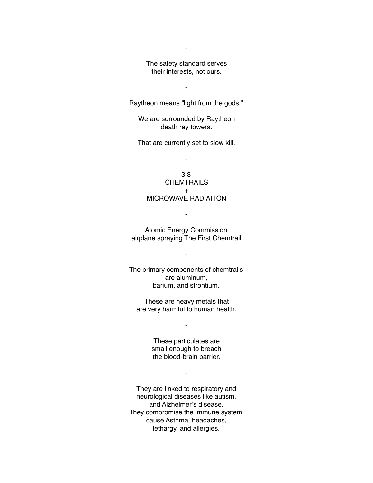The safety standard serves their interests, not ours.

-

-

Raytheon means "light from the gods."

We are surrounded by Raytheon death ray towers.

That are currently set to slow kill.

-

3.3 **CHEMTRAILS**  $\pm$ MICROWAVE RADIAITON

Atomic Energy Commission airplane spraying The First Chemtrail

-

-

The primary components of chemtrails are aluminum, barium, and strontium.

These are heavy metals that are very harmful to human health.

-

These particulates are small enough to breach the blood-brain barrier.

-

They are linked to respiratory and neurological diseases like autism, and Alzheimer's disease. They compromise the immune system. cause Asthma, headaches, lethargy, and allergies.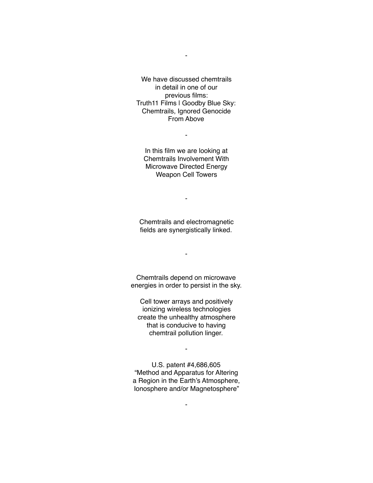We have discussed chemtrails in detail in one of our previous films: Truth11 Films | Goodby Blue Sky: Chemtrails, Ignored Genocide From Above

-

In this film we are looking at Chemtrails Involvement With Microwave Directed Energy Weapon Cell Towers

-

Chemtrails and electromagnetic fields are synergistically linked.

-

-

Chemtrails depend on microwave energies in order to persist in the sky.

Cell tower arrays and positively ionizing wireless technologies create the unhealthy atmosphere that is conducive to having chemtrail pollution linger.

U.S. patent #4,686,605 "Method and Apparatus for Altering a Region in the Earth's Atmosphere, Ionosphere and/or Magnetosphere"

-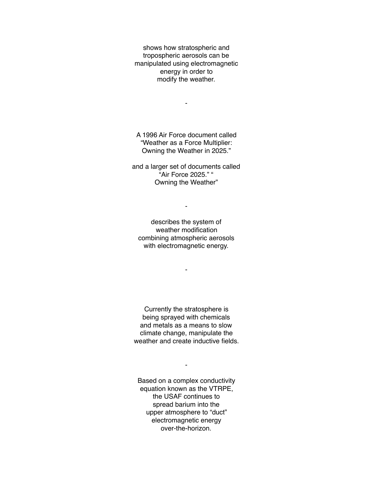shows how stratospheric and tropospheric aerosols can be manipulated using electromagnetic energy in order to modify the weather.

A 1996 Air Force document called "Weather as a Force Multiplier: Owning the Weather in 2025."

-

and a larger set of documents called "Air Force 2025." " Owning the Weather"

describes the system of weather modification combining atmospheric aerosols with electromagnetic energy.

-

-

Currently the stratosphere is being sprayed with chemicals and metals as a means to slow climate change, manipulate the weather and create inductive fields.

Based on a complex conductivity equation known as the VTRPE, the USAF continues to spread barium into the upper atmosphere to "duct" electromagnetic energy over-the-horizon.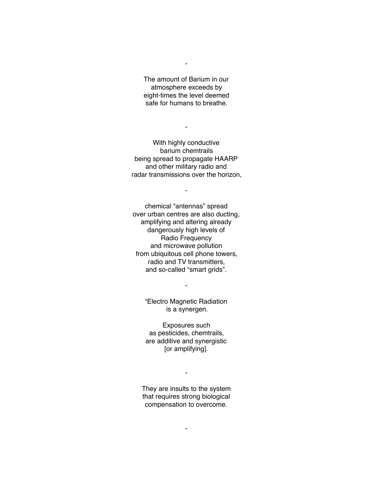The amount of Barium in our atmosphere exceeds by eight-times the level deemed safe for humans to breathe.

-

With highly conductive barium chemtrails being spread to propagate HAARP and other military radio and radar transmissions over the horizon,

-

-

chemical "antennas" spread over urban centres are also ducting, amplifying and altering already dangerously high levels of Radio Frequency and microwave pollution from ubiquitous cell phone towers, radio and TV transmitters, and so-called "smart grids".

> "Electro Magnetic Radiation is a synergen.

-

Exposures such as pesticides, chemtrails, are additive and synergistic [or amplifying].

They are insults to the system that requires strong biological compensation to overcome.

-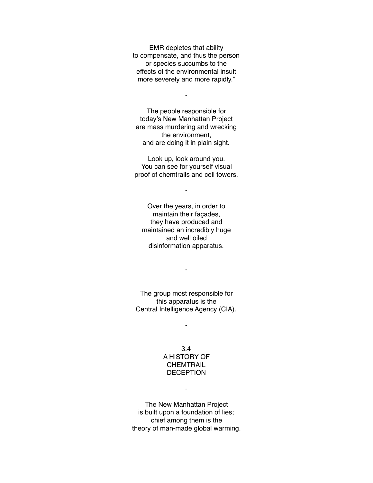EMR depletes that ability to compensate, and thus the person or species succumbs to the effects of the environmental insult more severely and more rapidly."

-

The people responsible for today's New Manhattan Project are mass murdering and wrecking the environment, and are doing it in plain sight.

Look up, look around you. You can see for yourself visual proof of chemtrails and cell towers.

-

Over the years, in order to maintain their façades, they have produced and maintained an incredibly huge and well oiled disinformation apparatus.

The group most responsible for this apparatus is the Central Intelligence Agency (CIA).

-

-

# 3.4 A HISTORY OF **CHEMTRAIL** DECEPTION

-

The New Manhattan Project is built upon a foundation of lies; chief among them is the theory of man-made global warming.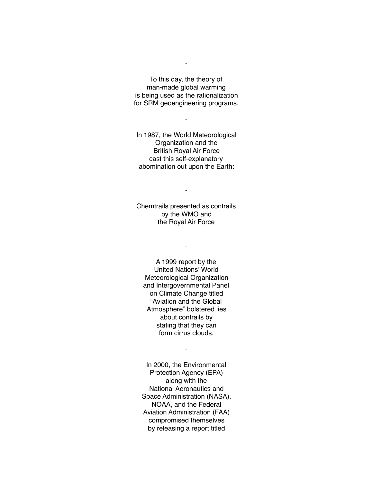To this day, the theory of man-made global warming is being used as the rationalization for SRM geoengineering programs.

-

-

In 1987, the World Meteorological Organization and the British Royal Air Force cast this self-explanatory abomination out upon the Earth:

-

Chemtrails presented as contrails by the WMO and the Royal Air Force

-

A 1999 report by the United Nations' World Meteorological Organization and Intergovernmental Panel on Climate Change titled "Aviation and the Global Atmosphere" bolstered lies about contrails by stating that they can form cirrus clouds.

-

In 2000, the Environmental Protection Agency (EPA) along with the National Aeronautics and Space Administration (NASA), NOAA, and the Federal Aviation Administration (FAA) compromised themselves by releasing a report titled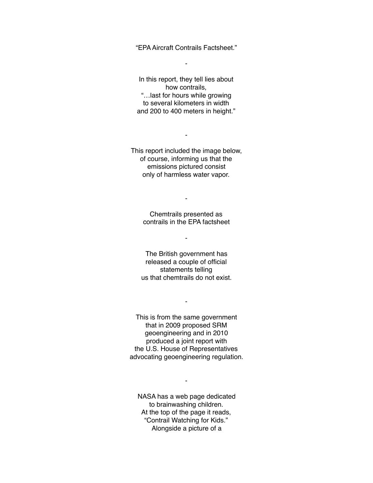"EPA Aircraft Contrails Factsheet."

-

In this report, they tell lies about how contrails, "…last for hours while growing to several kilometers in width and 200 to 400 meters in height."

This report included the image below, of course, informing us that the emissions pictured consist only of harmless water vapor.

-

Chemtrails presented as contrails in the EPA factsheet

-

-

The British government has released a couple of official statements telling us that chemtrails do not exist.

-

This is from the same government that in 2009 proposed SRM geoengineering and in 2010 produced a joint report with the U.S. House of Representatives advocating geoengineering regulation.

NASA has a web page dedicated to brainwashing children. At the top of the page it reads, "Contrail Watching for Kids." Alongside a picture of a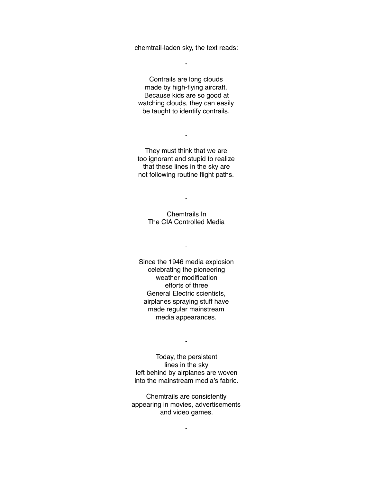chemtrail-laden sky, the text reads:

-

Contrails are long clouds made by high-flying aircraft. Because kids are so good at watching clouds, they can easily be taught to identify contrails.

They must think that we are too ignorant and stupid to realize that these lines in the sky are not following routine flight paths.

-

-

## Chemtrails In The CIA Controlled Media

-

Since the 1946 media explosion celebrating the pioneering weather modification efforts of three General Electric scientists, airplanes spraying stuff have made regular mainstream media appearances.

-

Today, the persistent lines in the sky left behind by airplanes are woven into the mainstream media's fabric.

Chemtrails are consistently appearing in movies, advertisements and video games.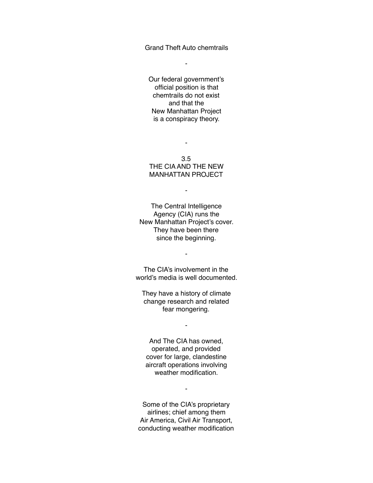Grand Theft Auto chemtrails

-

Our federal government's official position is that chemtrails do not exist and that the New Manhattan Project is a conspiracy theory.

3.5 THE CIA AND THE NEW MANHATTAN PROJECT

-

-

The Central Intelligence Agency (CIA) runs the New Manhattan Project's cover. They have been there since the beginning.

The CIA's involvement in the world's media is well documented.

-

They have a history of climate change research and related fear mongering.

-

And The CIA has owned, operated, and provided cover for large, clandestine aircraft operations involving weather modification.

Some of the CIA's proprietary airlines; chief among them Air America, Civil Air Transport, conducting weather modification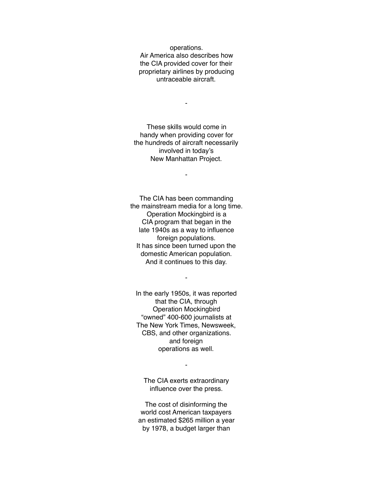operations. Air America also describes how the CIA provided cover for their proprietary airlines by producing untraceable aircraft.

-

These skills would come in handy when providing cover for the hundreds of aircraft necessarily involved in today's New Manhattan Project.

-

The CIA has been commanding the mainstream media for a long time. Operation Mockingbird is a CIA program that began in the late 1940s as a way to influence foreign populations. It has since been turned upon the domestic American population. And it continues to this day.

In the early 1950s, it was reported that the CIA, through Operation Mockingbird "owned" 400-600 journalists at The New York Times, Newsweek, CBS, and other organizations. and foreign operations as well.

-

The CIA exerts extraordinary influence over the press.

-

The cost of disinforming the world cost American taxpayers an estimated \$265 million a year by 1978, a budget larger than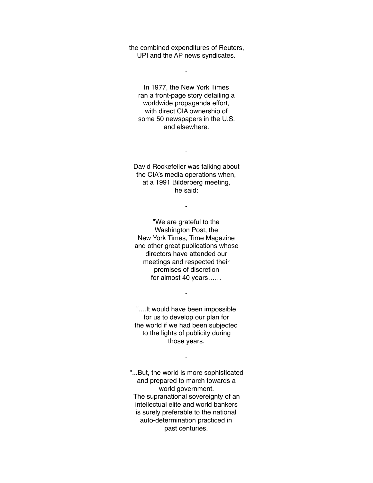the combined expenditures of Reuters, UPI and the AP news syndicates.

-

In 1977, the New York Times ran a front-page story detailing a worldwide propaganda effort, with direct CIA ownership of some 50 newspapers in the U.S. and elsewhere.

David Rockefeller was talking about the CIA's media operations when, at a 1991 Bilderberg meeting, he said:

-

-

"We are grateful to the Washington Post, the New York Times, Time Magazine and other great publications whose directors have attended our meetings and respected their promises of discretion for almost 40 years……

"....It would have been impossible for us to develop our plan for the world if we had been subjected to the lights of publicity during those years.

-

-

"...But, the world is more sophisticated and prepared to march towards a world government. The supranational sovereignty of an intellectual elite and world bankers is surely preferable to the national auto-determination practiced in past centuries.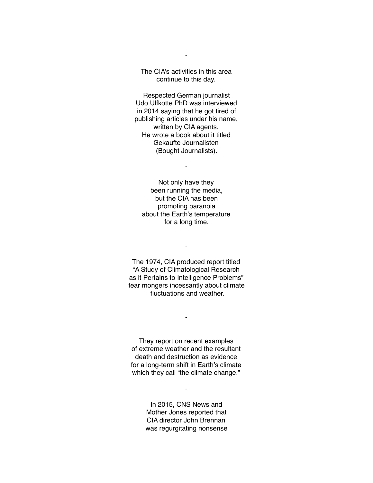The CIA's activities in this area continue to this day.

-

Respected German journalist Udo Ulfkotte PhD was interviewed in 2014 saying that he got tired of publishing articles under his name, written by CIA agents. He wrote a book about it titled Gekaufte Journalisten (Bought Journalists).

-

Not only have they been running the media, but the CIA has been promoting paranoia about the Earth's temperature for a long time.

-

The 1974, CIA produced report titled "A Study of Climatological Research as it Pertains to Intelligence Problems" fear mongers incessantly about climate fluctuations and weather.

They report on recent examples of extreme weather and the resultant death and destruction as evidence for a long-term shift in Earth's climate which they call "the climate change."

-

In 2015, CNS News and Mother Jones reported that CIA director John Brennan was regurgitating nonsense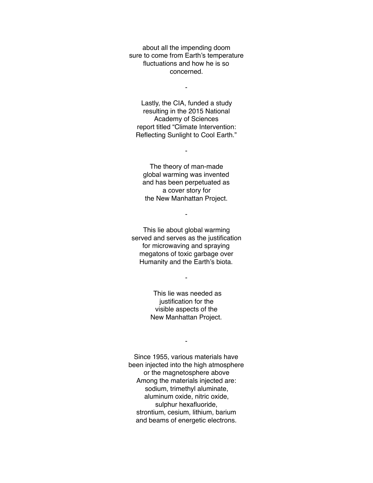about all the impending doom sure to come from Earth's temperature fluctuations and how he is so concerned.

-

Lastly, the CIA, funded a study resulting in the 2015 National Academy of Sciences report titled "Climate Intervention: Reflecting Sunlight to Cool Earth."

The theory of man-made global warming was invented and has been perpetuated as a cover story for the New Manhattan Project.

-

-

This lie about global warming served and serves as the justification for microwaving and spraying megatons of toxic garbage over Humanity and the Earth's biota.

-

 This lie was needed as justification for the visible aspects of the New Manhattan Project.

-

Since 1955, various materials have been injected into the high atmosphere or the magnetosphere above Among the materials injected are: sodium, trimethyl aluminate, aluminum oxide, nitric oxide, sulphur hexafluoride, strontium, cesium, lithium, barium and beams of energetic electrons.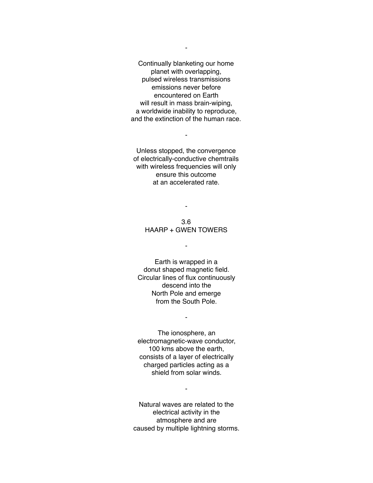Continually blanketing our home planet with overlapping, pulsed wireless transmissions emissions never before encountered on Earth will result in mass brain-wiping, a worldwide inability to reproduce, and the extinction of the human race.

Unless stopped, the convergence of electrically-conductive chemtrails with wireless frequencies will only ensure this outcome at an accelerated rate.

-

3.6 HAARP + GWEN TOWERS

-

-

Earth is wrapped in a donut shaped magnetic field. Circular lines of flux continuously descend into the North Pole and emerge from the South Pole.

-

The ionosphere, an electromagnetic-wave conductor, 100 kms above the earth, consists of a layer of electrically charged particles acting as a shield from solar winds.

Natural waves are related to the electrical activity in the atmosphere and are caused by multiple lightning storms.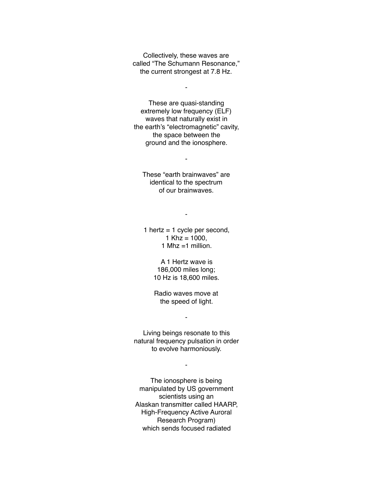Collectively, these waves are called "The Schumann Resonance," the current strongest at 7.8 Hz.

-

These are quasi-standing extremely low frequency (ELF) waves that naturally exist in the earth's "electromagnetic" cavity, the space between the ground and the ionosphere.

These "earth brainwaves" are identical to the spectrum of our brainwaves.

-

-

1 hertz  $=$  1 cycle per second, 1 Khz =  $1000$ , 1 Mhz  $=$  1 million.

> A 1 Hertz wave is 186,000 miles long; 10 Hz is 18,600 miles.

Radio waves move at the speed of light.

-

Living beings resonate to this natural frequency pulsation in order to evolve harmoniously.

-

The ionosphere is being manipulated by US government scientists using an Alaskan transmitter called HAARP, High-Frequency Active Auroral Research Program) which sends focused radiated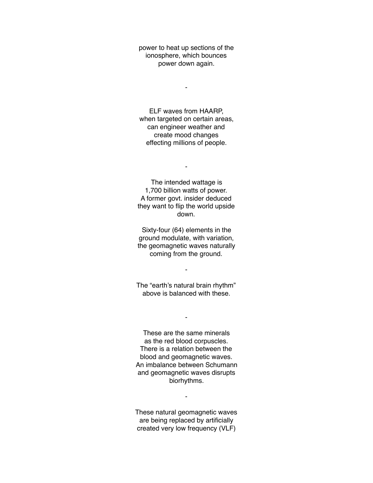power to heat up sections of the ionosphere, which bounces power down again.

-

ELF waves from HAARP, when targeted on certain areas, can engineer weather and create mood changes effecting millions of people.

-

The intended wattage is 1,700 billion watts of power. A former govt. insider deduced they want to flip the world upside down.

Sixty-four (64) elements in the ground modulate, with variation, the geomagnetic waves naturally coming from the ground.

-

The "earth's natural brain rhythm" above is balanced with these.

-

These are the same minerals as the red blood corpuscles. There is a relation between the blood and geomagnetic waves. An imbalance between Schumann and geomagnetic waves disrupts biorhythms.

These natural geomagnetic waves are being replaced by artificially created very low frequency (VLF)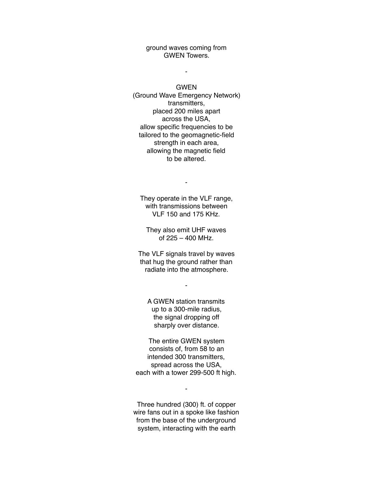ground waves coming from GWEN Towers.

GWEN

-

(Ground Wave Emergency Network) transmitters, placed 200 miles apart across the USA, allow specific frequencies to be tailored to the geomagnetic-field strength in each area, allowing the magnetic field to be altered.

They operate in the VLF range, with transmissions between VLF 150 and 175 KHz.

-

They also emit UHF waves of 225 – 400 MHz.

The VLF signals travel by waves that hug the ground rather than radiate into the atmosphere.

-

A GWEN station transmits up to a 300-mile radius, the signal dropping off sharply over distance.

The entire GWEN system consists of, from 58 to an intended 300 transmitters, spread across the USA, each with a tower 299-500 ft high.

Three hundred (300) ft. of copper wire fans out in a spoke like fashion from the base of the underground system, interacting with the earth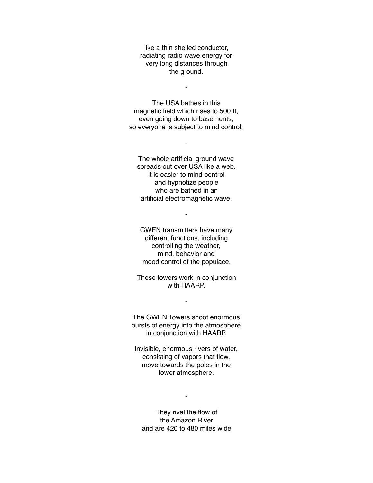like a thin shelled conductor, radiating radio wave energy for very long distances through the ground.

-

The USA bathes in this magnetic field which rises to 500 ft, even going down to basements, so everyone is subject to mind control.

-

The whole artificial ground wave spreads out over USA like a web. It is easier to mind-control and hypnotize people who are bathed in an artificial electromagnetic wave.

GWEN transmitters have many different functions, including controlling the weather, mind, behavior and mood control of the populace.

-

These towers work in conjunction with HAARP.

-

The GWEN Towers shoot enormous bursts of energy into the atmosphere in conjunction with HAARP.

Invisible, enormous rivers of water, consisting of vapors that flow, move towards the poles in the lower atmosphere.

-

They rival the flow of the Amazon River and are 420 to 480 miles wide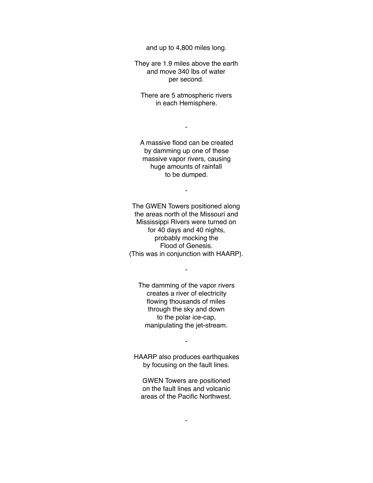and up to 4,800 miles long.

They are 1.9 miles above the earth and move 340 lbs of water per second.

There are 5 atmospheric rivers in each Hemisphere.

-

A massive flood can be created by damming up one of these massive vapor rivers, causing huge amounts of rainfall to be dumped.

-

The GWEN Towers positioned along the areas north of the Missouri and Mississippi Rivers were turned on for 40 days and 40 nights, probably mocking the Flood of Genesis. (This was in conjunction with HAARP).

-

The damming of the vapor rivers creates a river of electricity flowing thousands of miles through the sky and down to the polar ice-cap, manipulating the jet-stream.

HAARP also produces earthquakes by focusing on the fault lines.

-

GWEN Towers are positioned on the fault lines and volcanic areas of the Pacific Northwest.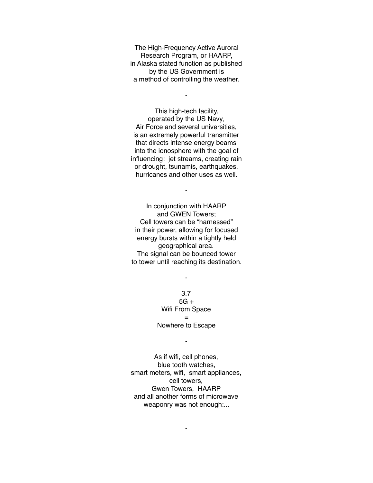The High-Frequency Active Auroral Research Program, or HAARP, in Alaska stated function as published by the US Government is a method of controlling the weather.

-

This high-tech facility, operated by the US Navy, Air Force and several universities, is an extremely powerful transmitter that directs intense energy beams into the ionosphere with the goal of influencing: jet streams, creating rain or drought, tsunamis, earthquakes, hurricanes and other uses as well.

In conjunction with HAARP and GWEN Towers; Cell towers can be "harnessed" in their power, allowing for focused energy bursts within a tightly held geographical area. The signal can be bounced tower to tower until reaching its destination.

-

3.7  $5G +$ Wifi From Space = Nowhere to Escape

-

-

As if wifi, cell phones, blue tooth watches, smart meters, wifi, smart appliances, cell towers, Gwen Towers, HAARP and all another forms of microwave weaponry was not enough:...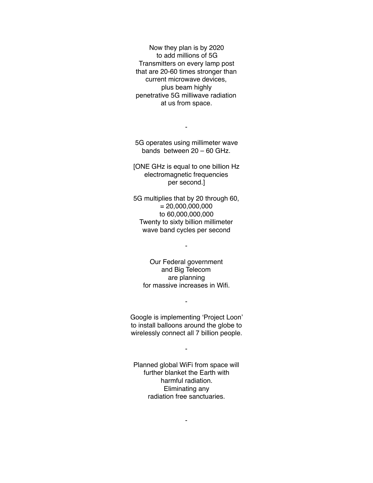Now they plan is by 2020 to add millions of 5G Transmitters on every lamp post that are 20-60 times stronger than current microwave devices, plus beam highly penetrative 5G milliwave radiation at us from space.

5G operates using millimeter wave bands between 20 – 60 GHz.

-

[ONE GHz is equal to one billion Hz electromagnetic frequencies per second.]

5G multiplies that by 20 through 60,  $= 20,000,000,000$ to 60,000,000,000 Twenty to sixty billion millimeter wave band cycles per second

Our Federal government and Big Telecom are planning for massive increases in Wifi.

-

Google is implementing 'Project Loon' to install balloons around the globe to wirelessly connect all 7 billion people.

-

-

Planned global WiFi from space will further blanket the Earth with harmful radiation. Eliminating any radiation free sanctuaries.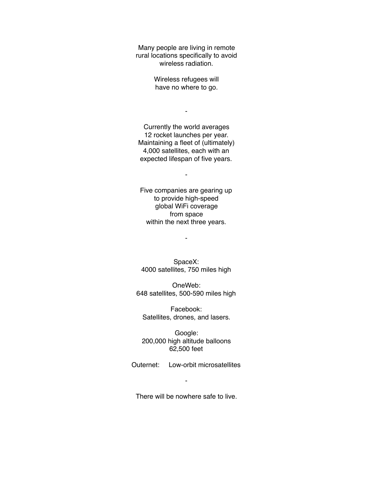Many people are living in remote rural locations specifically to avoid wireless radiation.

> Wireless refugees will have no where to go.

> > -

Currently the world averages 12 rocket launches per year. Maintaining a fleet of (ultimately) 4,000 satellites, each with an expected lifespan of five years.

Five companies are gearing up to provide high-speed global WiFi coverage from space within the next three years.

-

SpaceX: 4000 satellites, 750 miles high

-

OneWeb: 648 satellites, 500-590 miles high

Facebook: Satellites, drones, and lasers.

Google: 200,000 high altitude balloons 62,500 feet

Outernet: Low-orbit microsatellites

-

There will be nowhere safe to live.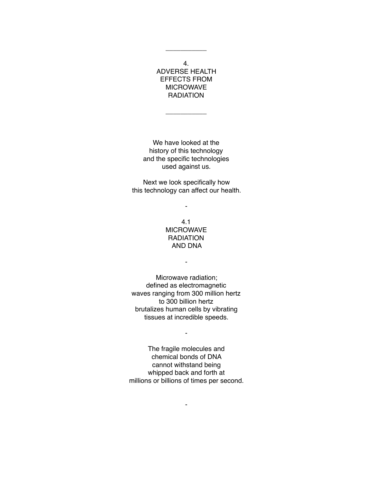4. ADVERSE HEALTH EFFECTS FROM MICROWAVE **RADIATION** 

\_\_\_\_\_\_\_\_\_\_\_

\_\_\_\_\_\_\_\_\_\_\_

We have looked at the history of this technology and the specific technologies used against us.

Next we look specifically how this technology can affect our health.

-

4.1 MICROWAVE **RADIATION** AND DNA

-

Microwave radiation; defined as electromagnetic waves ranging from 300 million hertz to 300 billion hertz brutalizes human cells by vibrating tissues at incredible speeds.

The fragile molecules and chemical bonds of DNA cannot withstand being whipped back and forth at millions or billions of times per second.

-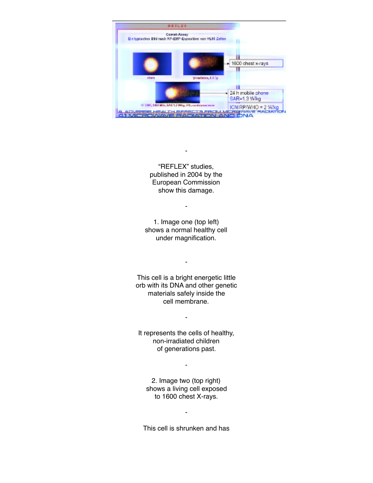

"REFLEX" studies, published in 2004 by the European Commission show this damage.

-

-

1. Image one (top left) shows a normal healthy cell under magnification.

This cell is a bright energetic little orb with its DNA and other genetic materials safely inside the cell membrane.

-

It represents the cells of healthy, non-irradiated children of generations past.

-

-

2. Image two (top right) shows a living cell exposed to 1600 chest X-rays.

This cell is shrunken and has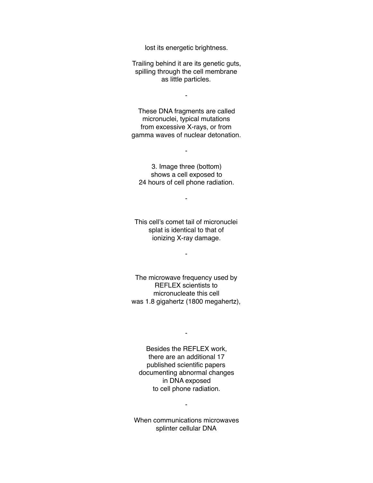lost its energetic brightness.

Trailing behind it are its genetic guts, spilling through the cell membrane as little particles.

-

These DNA fragments are called micronuclei, typical mutations from excessive X-rays, or from gamma waves of nuclear detonation.

3. Image three (bottom) shows a cell exposed to 24 hours of cell phone radiation.

-

-

This cell's comet tail of micronuclei splat is identical to that of ionizing X-ray damage.

-

The microwave frequency used by REFLEX scientists to micronucleate this cell was 1.8 gigahertz (1800 megahertz),

Besides the REFLEX work, there are an additional 17 published scientific papers documenting abnormal changes in DNA exposed to cell phone radiation.

-

When communications microwaves splinter cellular DNA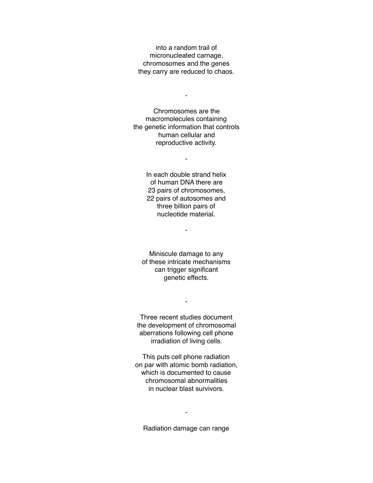into a random trail of micronucleated carnage, chromosomes and the genes they carry are reduced to chaos.

-

Chromosomes are the macromolecules containing the genetic information that controls human cellular and reproductive activity.

-

In each double strand helix of human DNA there are 23 pairs of chromosomes, 22 pairs of autosomes and three billion pairs of nucleotide material.

-

Miniscule damage to any of these intricate mechanisms can trigger significant genetic effects.

Three recent studies document the development of chromosomal aberrations following cell phone irradiation of living cells.

-

This puts cell phone radiation on par with atomic bomb radiation, which is documented to cause chromosomal abnormalities in nuclear blast survivors.

Radiation damage can range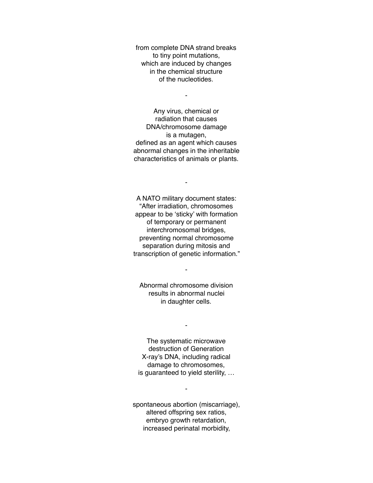from complete DNA strand breaks to tiny point mutations, which are induced by changes in the chemical structure of the nucleotides.

-

Any virus, chemical or radiation that causes DNA/chromosome damage is a mutagen, defined as an agent which causes abnormal changes in the inheritable characteristics of animals or plants.

A NATO military document states: "After irradiation, chromosomes appear to be 'sticky' with formation of temporary or permanent interchromosomal bridges, preventing normal chromosome separation during mitosis and transcription of genetic information."

-

Abnormal chromosome division results in abnormal nuclei in daughter cells.

-

-

The systematic microwave destruction of Generation X-ray's DNA, including radical damage to chromosomes, is guaranteed to yield sterility, …

spontaneous abortion (miscarriage), altered offspring sex ratios, embryo growth retardation, increased perinatal morbidity,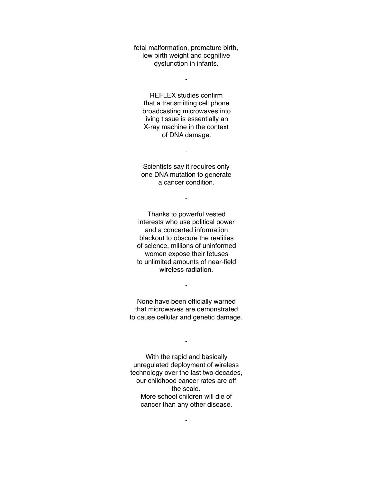fetal malformation, premature birth, low birth weight and cognitive dysfunction in infants.

-

REFLEX studies confirm that a transmitting cell phone broadcasting microwaves into living tissue is essentially an X-ray machine in the context of DNA damage.

Scientists say it requires only one DNA mutation to generate a cancer condition.

-

-

Thanks to powerful vested interests who use political power and a concerted information blackout to obscure the realities of science, millions of uninformed women expose their fetuses to unlimited amounts of near-field wireless radiation.

None have been officially warned that microwaves are demonstrated to cause cellular and genetic damage.

-

-

With the rapid and basically unregulated deployment of wireless technology over the last two decades, our childhood cancer rates are off the scale. More school children will die of cancer than any other disease.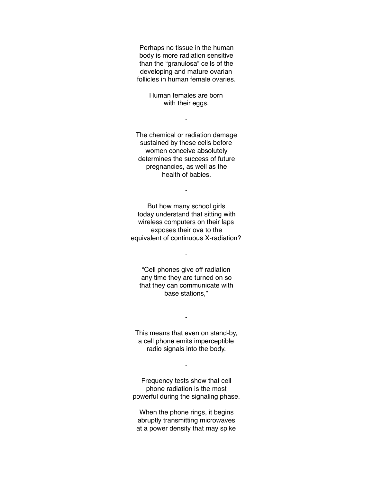Perhaps no tissue in the human body is more radiation sensitive than the "granulosa" cells of the developing and mature ovarian follicles in human female ovaries.

> Human females are born with their eggs.

> > -

The chemical or radiation damage sustained by these cells before women conceive absolutely determines the success of future pregnancies, as well as the health of babies.

-

But how many school girls today understand that sitting with wireless computers on their laps exposes their ova to the equivalent of continuous X-radiation?

-

"Cell phones give off radiation any time they are turned on so that they can communicate with base stations,"

This means that even on stand-by, a cell phone emits imperceptible radio signals into the body.

-

Frequency tests show that cell phone radiation is the most powerful during the signaling phase.

-

When the phone rings, it begins abruptly transmitting microwaves at a power density that may spike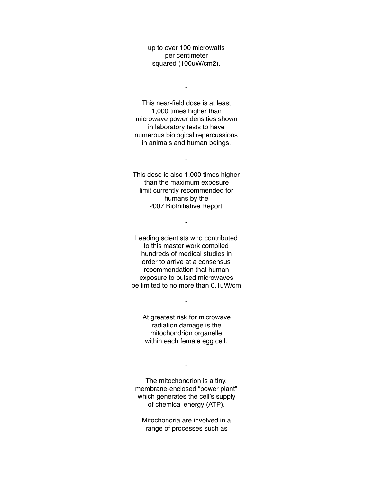up to over 100 microwatts per centimeter squared (100uW/cm2).

 $\blacksquare$ 

This near-field dose is at least 1,000 times higher than microwave power densities shown in laboratory tests to have numerous biological repercussions in animals and human beings.

This dose is also 1,000 times higher than the maximum exposure limit currently recommended for humans by the 2007 BioInitiative Report.

-

-

Leading scientists who contributed to this master work compiled hundreds of medical studies in order to arrive at a consensus recommendation that human exposure to pulsed microwaves be limited to no more than 0.1uW/cm

At greatest risk for microwave radiation damage is the mitochondrion organelle within each female egg cell.

-

The mitochondrion is a tiny, membrane-enclosed "power plant" which generates the cell's supply of chemical energy (ATP).

-

Mitochondria are involved in a range of processes such as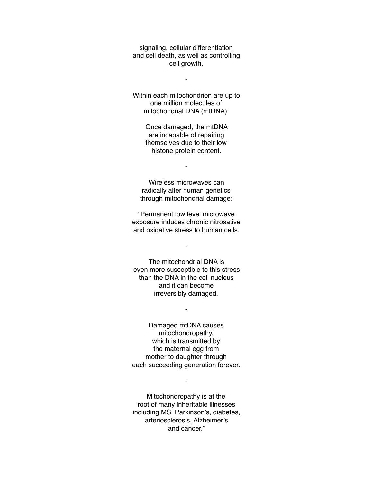signaling, cellular differentiation and cell death, as well as controlling cell growth.

-

Within each mitochondrion are up to one million molecules of mitochondrial DNA (mtDNA).

> Once damaged, the mtDNA are incapable of repairing themselves due to their low histone protein content.

> > -

Wireless microwaves can radically alter human genetics through mitochondrial damage:

"Permanent low level microwave exposure induces chronic nitrosative and oxidative stress to human cells.

-

The mitochondrial DNA is even more susceptible to this stress than the DNA in the cell nucleus and it can become irreversibly damaged.

-

Damaged mtDNA causes mitochondropathy, which is transmitted by the maternal egg from mother to daughter through each succeeding generation forever.

-

Mitochondropathy is at the root of many inheritable illnesses including MS, Parkinson's, diabetes, arteriosclerosis, Alzheimer's and cancer."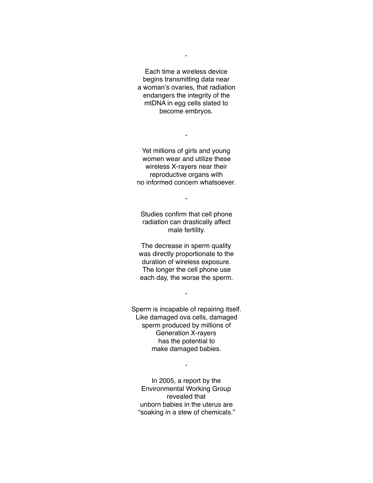Each time a wireless device begins transmitting data near a woman's ovaries, that radiation endangers the integrity of the mtDNA in egg cells slated to become embryos.

-

Yet millions of girls and young women wear and utilize these wireless X-rayers near their reproductive organs with no informed concern whatsoever.

-

Studies confirm that cell phone radiation can drastically affect male fertility.

-

The decrease in sperm quality was directly proportionate to the duration of wireless exposure. The longer the cell phone use each day, the worse the sperm.

-

Sperm is incapable of repairing itself. Like damaged ova cells, damaged sperm produced by millions of Generation X-rayers has the potential to make damaged babies.

In 2005, a report by the Environmental Working Group revealed that unborn babies in the uterus are "soaking in a stew of chemicals."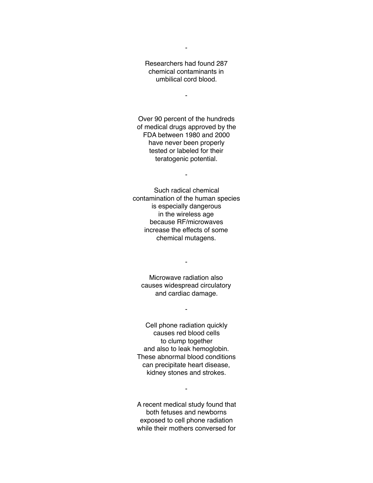Researchers had found 287 chemical contaminants in umbilical cord blood.

-

-

Over 90 percent of the hundreds of medical drugs approved by the FDA between 1980 and 2000 have never been properly tested or labeled for their teratogenic potential.

-

Such radical chemical contamination of the human species is especially dangerous in the wireless age because RF/microwaves increase the effects of some chemical mutagens.

Microwave radiation also causes widespread circulatory and cardiac damage.

-

-

Cell phone radiation quickly causes red blood cells to clump together and also to leak hemoglobin. These abnormal blood conditions can precipitate heart disease, kidney stones and strokes.

A recent medical study found that both fetuses and newborns exposed to cell phone radiation while their mothers conversed for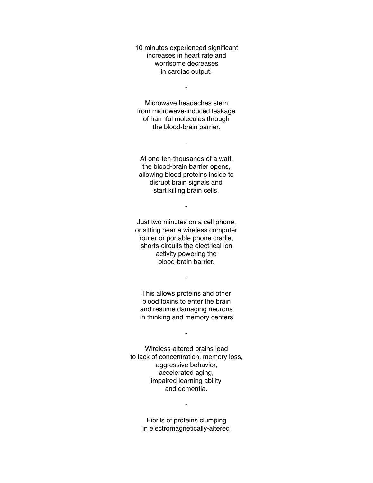10 minutes experienced significant increases in heart rate and worrisome decreases in cardiac output.

-

Microwave headaches stem from microwave-induced leakage of harmful molecules through the blood-brain barrier.

-

At one-ten-thousands of a watt, the blood-brain barrier opens, allowing blood proteins inside to disrupt brain signals and start killing brain cells.

-

Just two minutes on a cell phone, or sitting near a wireless computer router or portable phone cradle, shorts-circuits the electrical ion activity powering the blood-brain barrier.

This allows proteins and other blood toxins to enter the brain and resume damaging neurons in thinking and memory centers

-

-

Wireless-altered brains lead to lack of concentration, memory loss, aggressive behavior, accelerated aging, impaired learning ability and dementia.

> Fibrils of proteins clumping in electromagnetically-altered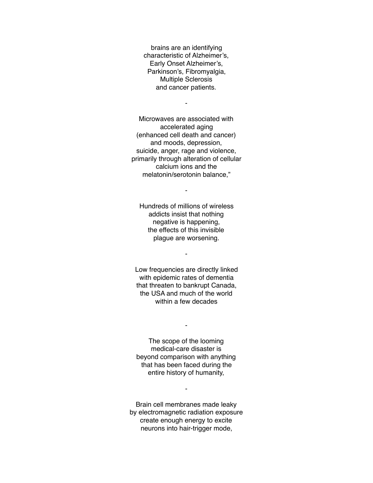brains are an identifying characteristic of Alzheimer's, Early Onset Alzheimer's, Parkinson's, Fibromyalgia, Multiple Sclerosis and cancer patients.

-

Microwaves are associated with accelerated aging (enhanced cell death and cancer) and moods, depression, suicide, anger, rage and violence, primarily through alteration of cellular calcium ions and the melatonin/serotonin balance,"

Hundreds of millions of wireless addicts insist that nothing negative is happening, the effects of this invisible plague are worsening.

-

-

Low frequencies are directly linked with epidemic rates of dementia that threaten to bankrupt Canada, the USA and much of the world within a few decades

The scope of the looming medical-care disaster is beyond comparison with anything that has been faced during the entire history of humanity,

-

Brain cell membranes made leaky by electromagnetic radiation exposure create enough energy to excite neurons into hair-trigger mode,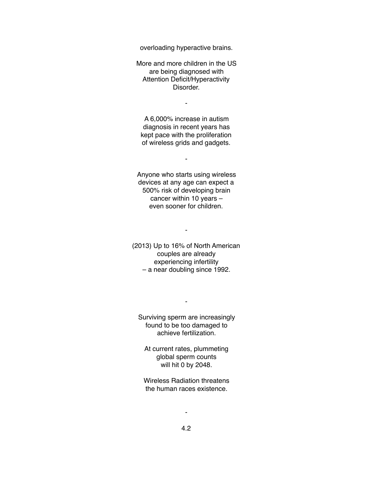overloading hyperactive brains.

More and more children in the US are being diagnosed with Attention Deficit/Hyperactivity Disorder.

-

A 6,000% increase in autism diagnosis in recent years has kept pace with the proliferation of wireless grids and gadgets.

-

Anyone who starts using wireless devices at any age can expect a 500% risk of developing brain cancer within 10 years – even sooner for children.

(2013) Up to 16% of North American couples are already experiencing infertility – a near doubling since 1992.

-

Surviving sperm are increasingly found to be too damaged to achieve fertilization.

-

At current rates, plummeting global sperm counts will hit 0 by 2048.

Wireless Radiation threatens the human races existence.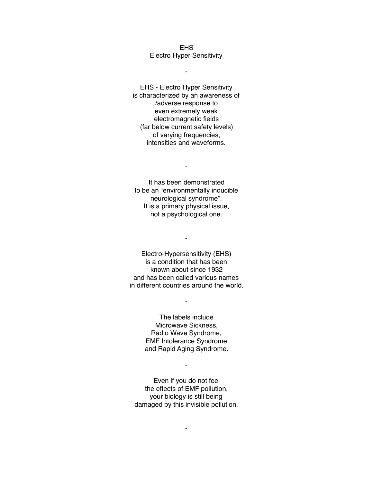EHS Electro Hyper Sensitivity

-

EHS - Electro Hyper Sensitivity is characterized by an awareness of /adverse response to even extremely weak electromagnetic fields (far below current safety levels) of varying frequencies, intensities and waveforms.

-

It has been demonstrated to be an "environmentally inducible neurological syndrome". It is a primary physical issue, not a psychological one.

Electro-Hypersensitivity (EHS) is a condition that has been known about since 1932 and has been called various names in different countries around the world.

-

-

The labels include Microwave Sickness, Radio Wave Syndrome, EMF Intolerance Syndrome and Rapid Aging Syndrome.

Even if you do not feel the effects of EMF pollution, your biology is still being damaged by this invisible pollution.

-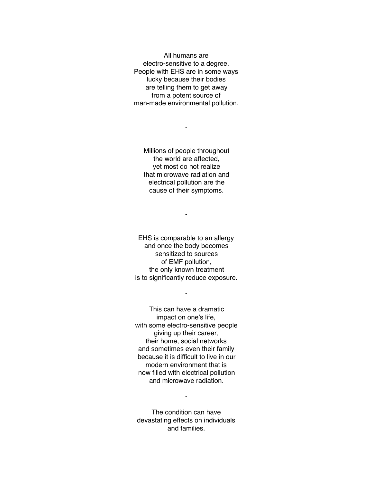All humans are electro-sensitive to a degree. People with EHS are in some ways lucky because their bodies are telling them to get away from a potent source of man-made environmental pollution.

Millions of people throughout the world are affected, yet most do not realize that microwave radiation and electrical pollution are the cause of their symptoms.

-

-

EHS is comparable to an allergy and once the body becomes sensitized to sources of EMF pollution, the only known treatment is to significantly reduce exposure.

-

This can have a dramatic impact on one's life, with some electro-sensitive people giving up their career, their home, social networks and sometimes even their family because it is difficult to live in our modern environment that is now filled with electrical pollution and microwave radiation.

The condition can have devastating effects on individuals and families.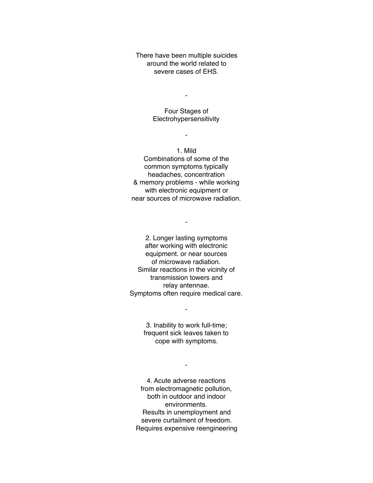There have been multiple suicides around the world related to severe cases of EHS.

-

Four Stages of Electrohypersensitivity

-

1. Mild Combinations of some of the common symptoms typically headaches, concentration & memory problems - while working with electronic equipment or near sources of microwave radiation.

2. Longer lasting symptoms after working with electronic equipment. or near sources of microwave radiation. Similar reactions in the vicinity of transmission towers and relay antennae. Symptoms often require medical care.

-

3. Inability to work full-time; frequent sick leaves taken to cope with symptoms.

-

-

4. Acute adverse reactions from electromagnetic pollution, both in outdoor and indoor environments. Results in unemployment and severe curtailment of freedom. Requires expensive reengineering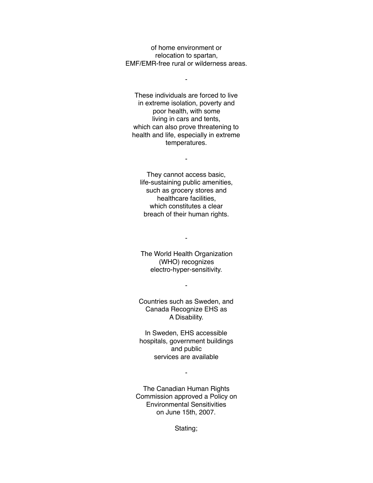of home environment or relocation to spartan, EMF/EMR-free rural or wilderness areas.

-

These individuals are forced to live in extreme isolation, poverty and poor health, with some living in cars and tents, which can also prove threatening to health and life, especially in extreme temperatures.

They cannot access basic, life-sustaining public amenities, such as grocery stores and healthcare facilities, which constitutes a clear breach of their human rights.

-

The World Health Organization (WHO) recognizes electro-hyper-sensitivity.

-

Countries such as Sweden, and Canada Recognize EHS as A Disability.

-

In Sweden, EHS accessible hospitals, government buildings and public services are available

The Canadian Human Rights Commission approved a Policy on Environmental Sensitivities on June 15th, 2007.

-

Stating;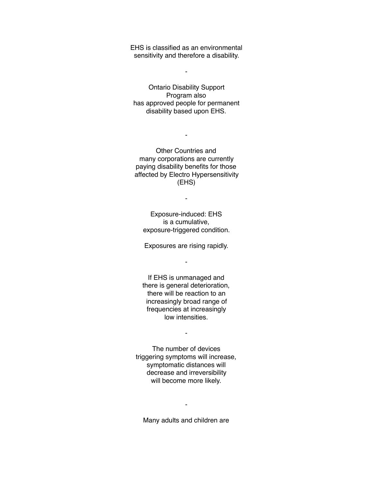EHS is classified as an environmental sensitivity and therefore a disability.

-

Ontario Disability Support Program also has approved people for permanent disability based upon EHS.

Other Countries and many corporations are currently paying disability benefits for those affected by Electro Hypersensitivity (EHS)

-

Exposure-induced: EHS is a cumulative, exposure-triggered condition.

-

Exposures are rising rapidly.

-

If EHS is unmanaged and there is general deterioration, there will be reaction to an increasingly broad range of frequencies at increasingly low intensities.

-

The number of devices triggering symptoms will increase, symptomatic distances will decrease and irreversibility will become more likely.

Many adults and children are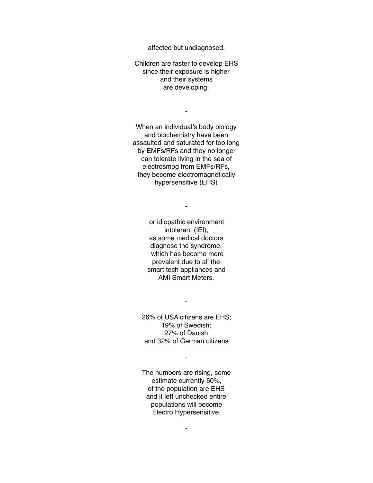affected but undiagnosed.

Children are faster to develop EHS since their exposure is higher and their systems are developing.

-

When an individual's body biology and biochemistry have been assaulted and saturated for too long by EMFs/RFs and they no longer can tolerate living in the sea of electrosmog from EMFs/RFs, they become electromagnetically hypersensitive (EHS)

> or idiopathic environment intolerant (IEI), as some medical doctors diagnose the syndrome, which has become more prevalent due to all the smart tech appliances and AMI Smart Meters.

-

-

26% of USA citizens are EHS; 19% of Swedish; 27% of Danish and 32% of German citizens

-

The numbers are rising, some estimate currently 50%, of the population are EHS and if left unchecked entire populations will become Electro Hypersensitive,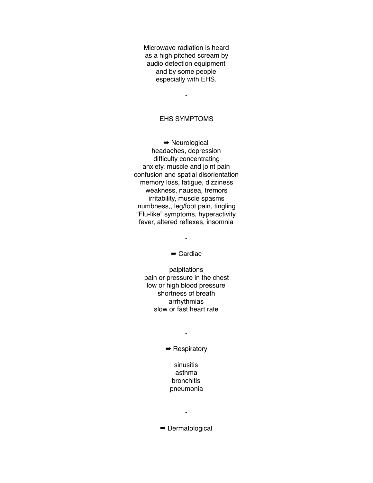Microwave radiation is heard as a high pitched scream by audio detection equipment and by some people especially with EHS.

-

# EHS SYMPTOMS

➡ Neurological headaches, depression difficulty concentrating anxiety, muscle and joint pain confusion and spatial disorientation memory loss, fatigue, dizziness weakness, nausea, tremors irritability, muscle spasms numbness,, leg/foot pain, tingling "Flu-like" symptoms, hyperactivity fever, altered reflexes, insomnia

➡ Cardiac

-

palpitations pain or pressure in the chest low or high blood pressure shortness of breath arrhythmias slow or fast heart rate

➡ Respiratory

-

sinusitis asthma bronchitis pneumonia

➡ Dermatological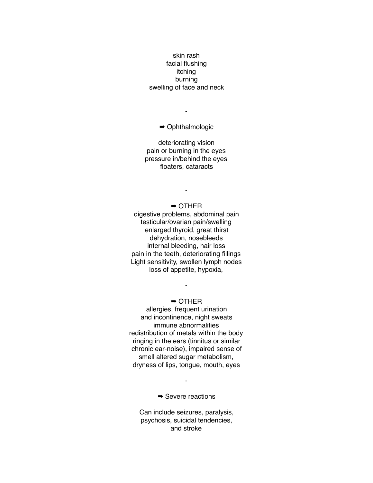# skin rash facial flushing itching burning swelling of face and neck

➡ Ophthalmologic

-

deteriorating vision pain or burning in the eyes pressure in/behind the eyes floaters, cataracts

-

➡ OTHER digestive problems, abdominal pain testicular/ovarian pain/swelling enlarged thyroid, great thirst dehydration, nosebleeds internal bleeding, hair loss pain in the teeth, deteriorating fillings Light sensitivity, swollen lymph nodes loss of appetite, hypoxia,

### ➡ OTHER

-

allergies, frequent urination and incontinence, night sweats immune abnormalities redistribution of metals within the body ringing in the ears (tinnitus or similar chronic ear-noise), impaired sense of smell altered sugar metabolism, dryness of lips, tongue, mouth, eyes

 $\rightarrow$  **Severe reactions** 

-

Can include seizures, paralysis, psychosis, suicidal tendencies, and stroke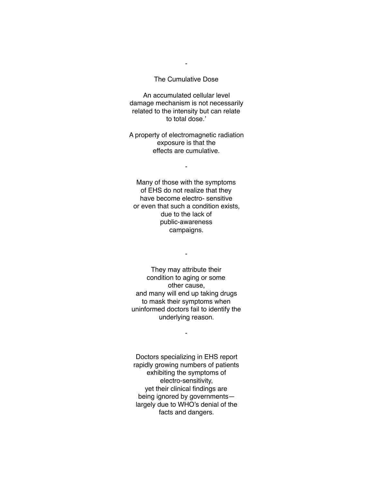#### The Cumulative Dose

-

An accumulated cellular level damage mechanism is not necessarily related to the intensity but can relate to total dose.'

A property of electromagnetic radiation exposure is that the effects are cumulative.

-

Many of those with the symptoms of EHS do not realize that they have become electro- sensitive or even that such a condition exists, due to the lack of public-awareness campaigns.

They may attribute their condition to aging or some other cause, and many will end up taking drugs to mask their symptoms when uninformed doctors fail to identify the underlying reason.

-

-

Doctors specializing in EHS report rapidly growing numbers of patients exhibiting the symptoms of electro-sensitivity, yet their clinical findings are being ignored by governments largely due to WHO's denial of the facts and dangers.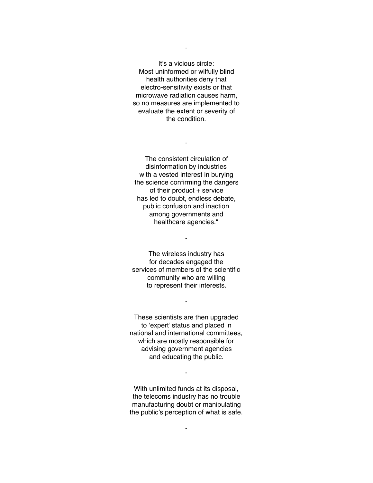It's a vicious circle: Most uninformed or wilfully blind health authorities deny that electro-sensitivity exists or that microwave radiation causes harm, so no measures are implemented to evaluate the extent or severity of the condition.

The consistent circulation of disinformation by industries with a vested interest in burying the science confirming the dangers of their product + service has led to doubt, endless debate, public confusion and inaction among governments and healthcare agencies."

-

The wireless industry has for decades engaged the services of members of the scientific community who are willing to represent their interests.

-

-

These scientists are then upgraded to 'expert' status and placed in national and international committees, which are mostly responsible for advising government agencies and educating the public.

With unlimited funds at its disposal, the telecoms industry has no trouble manufacturing doubt or manipulating the public's perception of what is safe.

-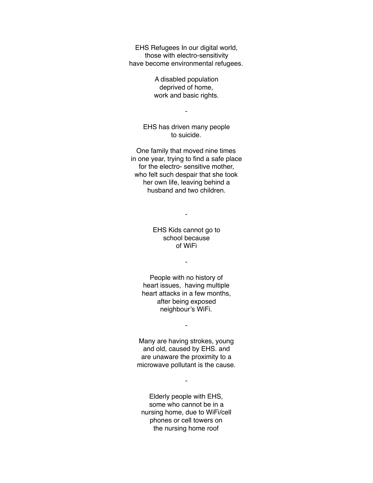EHS Refugees In our digital world, those with electro-sensitivity have become environmental refugees.

> A disabled population deprived of home, work and basic rights.

EHS has driven many people to suicide.

-

One family that moved nine times in one year, trying to find a safe place for the electro- sensitive mother, who felt such despair that she took her own life, leaving behind a husband and two children.

-

EHS Kids cannot go to school because of WiFi

-

People with no history of heart issues, having multiple heart attacks in a few months, after being exposed neighbour's WiFi.

-

Many are having strokes, young and old, caused by EHS. and are unaware the proximity to a microwave pollutant is the cause.

Elderly people with EHS, some who cannot be in a nursing home, due to WiFi/cell phones or cell towers on the nursing home roof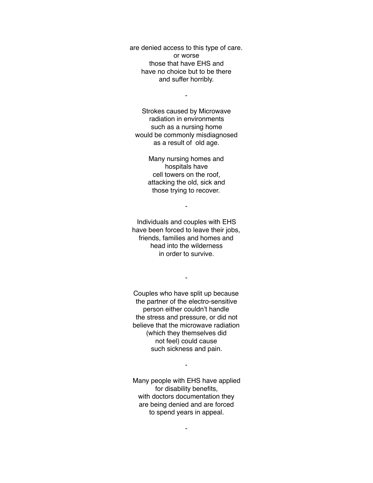are denied access to this type of care. or worse those that have EHS and have no choice but to be there and suffer horribly.

-

Strokes caused by Microwave radiation in environments such as a nursing home would be commonly misdiagnosed as a result of old age.

> Many nursing homes and hospitals have cell towers on the roof, attacking the old, sick and those trying to recover.

> > -

Individuals and couples with EHS have been forced to leave their jobs, friends, families and homes and head into the wilderness in order to survive.

-

Couples who have split up because the partner of the electro-sensitive person either couldn't handle the stress and pressure, or did not believe that the microwave radiation (which they themselves did not feel) could cause such sickness and pain.

Many people with EHS have applied for disability benefits, with doctors documentation they are being denied and are forced to spend years in appeal.

-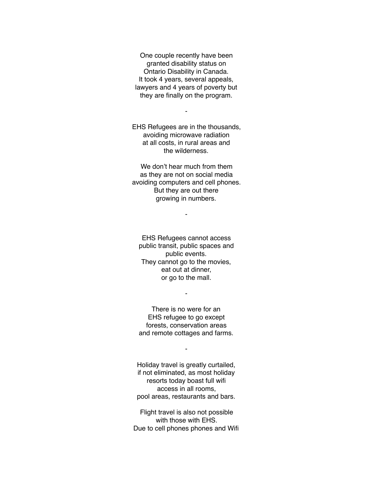One couple recently have been granted disability status on Ontario Disability in Canada. It took 4 years, several appeals, lawyers and 4 years of poverty but they are finally on the program.

EHS Refugees are in the thousands, avoiding microwave radiation at all costs, in rural areas and the wilderness.

-

We don't hear much from them as they are not on social media avoiding computers and cell phones. But they are out there growing in numbers.

-

EHS Refugees cannot access public transit, public spaces and public events. They cannot go to the movies, eat out at dinner, or go to the mall.

There is no were for an EHS refugee to go except forests, conservation areas and remote cottages and farms.

-

-

Holiday travel is greatly curtailed, if not eliminated, as most holiday resorts today boast full wifi access in all rooms, pool areas, restaurants and bars.

Flight travel is also not possible with those with EHS. Due to cell phones phones and Wifi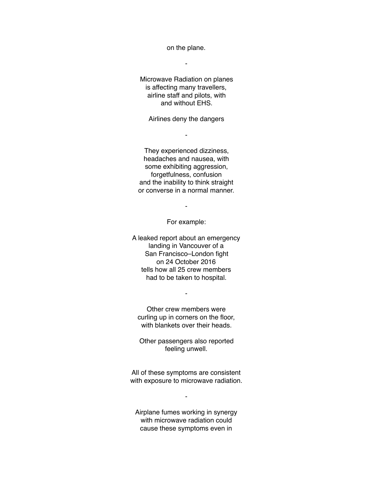on the plane.

-

Microwave Radiation on planes is affecting many travellers, airline staff and pilots, with and without EHS.

Airlines deny the dangers

-

They experienced dizziness, headaches and nausea, with some exhibiting aggression, forgetfulness, confusion and the inability to think straight or converse in a normal manner.

-

For example:

A leaked report about an emergency landing in Vancouver of a San Francisco–London fight on 24 October 2016 tells how all 25 crew members had to be taken to hospital.

Other crew members were curling up in corners on the floor, with blankets over their heads.

-

Other passengers also reported feeling unwell.

All of these symptoms are consistent with exposure to microwave radiation.

-

Airplane fumes working in synergy with microwave radiation could cause these symptoms even in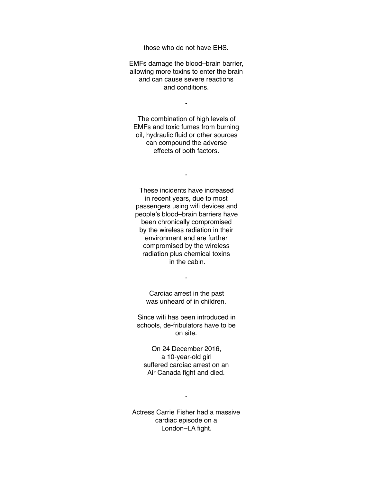those who do not have EHS.

EMFs damage the blood–brain barrier, allowing more toxins to enter the brain and can cause severe reactions and conditions.

-

The combination of high levels of EMFs and toxic fumes from burning oil, hydraulic fluid or other sources can compound the adverse effects of both factors.

-

These incidents have increased in recent years, due to most passengers using wifi devices and people's blood–brain barriers have been chronically compromised by the wireless radiation in their environment and are further compromised by the wireless radiation plus chemical toxins in the cabin.

> Cardiac arrest in the past was unheard of in children.

-

Since wifi has been introduced in schools, de-fribulators have to be on site.

On 24 December 2016, a 10-year-old girl suffered cardiac arrest on an Air Canada fight and died.

Actress Carrie Fisher had a massive cardiac episode on a London–LA fight.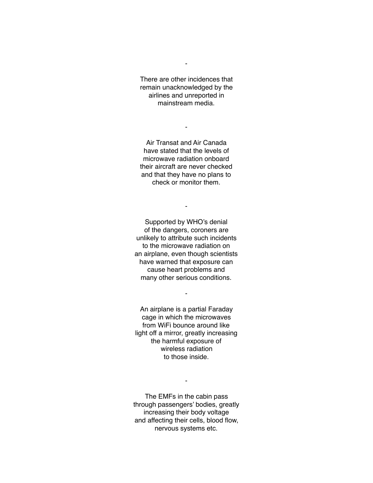There are other incidences that remain unacknowledged by the airlines and unreported in mainstream media.

-

-

Air Transat and Air Canada have stated that the levels of microwave radiation onboard their aircraft are never checked and that they have no plans to check or monitor them.

-

Supported by WHO's denial of the dangers, coroners are unlikely to attribute such incidents to the microwave radiation on an airplane, even though scientists have warned that exposure can cause heart problems and many other serious conditions.

An airplane is a partial Faraday cage in which the microwaves from WiFi bounce around like light off a mirror, greatly increasing the harmful exposure of wireless radiation to those inside.

-

The EMFs in the cabin pass through passengers' bodies, greatly increasing their body voltage and affecting their cells, blood flow, nervous systems etc.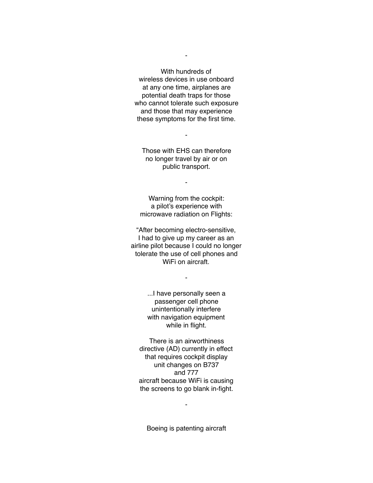With hundreds of wireless devices in use onboard at any one time, airplanes are potential death traps for those who cannot tolerate such exposure and those that may experience these symptoms for the first time.

-

Those with EHS can therefore no longer travel by air or on public transport.

-

-

Warning from the cockpit: a pilot's experience with microwave radiation on Flights:

"After becoming electro-sensitive, I had to give up my career as an airline pilot because I could no longer tolerate the use of cell phones and WiFi on aircraft

-

...I have personally seen a passenger cell phone unintentionally interfere with navigation equipment while in flight.

There is an airworthiness directive (AD) currently in effect that requires cockpit display unit changes on B737 and 777 aircraft because WiFi is causing the screens to go blank in-fight.

Boeing is patenting aircraft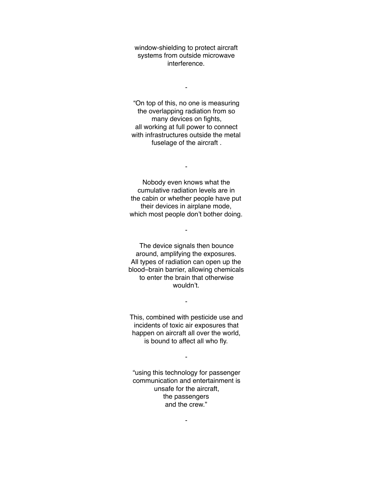window-shielding to protect aircraft systems from outside microwave interference.

-

"On top of this, no one is measuring the overlapping radiation from so many devices on fights, all working at full power to connect with infrastructures outside the metal fuselage of the aircraft .

Nobody even knows what the cumulative radiation levels are in the cabin or whether people have put their devices in airplane mode, which most people don't bother doing.

-

-

The device signals then bounce around, amplifying the exposures. All types of radiation can open up the blood–brain barrier, allowing chemicals to enter the brain that otherwise wouldn't.

This, combined with pesticide use and incidents of toxic air exposures that happen on aircraft all over the world, is bound to affect all who fly.

-

-

"using this technology for passenger communication and entertainment is unsafe for the aircraft, the passengers and the crew."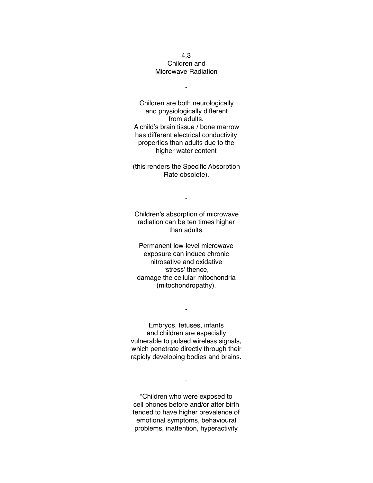### 4.3 Children and Microwave Radiation

-

Children are both neurologically and physiologically different from adults. A child's brain tissue / bone marrow has different electrical conductivity properties than adults due to the higher water content

(this renders the Specific Absorption Rate obsolete).

Children's absorption of microwave radiation can be ten times higher than adults.

-

Permanent low-level microwave exposure can induce chronic nitrosative and oxidative 'stress' thence, damage the cellular mitochondria (mitochondropathy).

Embryos, fetuses, infants and children are especially vulnerable to pulsed wireless signals, which penetrate directly through their rapidly developing bodies and brains.

-

"Children who were exposed to cell phones before and/or after birth tended to have higher prevalence of emotional symptoms, behavioural problems, inattention, hyperactivity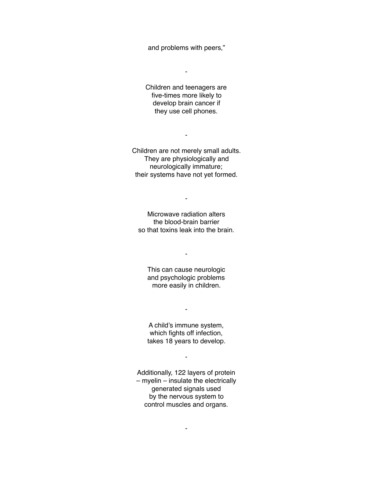and problems with peers,"

-

Children and teenagers are five-times more likely to develop brain cancer if they use cell phones.

Children are not merely small adults. They are physiologically and neurologically immature; their systems have not yet formed.

-

Microwave radiation alters the blood-brain barrier so that toxins leak into the brain.

-

This can cause neurologic and psychologic problems more easily in children.

-

A child's immune system, which fights off infection, takes 18 years to develop.

-

-

Additionally, 122 layers of protein – myelin – insulate the electrically generated signals used by the nervous system to control muscles and organs.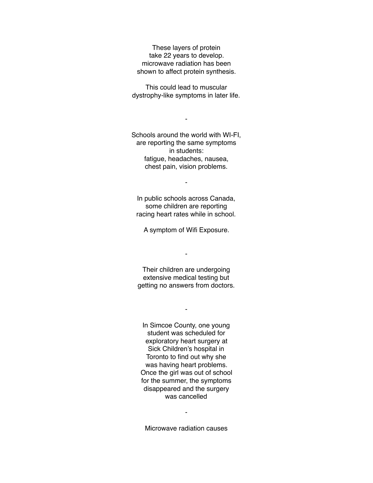These layers of protein take 22 years to develop. microwave radiation has been shown to affect protein synthesis.

This could lead to muscular dystrophy-like symptoms in later life.

-

Schools around the world with WI-FI, are reporting the same symptoms in students: fatigue, headaches, nausea, chest pain, vision problems.

In public schools across Canada, some children are reporting racing heart rates while in school.

-

A symptom of Wifi Exposure.

-

Their children are undergoing extensive medical testing but getting no answers from doctors.

-

In Simcoe County, one young student was scheduled for exploratory heart surgery at Sick Children's hospital in Toronto to find out why she was having heart problems. Once the girl was out of school for the summer, the symptoms disappeared and the surgery was cancelled

Microwave radiation causes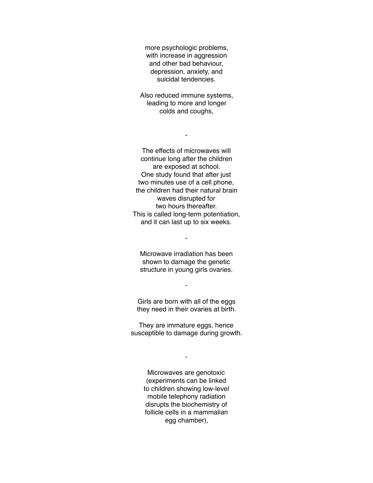more psychologic problems, with increase in aggression and other bad behaviour, depression, anxiety, and suicidal tendencies.

Also reduced immune systems, leading to more and longer colds and coughs,

-

The effects of microwaves will continue long after the children are exposed at school. One study found that after just two minutes use of a cell phone, the children had their natural brain waves disrupted for two hours thereafter. This is called long-term potentiation, and it can last up to six weeks.

Microwave irradiation has been shown to damage the genetic structure in young girls ovaries.

-

Girls are born with all of the eggs they need in their ovaries at birth.

-

They are immature eggs, hence susceptible to damage during growth.

-

Microwaves are genotoxic (experiments can be linked to children showing low-level mobile telephony radiation disrupts the biochemistry of follicle cells in a mammalian egg chamber),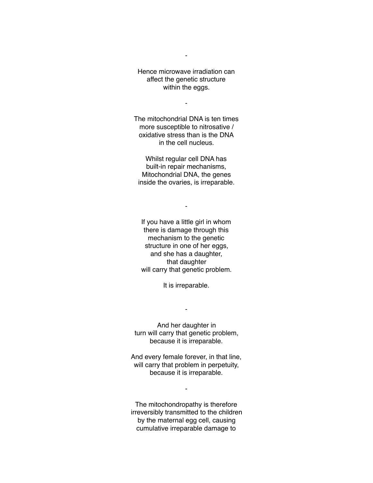Hence microwave irradiation can affect the genetic structure within the eggs.

-

-

The mitochondrial DNA is ten times more susceptible to nitrosative / oxidative stress than is the DNA in the cell nucleus.

Whilst regular cell DNA has built-in repair mechanisms, Mitochondrial DNA, the genes inside the ovaries, is irreparable.

-

If you have a little girl in whom there is damage through this mechanism to the genetic structure in one of her eggs, and she has a daughter, that daughter will carry that genetic problem.

It is irreparable.

-

And her daughter in turn will carry that genetic problem, because it is irreparable.

And every female forever, in that line, will carry that problem in perpetuity, because it is irreparable.

-

The mitochondropathy is therefore irreversibly transmitted to the children by the maternal egg cell, causing cumulative irreparable damage to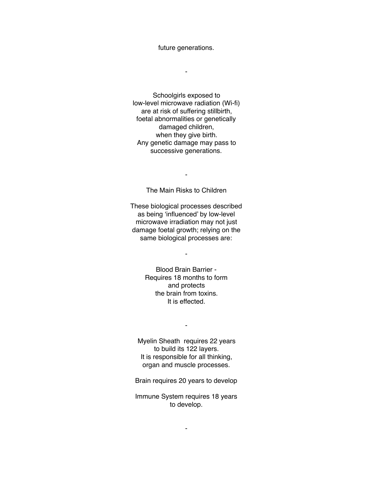future generations.

-

Schoolgirls exposed to low-level microwave radiation (Wi-fi) are at risk of suffering stillbirth, foetal abnormalities or genetically damaged children, when they give birth. Any genetic damage may pass to successive generations.

The Main Risks to Children

-

These biological processes described as being 'influenced' by low-level microwave irradiation may not just damage foetal growth; relying on the same biological processes are:

-

Blood Brain Barrier - Requires 18 months to form and protects the brain from toxins. It is effected.

Myelin Sheath requires 22 years to build its 122 layers. It is responsible for all thinking, organ and muscle processes.

-

Brain requires 20 years to develop

Immune System requires 18 years to develop.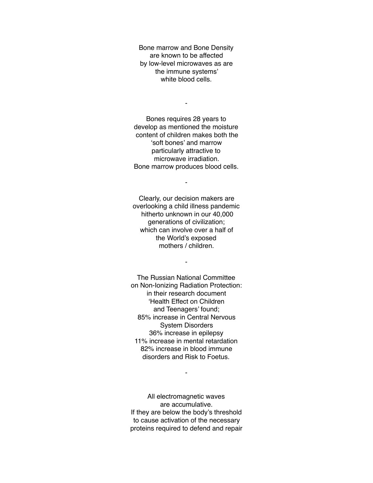Bone marrow and Bone Density are known to be affected by low-level microwaves as are the immune systems' white blood cells.

-

Bones requires 28 years to develop as mentioned the moisture content of children makes both the 'soft bones' and marrow particularly attractive to microwave irradiation. Bone marrow produces blood cells.

-

Clearly, our decision makers are overlooking a child illness pandemic hitherto unknown in our 40,000 generations of civilization; which can involve over a half of the World's exposed mothers / children.

-

The Russian National Committee on Non-Ionizing Radiation Protection: in their research document 'Health Effect on Children and Teenagers' found; 85% increase in Central Nervous System Disorders 36% increase in epilepsy 11% increase in mental retardation 82% increase in blood immune disorders and Risk to Foetus.

All electromagnetic waves are accumulative. If they are below the body's threshold to cause activation of the necessary proteins required to defend and repair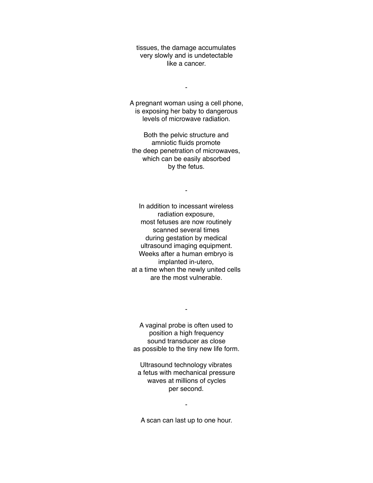tissues, the damage accumulates very slowly and is undetectable like a cancer.

-

A pregnant woman using a cell phone, is exposing her baby to dangerous levels of microwave radiation.

Both the pelvic structure and amniotic fluids promote the deep penetration of microwaves, which can be easily absorbed by the fetus.

-

In addition to incessant wireless radiation exposure, most fetuses are now routinely scanned several times during gestation by medical ultrasound imaging equipment. Weeks after a human embryo is implanted in-utero, at a time when the newly united cells are the most vulnerable.

A vaginal probe is often used to position a high frequency sound transducer as close as possible to the tiny new life form.

-

Ultrasound technology vibrates a fetus with mechanical pressure waves at millions of cycles per second.

A scan can last up to one hour.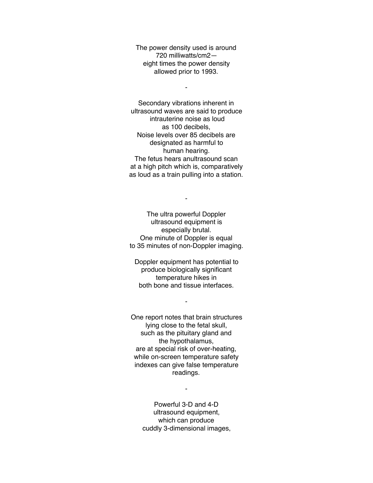The power density used is around 720 milliwatts/cm2 eight times the power density allowed prior to 1993.

-

Secondary vibrations inherent in ultrasound waves are said to produce intrauterine noise as loud as 100 decibels, Noise levels over 85 decibels are designated as harmful to human hearing. The fetus hears anultrasound scan at a high pitch which is, comparatively as loud as a train pulling into a station.

The ultra powerful Doppler ultrasound equipment is especially brutal. One minute of Doppler is equal to 35 minutes of non-Doppler imaging.

-

Doppler equipment has potential to produce biologically significant temperature hikes in both bone and tissue interfaces.

-

One report notes that brain structures lying close to the fetal skull, such as the pituitary gland and the hypothalamus, are at special risk of over-heating, while on-screen temperature safety indexes can give false temperature readings.

-

Powerful 3-D and 4-D ultrasound equipment, which can produce cuddly 3-dimensional images,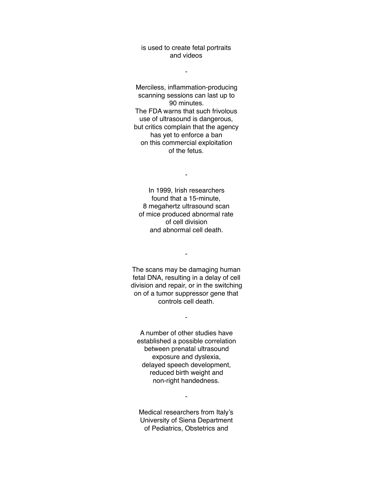## is used to create fetal portraits and videos

-

Merciless, inflammation-producing scanning sessions can last up to 90 minutes. The FDA warns that such frivolous use of ultrasound is dangerous, but critics complain that the agency has yet to enforce a ban on this commercial exploitation of the fetus.

In 1999, Irish researchers found that a 15-minute, 8 megahertz ultrasound scan of mice produced abnormal rate of cell division and abnormal cell death.

-

The scans may be damaging human fetal DNA, resulting in a delay of cell division and repair, or in the switching on of a tumor suppressor gene that controls cell death.

-

-

A number of other studies have established a possible correlation between prenatal ultrasound exposure and dyslexia, delayed speech development, reduced birth weight and non-right handedness.

Medical researchers from Italy's University of Siena Department of Pediatrics, Obstetrics and

 $\blacksquare$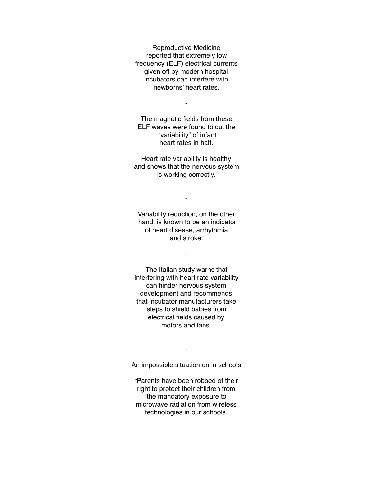Reproductive Medicine reported that extremely low frequency (ELF) electrical currents given off by modern hospital incubators can interfere with newborns' heart rates.

-

The magnetic fields from these ELF waves were found to cut the "variability" of infant heart rates in half.

Heart rate variability is healthy and shows that the nervous system is working correctly.

-

Variability reduction, on the other hand, is known to be an indicator of heart disease, arrhythmia and stroke.

-

The Italian study warns that interfering with heart rate variability can hinder nervous system development and recommends that incubator manufacturers take steps to shield babies from electrical fields caused by motors and fans.

An impossible situation on in schools

-

"Parents have been robbed of their right to protect their children from the mandatory exposure to microwave radiation from wireless technologies in our schools.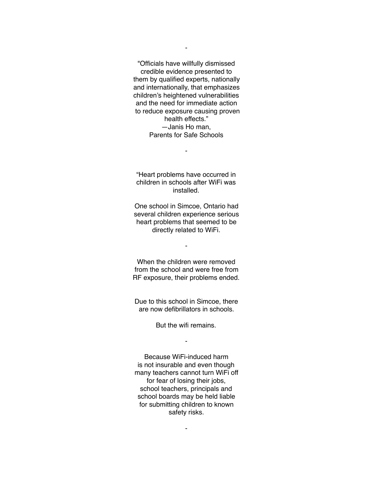"Officials have willfully dismissed credible evidence presented to them by qualified experts, nationally and internationally, that emphasizes children's heightened vulnerabilities and the need for immediate action to reduce exposure causing proven health effects." —Janis Ho man, Parents for Safe Schools

"Heart problems have occurred in children in schools after WiFi was installed.

-

One school in Simcoe, Ontario had several children experience serious heart problems that seemed to be directly related to WiFi.

-

When the children were removed from the school and were free from RF exposure, their problems ended.

Due to this school in Simcoe, there are now defibrillators in schools.

But the wifi remains.

-

Because WiFi-induced harm is not insurable and even though many teachers cannot turn WiFi off for fear of losing their jobs, school teachers, principals and school boards may be held liable for submitting children to known safety risks.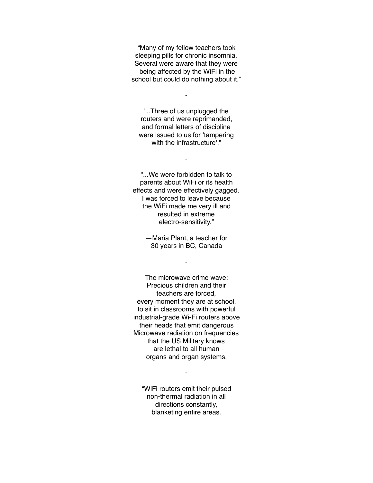"Many of my fellow teachers took sleeping pills for chronic insomnia. Several were aware that they were being affected by the WiFi in the school but could do nothing about it."

"..Three of us unplugged the routers and were reprimanded, and formal letters of discipline were issued to us for 'tampering with the infrastructure'"

-

-

"...We were forbidden to talk to parents about WiFi or its health effects and were effectively gagged. I was forced to leave because the WiFi made me very ill and resulted in extreme electro-sensitivity."

> —Maria Plant, a teacher for 30 years in BC, Canada

> > -

The microwave crime wave: Precious children and their teachers are forced, every moment they are at school, to sit in classrooms with powerful industrial-grade Wi-Fi routers above their heads that emit dangerous Microwave radiation on frequencies that the US Military knows are lethal to all human organs and organ systems.

"WiFi routers emit their pulsed non-thermal radiation in all directions constantly, blanketing entire areas.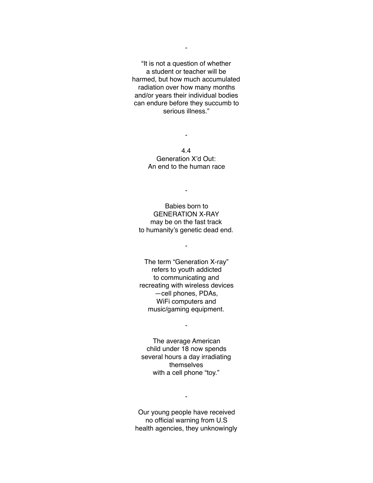"It is not a question of whether a student or teacher will be harmed, but how much accumulated radiation over how many months and/or years their individual bodies can endure before they succumb to serious illness."

> 4.4 Generation X'd Out: An end to the human race

-

-

Babies born to GENERATION X-RAY may be on the fast track to humanity's genetic dead end.

-

The term "Generation X-ray" refers to youth addicted to communicating and recreating with wireless devices —cell phones, PDAs, WiFi computers and music/gaming equipment.

The average American child under 18 now spends several hours a day irradiating themselves with a cell phone "toy."

-

Our young people have received no official warning from U.S health agencies, they unknowingly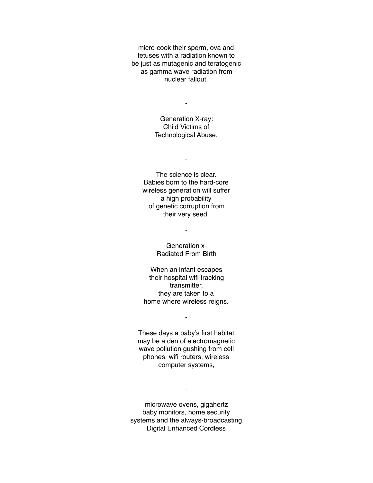micro-cook their sperm, ova and fetuses with a radiation known to be just as mutagenic and teratogenic as gamma wave radiation from nuclear fallout.

-

Generation X-ray: Child Victims of Technological Abuse.

-

The science is clear. Babies born to the hard-core wireless generation will suffer a high probability of genetic corruption from their very seed.

-

Generation x-Radiated From Birth

When an infant escapes their hospital wifi tracking transmitter, they are taken to a home where wireless reigns.

-

These days a baby's first habitat may be a den of electromagnetic wave pollution gushing from cell phones, wifi routers, wireless computer systems,

microwave ovens, gigahertz baby monitors, home security systems and the always-broadcasting Digital Enhanced Cordless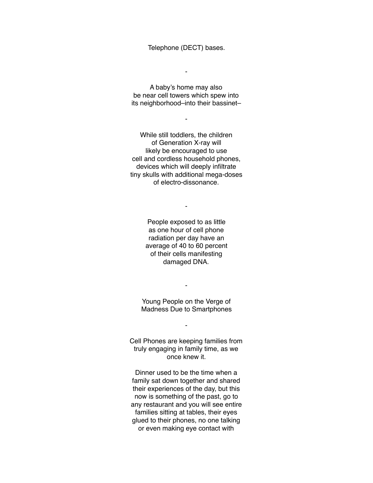Telephone (DECT) bases.

-

A baby's home may also be near cell towers which spew into its neighborhood–into their bassinet–

-

While still toddlers, the children of Generation X-ray will likely be encouraged to use cell and cordless household phones, devices which will deeply infiltrate tiny skulls with additional mega-doses of electro-dissonance.

> People exposed to as little as one hour of cell phone radiation per day have an average of 40 to 60 percent of their cells manifesting damaged DNA.

-

Young People on the Verge of Madness Due to Smartphones

-

-

Cell Phones are keeping families from truly engaging in family time, as we once knew it.

Dinner used to be the time when a family sat down together and shared their experiences of the day, but this now is something of the past, go to any restaurant and you will see entire families sitting at tables, their eyes glued to their phones, no one talking or even making eye contact with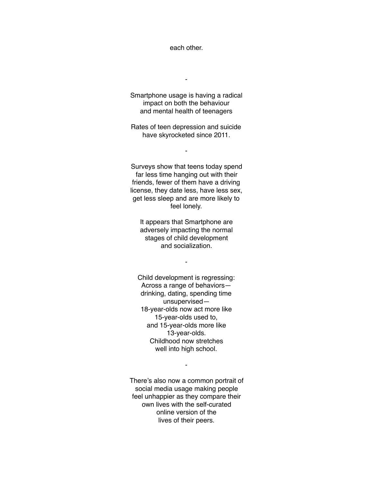each other.

-

Smartphone usage is having a radical impact on both the behaviour and mental health of teenagers

Rates of teen depression and suicide have skyrocketed since 2011.

-

Surveys show that teens today spend far less time hanging out with their friends, fewer of them have a driving license, they date less, have less sex, get less sleep and are more likely to feel lonely.

It appears that Smartphone are adversely impacting the normal stages of child development and socialization.

-

Child development is regressing: Across a range of behaviors drinking, dating, spending time unsupervised— 18-year-olds now act more like 15-year-olds used to, and 15-year-olds more like 13-year-olds. Childhood now stretches well into high school.

There's also now a common portrait of social media usage making people feel unhappier as they compare their own lives with the self-curated online version of the lives of their peers.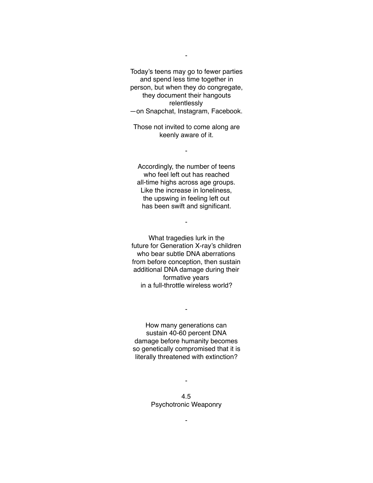Today's teens may go to fewer parties and spend less time together in person, but when they do congregate, they document their hangouts relentlessly —on Snapchat, Instagram, Facebook.

-

Those not invited to come along are keenly aware of it.

-

Accordingly, the number of teens who feel left out has reached all-time highs across age groups. Like the increase in loneliness, the upswing in feeling left out has been swift and significant.

-

What tragedies lurk in the future for Generation X-ray's children who bear subtle DNA aberrations from before conception, then sustain additional DNA damage during their formative years in a full-throttle wireless world?

How many generations can sustain 40-60 percent DNA damage before humanity becomes so genetically compromised that it is literally threatened with extinction?

-

4.5 Psychotronic Weaponry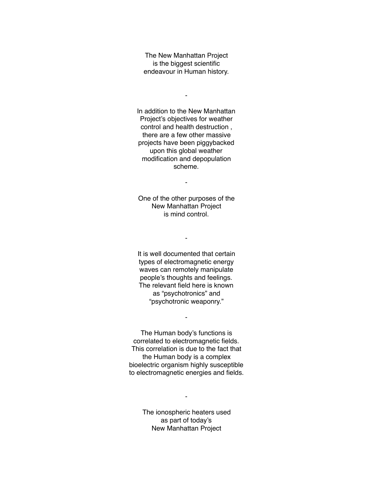The New Manhattan Project is the biggest scientific endeavour in Human history.

-

In addition to the New Manhattan Project's objectives for weather control and health destruction , there are a few other massive projects have been piggybacked upon this global weather modification and depopulation scheme.

One of the other purposes of the New Manhattan Project is mind control.

-

-

It is well documented that certain types of electromagnetic energy waves can remotely manipulate people's thoughts and feelings. The relevant field here is known as "psychotronics" and "psychotronic weaponry."

The Human body's functions is correlated to electromagnetic fields. This correlation is due to the fact that the Human body is a complex bioelectric organism highly susceptible to electromagnetic energies and fields.

-

The ionospheric heaters used as part of today's New Manhattan Project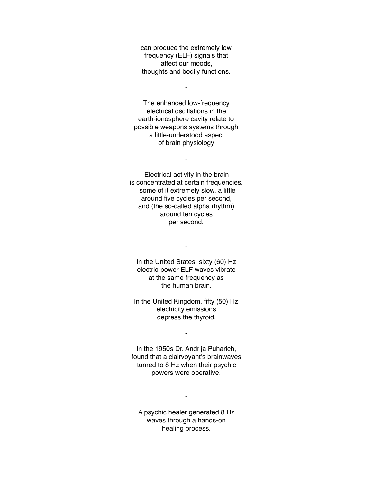can produce the extremely low frequency (ELF) signals that affect our moods, thoughts and bodily functions.

-

The enhanced low-frequency electrical oscillations in the earth-ionosphere cavity relate to possible weapons systems through a little-understood aspect of brain physiology

-

Electrical activity in the brain is concentrated at certain frequencies, some of it extremely slow, a little around five cycles per second, and (the so-called alpha rhythm) around ten cycles per second.

-

In the United States, sixty (60) Hz electric-power ELF waves vibrate at the same frequency as the human brain.

In the United Kingdom, fifty (50) Hz electricity emissions depress the thyroid.

-

In the 1950s Dr. Andrija Puharich, found that a clairvoyant's brainwaves turned to 8 Hz when their psychic powers were operative.

A psychic healer generated 8 Hz waves through a hands-on healing process,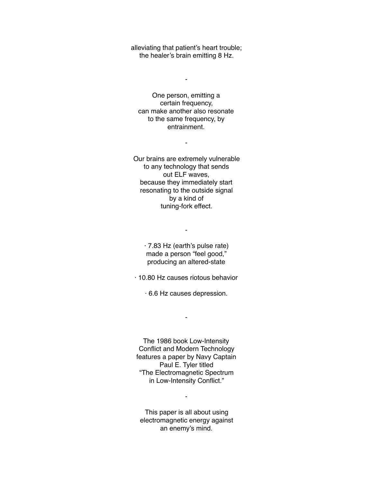alleviating that patient's heart trouble; the healer's brain emitting 8 Hz.

-

One person, emitting a certain frequency, can make another also resonate to the same frequency, by entrainment.

-

Our brains are extremely vulnerable to any technology that sends out ELF waves, because they immediately start resonating to the outside signal by a kind of tuning-fork effect.

> · 7.83 Hz (earth's pulse rate) made a person "feel good," producing an altered-state

-

· 10.80 Hz causes riotous behavior

· 6.6 Hz causes depression.

-

The 1986 book Low-Intensity Conflict and Modern Technology features a paper by Navy Captain Paul E. Tyler titled "The Electromagnetic Spectrum in Low-Intensity Conflict."

This paper is all about using electromagnetic energy against an enemy's mind.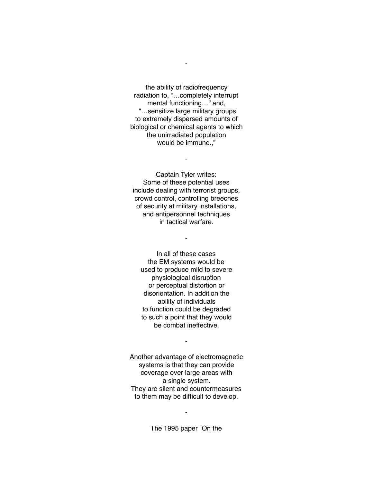the ability of radiofrequency radiation to, "…completely interrupt mental functioning…" and, "…sensitize large military groups to extremely dispersed amounts of biological or chemical agents to which the unirradiated population would be immune.,"

-

Captain Tyler writes: Some of these potential uses include dealing with terrorist groups, crowd control, controlling breeches of security at military installations, and antipersonnel techniques in tactical warfare.

-

-

In all of these cases the EM systems would be used to produce mild to severe physiological disruption or perceptual distortion or disorientation. In addition the ability of individuals to function could be degraded to such a point that they would be combat ineffective.

Another advantage of electromagnetic systems is that they can provide coverage over large areas with a single system. They are silent and countermeasures to them may be difficult to develop.

-

The 1995 paper "On the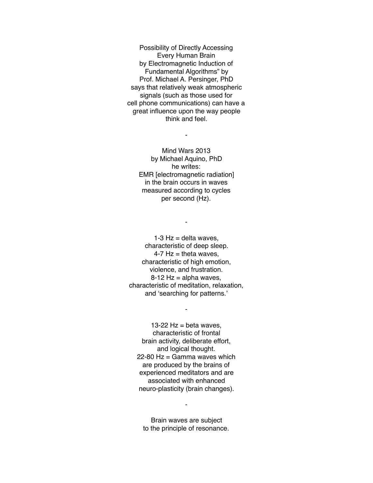Possibility of Directly Accessing Every Human Brain by Electromagnetic Induction of Fundamental Algorithms" by Prof. Michael A. Persinger, PhD says that relatively weak atmospheric signals (such as those used for cell phone communications) can have a great influence upon the way people think and feel.

-

Mind Wars 2013 by Michael Aquino, PhD he writes: EMR [electromagnetic radiation] in the brain occurs in waves measured according to cycles per second (Hz).

1-3  $Hz =$  delta waves, characteristic of deep sleep.  $4-7$  Hz = theta waves, characteristic of high emotion, violence, and frustration.  $8-12$  Hz = alpha waves, characteristic of meditation, relaxation, and 'searching for patterns.'

-

-

13-22  $Hz = beta$  waves. characteristic of frontal brain activity, deliberate effort, and logical thought. 22-80 Hz = Gamma waves which are produced by the brains of experienced meditators and are associated with enhanced neuro-plasticity (brain changes).

Brain waves are subject to the principle of resonance.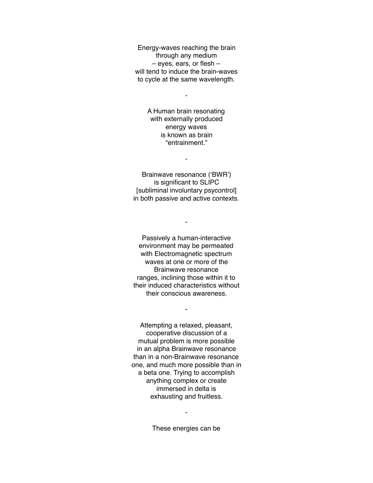Energy-waves reaching the brain through any medium – eyes, ears, or flesh – will tend to induce the brain-waves to cycle at the same wavelength.

-

A Human brain resonating with externally produced energy waves is known as brain "entrainment."

Brainwave resonance ('BWR') is significant to SLIPC [subliminal involuntary psycontrol] in both passive and active contexts.

-

-

Passively a human-interactive environment may be permeated with Electromagnetic spectrum waves at one or more of the Brainwave resonance ranges, inclining those within it to their induced characteristics without their conscious awareness.

-

Attempting a relaxed, pleasant, cooperative discussion of a mutual problem is more possible in an alpha Brainwave resonance than in a non-Brainwave resonance one, and much more possible than in a beta one. Trying to accomplish anything complex or create immersed in delta is exhausting and fruitless.

These energies can be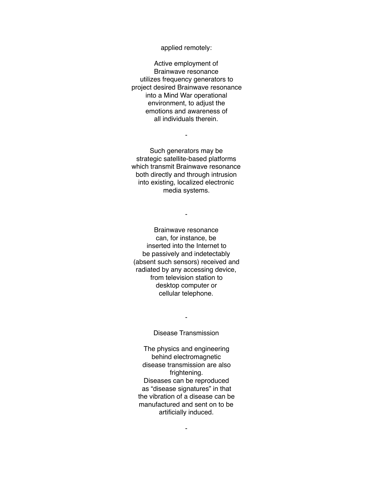applied remotely:

Active employment of Brainwave resonance utilizes frequency generators to project desired Brainwave resonance into a Mind War operational environment, to adjust the emotions and awareness of all individuals therein.

Such generators may be strategic satellite-based platforms which transmit Brainwave resonance both directly and through intrusion into existing, localized electronic media systems.

-

-

Brainwave resonance can, for instance, be inserted into the Internet to be passively and indetectably (absent such sensors) received and radiated by any accessing device, from television station to desktop computer or cellular telephone.

Disease Transmission

-

The physics and engineering behind electromagnetic disease transmission are also frightening. Diseases can be reproduced as "disease signatures" in that the vibration of a disease can be manufactured and sent on to be artificially induced.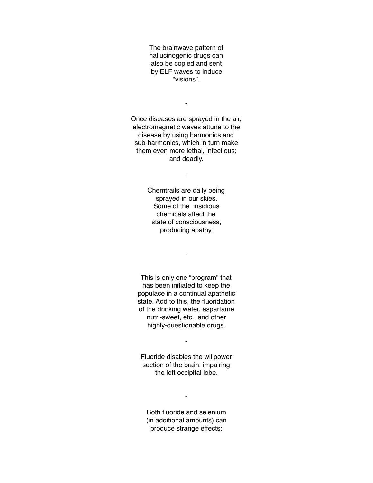The brainwave pattern of hallucinogenic drugs can also be copied and sent by ELF waves to induce "visions".

-

Once diseases are sprayed in the air, electromagnetic waves attune to the disease by using harmonics and sub-harmonics, which in turn make them even more lethal, infectious; and deadly.

-

Chemtrails are daily being sprayed in our skies. Some of the insidious chemicals affect the state of consciousness, producing apathy.

-

This is only one "program" that has been initiated to keep the populace in a continual apathetic state. Add to this, the fluoridation of the drinking water, aspartame nutri-sweet, etc., and other highly-questionable drugs.

- Fluoride disables the willpower

section of the brain, impairing the left occipital lobe.

Both fluoride and selenium (in additional amounts) can produce strange effects;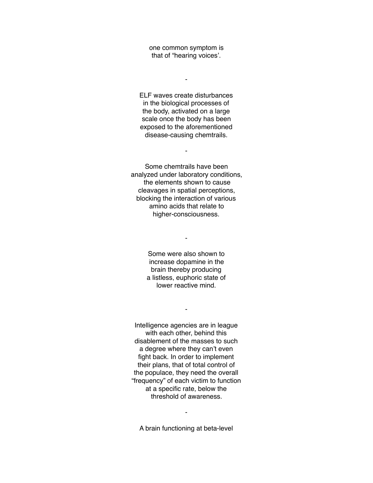one common symptom is that of "hearing voices'.

-

ELF waves create disturbances in the biological processes of the body, activated on a large scale once the body has been exposed to the aforementioned disease-causing chemtrails.

-

Some chemtrails have been analyzed under laboratory conditions, the elements shown to cause cleavages in spatial perceptions, blocking the interaction of various amino acids that relate to higher-consciousness.

> Some were also shown to increase dopamine in the brain thereby producing a listless, euphoric state of lower reactive mind.

> > -

-

Intelligence agencies are in league with each other, behind this disablement of the masses to such a degree where they can't even fight back. In order to implement their plans, that of total control of the populace, they need the overall "frequency" of each victim to function at a specific rate, below the threshold of awareness.

A brain functioning at beta-level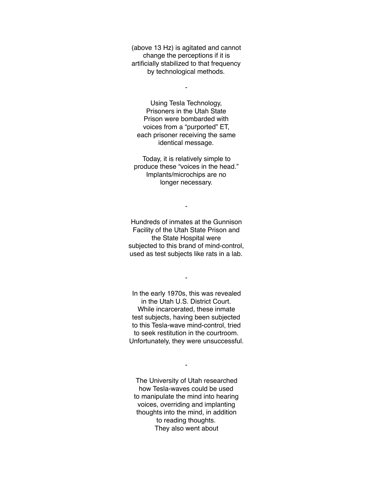(above 13 Hz) is agitated and cannot change the perceptions if it is artificially stabilized to that frequency by technological methods.

-

Using Tesla Technology, Prisoners in the Utah State Prison were bombarded with voices from a "purported" ET, each prisoner receiving the same identical message.

Today, it is relatively simple to produce these "voices in the head." Implants/microchips are no longer necessary.

-

Hundreds of inmates at the Gunnison Facility of the Utah State Prison and the State Hospital were subjected to this brand of mind-control, used as test subjects like rats in a lab.

-

In the early 1970s, this was revealed in the Utah U.S. District Court. While incarcerated, these inmate test subjects, having been subjected to this Tesla-wave mind-control, tried to seek restitution in the courtroom. Unfortunately, they were unsuccessful.

The University of Utah researched how Tesla-waves could be used to manipulate the mind into hearing voices, overriding and implanting thoughts into the mind, in addition to reading thoughts. They also went about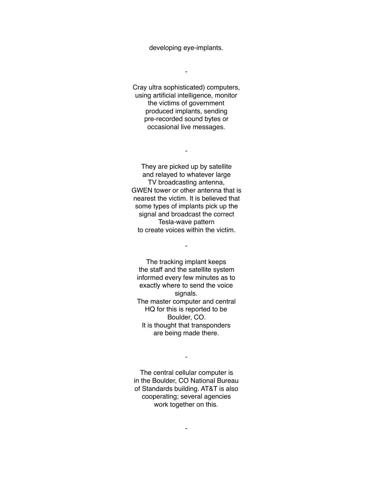developing eye-implants.

-

Cray ultra sophisticated) computers, using artificial intelligence, monitor the victims of government produced implants, sending pre-recorded sound bytes or occasional live messages.

-

They are picked up by satellite and relayed to whatever large TV broadcasting antenna, GWEN tower or other antenna that is nearest the victim. It is believed that some types of implants pick up the signal and broadcast the correct Tesla-wave pattern to create voices within the victim.

-

The tracking implant keeps the staff and the satellite system informed every few minutes as to exactly where to send the voice signals. The master computer and central HQ for this is reported to be Boulder, CO. It is thought that transponders are being made there.

The central cellular computer is in the Boulder, CO National Bureau of Standards building. AT&T is also cooperating; several agencies work together on this.

-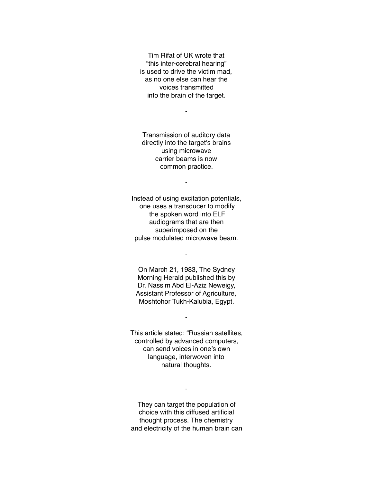Tim Rifat of UK wrote that "this inter-cerebral hearing" is used to drive the victim mad, as no one else can hear the voices transmitted into the brain of the target.

-

Transmission of auditory data directly into the target's brains using microwave carrier beams is now common practice.

-

Instead of using excitation potentials, one uses a transducer to modify the spoken word into ELF audiograms that are then superimposed on the pulse modulated microwave beam.

On March 21, 1983, The Sydney Morning Herald published this by Dr. Nassim Abd El-Aziz Neweigy, Assistant Professor of Agriculture, Moshtohor Tukh-Kalubia, Egypt.

-

-

This article stated: "Russian satellites, controlled by advanced computers, can send voices in one's own language, interwoven into natural thoughts.

They can target the population of choice with this diffused artificial thought process. The chemistry and electricity of the human brain can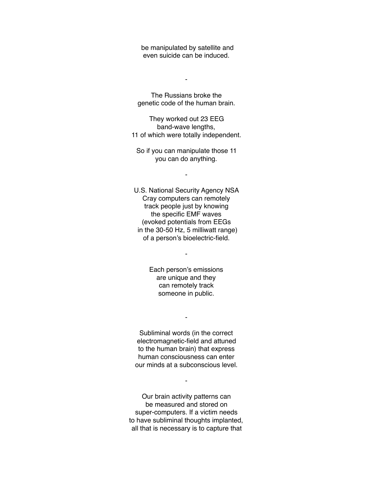be manipulated by satellite and even suicide can be induced.

-

The Russians broke the genetic code of the human brain.

They worked out 23 EEG band-wave lengths, 11 of which were totally independent.

So if you can manipulate those 11 you can do anything.

-

U.S. National Security Agency NSA Cray computers can remotely track people just by knowing the specific EMF waves (evoked potentials from EEGs in the 30-50 Hz, 5 milliwatt range) of a person's bioelectric-field.

> Each person's emissions are unique and they can remotely track someone in public.

-

Subliminal words (in the correct electromagnetic-field and attuned to the human brain) that express human consciousness can enter our minds at a subconscious level.

-

Our brain activity patterns can be measured and stored on super-computers. If a victim needs to have subliminal thoughts implanted, all that is necessary is to capture that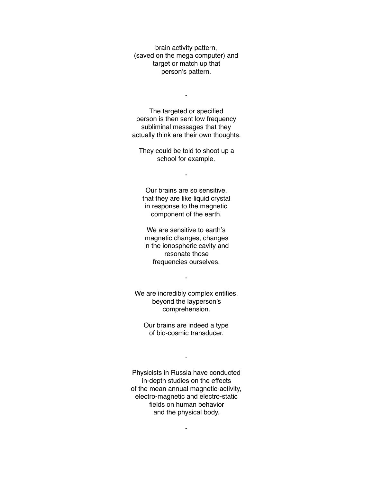brain activity pattern, (saved on the mega computer) and target or match up that person's pattern.

-

The targeted or specified person is then sent low frequency subliminal messages that they actually think are their own thoughts.

They could be told to shoot up a school for example.

-

Our brains are so sensitive, that they are like liquid crystal in response to the magnetic component of the earth.

We are sensitive to earth's magnetic changes, changes in the ionospheric cavity and resonate those frequencies ourselves.

We are incredibly complex entities, beyond the layperson's comprehension.

-

Our brains are indeed a type of bio-cosmic transducer.

-

Physicists in Russia have conducted in-depth studies on the effects of the mean annual magnetic-activity, electro-magnetic and electro-static fields on human behavior and the physical body.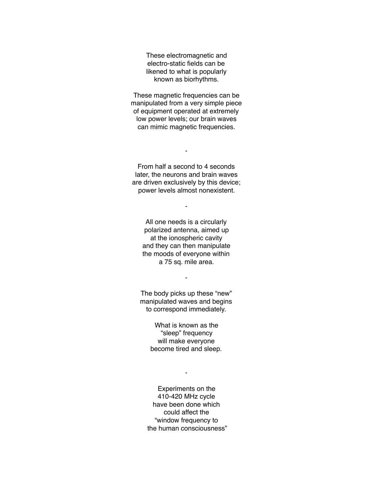These electromagnetic and electro-static fields can be likened to what is popularly known as biorhythms.

These magnetic frequencies can be manipulated from a very simple piece of equipment operated at extremely low power levels; our brain waves can mimic magnetic frequencies.

From half a second to 4 seconds later, the neurons and brain waves are driven exclusively by this device; power levels almost nonexistent.

-

-

All one needs is a circularly polarized antenna, aimed up at the ionospheric cavity and they can then manipulate the moods of everyone within a 75 sq. mile area.

The body picks up these "new" manipulated waves and begins to correspond immediately.

-

What is known as the "sleep" frequency will make everyone become tired and sleep.

-

Experiments on the 410-420 MHz cycle have been done which could affect the "window frequency to the human consciousness"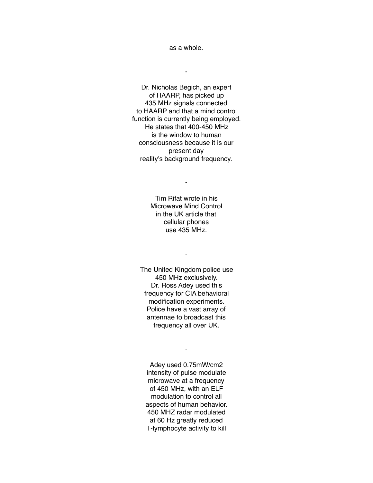as a whole.

-

Dr. Nicholas Begich, an expert of HAARP, has picked up 435 MHz signals connected to HAARP and that a mind control function is currently being employed. He states that 400-450 MHz is the window to human consciousness because it is our present day reality's background frequency.

> Tim Rifat wrote in his Microwave Mind Control in the UK article that cellular phones use 435 MHz.

-

-

The United Kingdom police use 450 MHz exclusively. Dr. Ross Adey used this frequency for CIA behavioral modification experiments. Police have a vast array of antennae to broadcast this frequency all over UK.

-

Adey used 0.75mW/cm2 intensity of pulse modulate microwave at a frequency of 450 MHz, with an ELF modulation to control all aspects of human behavior. 450 MHZ radar modulated at 60 Hz greatly reduced T-lymphocyte activity to kill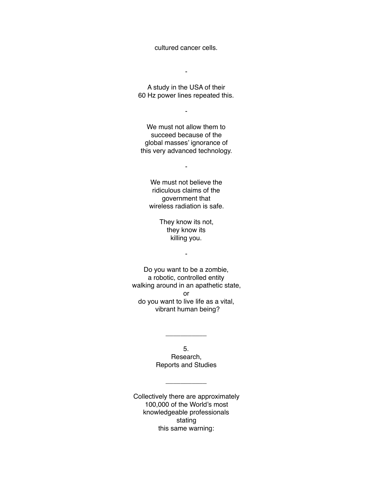cultured cancer cells.

A study in the USA of their 60 Hz power lines repeated this.

-

-

We must not allow them to succeed because of the global masses' ignorance of this very advanced technology.

-

We must not believe the ridiculous claims of the government that wireless radiation is safe.

> They know its not, they know its killing you.

> > -

Do you want to be a zombie, a robotic, controlled entity walking around in an apathetic state, or do you want to live life as a vital, vibrant human being?

> 5. Research, Reports and Studies

> > \_\_\_\_\_\_\_\_\_\_\_

\_\_\_\_\_\_\_\_\_\_\_

Collectively there are approximately 100,000 of the World's most knowledgeable professionals stating this same warning: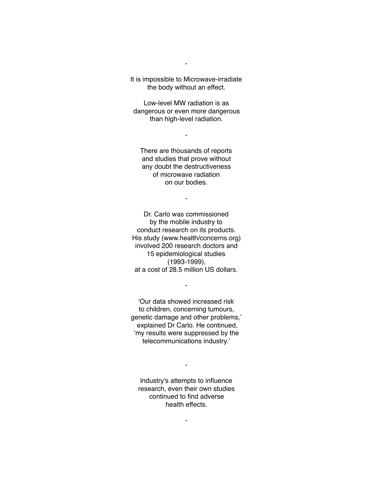It is impossible to Microwave-irradiate the body without an effect.

-

Low-level MW radiation is as dangerous or even more dangerous than high-level radiation.

-

There are thousands of reports and studies that prove without any doubt the destructiveness of microwave radiation on our bodies.

-

Dr. Carlo was commissioned by the mobile industry to conduct research on its products. His study (www.health/concerns.org) involved 200 research doctors and 15 epidemiological studies (1993-1999), at a cost of 28.5 million US dollars.

'Our data showed increased risk to children, concerning tumours, genetic damage and other problems,' explained Dr Carlo. He continued, 'my results were suppressed by the telecommunications industry.'

-

Industry's attempts to influence research, even their own studies continued to find adverse health effects.

-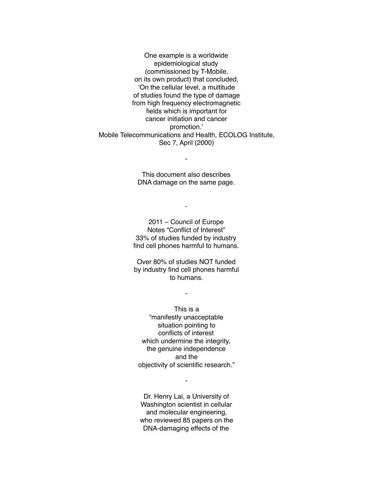One example is a worldwide epidemiological study (commissioned by T-Mobile, on its own product) that concluded, 'On the cellular level, a multitude of studies found the type of damage from high frequency electromagnetic fields which is important for cancer initiation and cancer promotion.' Mobile Telecommunications and Health, ECOLOG Institute, Sec 7, April (2000)

> This document also describes DNA damage on the same page.

> > -

-

2011 – Council of Europe Notes "Conflict of Interest" 33% of studies funded by industry find cell phones harmful to humans.

Over 80% of studies NOT funded by industry find cell phones harmful to humans.

-

This is a "manifestly unacceptable situation pointing to conflicts of interest which undermine the integrity, the genuine independence and the objectivity of scientific research."

Dr. Henry Lai, a University of Washington scientist in cellular and molecular engineering, who reviewed 85 papers on the DNA-damaging effects of the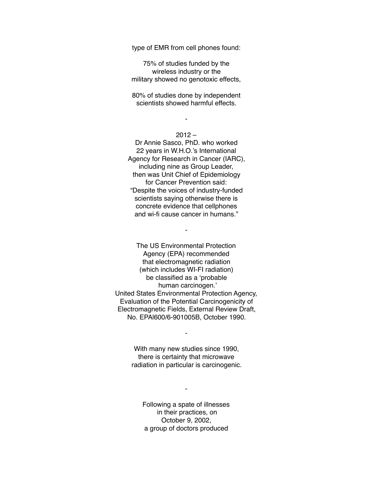type of EMR from cell phones found:

75% of studies funded by the wireless industry or the military showed no genotoxic effects,

80% of studies done by independent scientists showed harmful effects.

## $2012 -$

-

Dr Annie Sasco, PhD. who worked 22 years in W.H.O.'s International Agency for Research in Cancer (IARC), including nine as Group Leader, then was Unit Chief of Epidemiology for Cancer Prevention said: "Despite the voices of industry-funded scientists saying otherwise there is concrete evidence that cellphones and wi-fi cause cancer in humans."

The US Environmental Protection Agency (EPA) recommended that electromagnetic radiation (which includes WI-FI radiation) be classified as a 'probable human carcinogen.' United States Environmental Protection Agency, Evaluation of the Potential Carcinogenicity of Electromagnetic Fields, External Review Draft, No. EPAl600/6-901005B, October 1990.

-

With many new studies since 1990, there is certainty that microwave radiation in particular is carcinogenic.

-

Following a spate of illnesses in their practices, on October 9, 2002, a group of doctors produced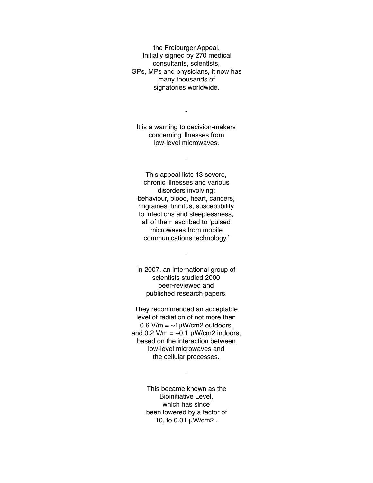the Freiburger Appeal. Initially signed by 270 medical consultants, scientists, GPs, MPs and physicians, it now has many thousands of signatories worldwide.

-

It is a warning to decision-makers concerning illnesses from low-level microwaves.

-

This appeal lists 13 severe, chronic illnesses and various disorders involving: behaviour, blood, heart, cancers, migraines, tinnitus, susceptibility to infections and sleeplessness, all of them ascribed to 'pulsed microwaves from mobile communications technology.'

In 2007, an international group of scientists studied 2000 peer-reviewed and published research papers.

-

They recommended an acceptable level of radiation of not more than  $0.6$  V/m =  $\sim$ 1µW/cm2 outdoors, and 0.2 V/m =  $\sim$ 0.1  $\mu$ W/cm2 indoors, based on the interaction between low-level microwaves and the cellular processes.

-

This became known as the Bioinitiative Level, which has since been lowered by a factor of 10, to 0.01 μW/cm2 .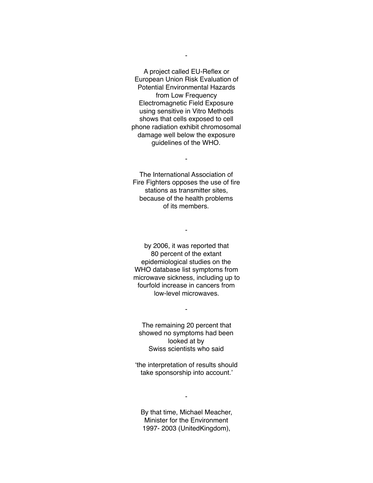A project called EU-Reflex or European Union Risk Evaluation of Potential Environmental Hazards from Low Frequency Electromagnetic Field Exposure using sensitive in Vitro Methods shows that cells exposed to cell phone radiation exhibit chromosomal damage well below the exposure guidelines of the WHO.

The International Association of Fire Fighters opposes the use of fire stations as transmitter sites, because of the health problems of its members.

-

-

by 2006, it was reported that 80 percent of the extant epidemiological studies on the WHO database list symptoms from microwave sickness, including up to fourfold increase in cancers from low-level microwaves.

The remaining 20 percent that showed no symptoms had been looked at by Swiss scientists who said

-

'the interpretation of results should take sponsorship into account.'

By that time, Michael Meacher, Minister for the Environment 1997- 2003 (UnitedKingdom),

-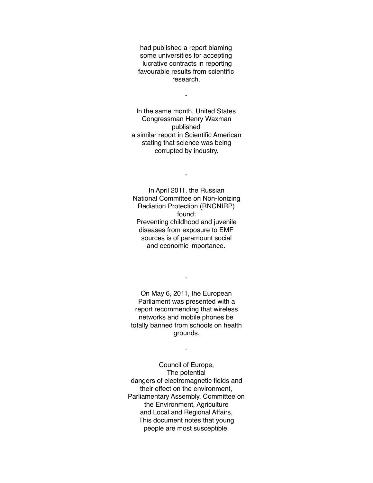had published a report blaming some universities for accepting lucrative contracts in reporting favourable results from scientific research.

-

In the same month, United States Congressman Henry Waxman published a similar report in Scientific American stating that science was being corrupted by industry.

-

In April 2011, the Russian National Committee on Non-Ionizing Radiation Protection (RNCNIRP) found: Preventing childhood and juvenile diseases from exposure to EMF sources is of paramount social and economic importance.

On May 6, 2011, the European Parliament was presented with a report recommending that wireless networks and mobile phones be totally banned from schools on health grounds.

-

-

Council of Europe, The potential dangers of electromagnetic fields and their effect on the environment, Parliamentary Assembly, Committee on the Environment, Agriculture and Local and Regional Affairs, This document notes that young people are most susceptible.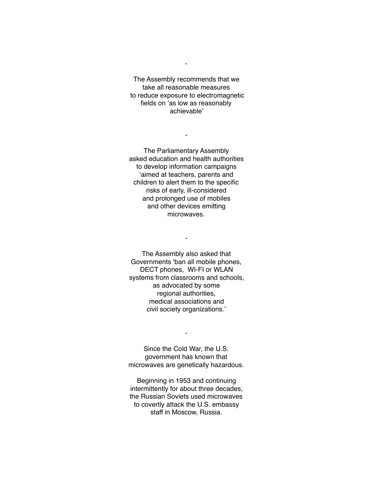The Assembly recommends that we take all reasonable measures to reduce exposure to electromagnetic fields on 'as low as reasonably achievable'

-

-

The Parliamentary Assembly asked education and health authorities to develop information campaigns 'aimed at teachers, parents and children to alert them to the specific risks of early, ill-considered and prolonged use of mobiles and other devices emitting microwaves.

The Assembly also asked that Governments 'ban all mobile phones, DECT phones, WI-FI or WLAN systems from classrooms and schools, as advocated by some regional authorities, medical associations and civil society organizations.'

-

Since the Cold War, the U.S. government has known that microwaves are genetically hazardous.

-

Beginning in 1953 and continuing intermittently for about three decades, the Russian Soviets used microwaves to covertly attack the U.S. embassy staff in Moscow, Russia.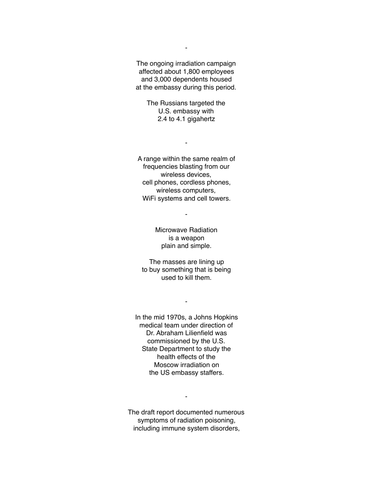The ongoing irradiation campaign affected about 1,800 employees and 3,000 dependents housed at the embassy during this period.

> The Russians targeted the U.S. embassy with 2.4 to 4.1 gigahertz

> > -

A range within the same realm of frequencies blasting from our wireless devices, cell phones, cordless phones, wireless computers, WiFi systems and cell towers.

-

Microwave Radiation is a weapon plain and simple.

The masses are lining up to buy something that is being used to kill them.

-

In the mid 1970s, a Johns Hopkins medical team under direction of Dr. Abraham Lilienfield was commissioned by the U.S. State Department to study the health effects of the Moscow irradiation on the US embassy staffers.

The draft report documented numerous symptoms of radiation poisoning, including immune system disorders,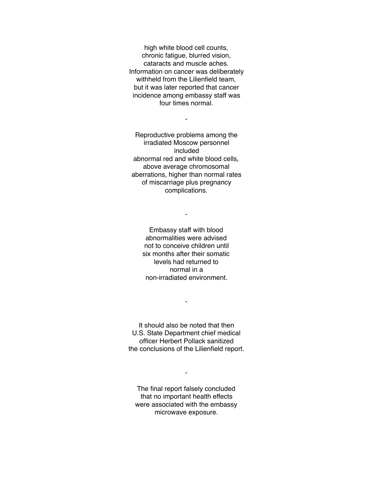high white blood cell counts, chronic fatigue, blurred vision, cataracts and muscle aches. Information on cancer was deliberately withheld from the Lilienfield team, but it was later reported that cancer incidence among embassy staff was four times normal.

-

Reproductive problems among the irradiated Moscow personnel included abnormal red and white blood cells, above average chromosomal aberrations, higher than normal rates of miscarriage plus pregnancy complications.

Embassy staff with blood abnormalities were advised not to conceive children until six months after their somatic levels had returned to normal in a non-irradiated environment.

-

It should also be noted that then U.S. State Department chief medical officer Herbert Pollack sanitized the conclusions of the Lilienfield report.

-

The final report falsely concluded that no important health effects were associated with the embassy microwave exposure.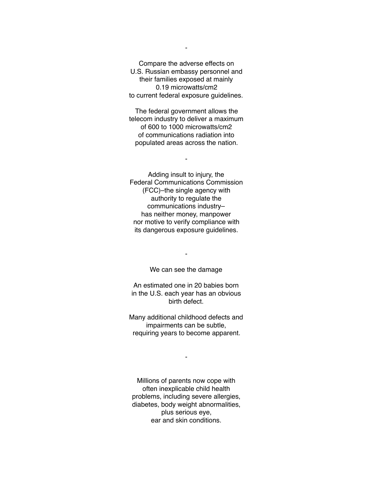Compare the adverse effects on U.S. Russian embassy personnel and their families exposed at mainly 0.19 microwatts/cm2 to current federal exposure guidelines.

The federal government allows the telecom industry to deliver a maximum of 600 to 1000 microwatts/cm2 of communications radiation into populated areas across the nation.

-

Adding insult to injury, the Federal Communications Commission (FCC)–the single agency with authority to regulate the communications industry– has neither money, manpower nor motive to verify compliance with its dangerous exposure guidelines.

We can see the damage

-

An estimated one in 20 babies born in the U.S. each year has an obvious birth defect.

Many additional childhood defects and impairments can be subtle, requiring years to become apparent.

-

Millions of parents now cope with often inexplicable child health problems, including severe allergies, diabetes, body weight abnormalities, plus serious eye, ear and skin conditions.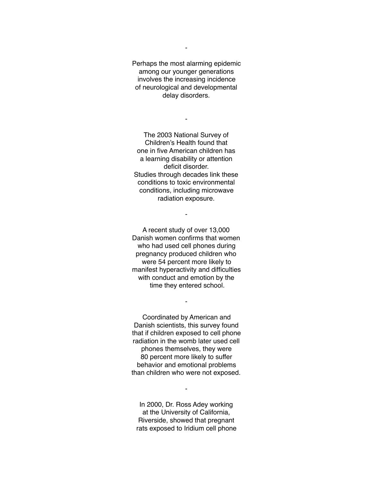Perhaps the most alarming epidemic among our younger generations involves the increasing incidence of neurological and developmental delay disorders.

-

The 2003 National Survey of Children's Health found that one in five American children has a learning disability or attention deficit disorder. Studies through decades link these conditions to toxic environmental conditions, including microwave radiation exposure.

-

A recent study of over 13,000 Danish women confirms that women who had used cell phones during pregnancy produced children who were 54 percent more likely to manifest hyperactivity and difficulties with conduct and emotion by the time they entered school.

Coordinated by American and Danish scientists, this survey found that if children exposed to cell phone radiation in the womb later used cell phones themselves, they were 80 percent more likely to suffer behavior and emotional problems than children who were not exposed.

-

In 2000, Dr. Ross Adey working at the University of California, Riverside, showed that pregnant rats exposed to Iridium cell phone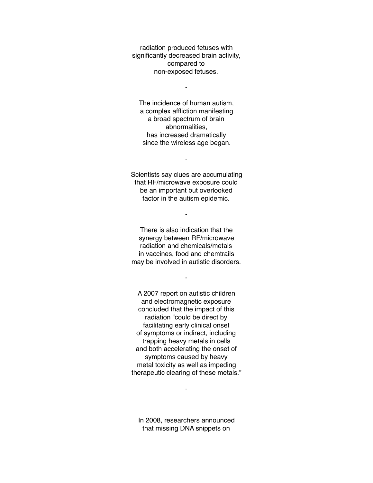radiation produced fetuses with significantly decreased brain activity, compared to non-exposed fetuses.

 $\blacksquare$ 

The incidence of human autism, a complex affliction manifesting a broad spectrum of brain abnormalities, has increased dramatically since the wireless age began.

Scientists say clues are accumulating that RF/microwave exposure could be an important but overlooked factor in the autism epidemic.

-

-

There is also indication that the synergy between RF/microwave radiation and chemicals/metals in vaccines, food and chemtrails may be involved in autistic disorders.

-

A 2007 report on autistic children and electromagnetic exposure concluded that the impact of this radiation "could be direct by facilitating early clinical onset of symptoms or indirect, including trapping heavy metals in cells and both accelerating the onset of symptoms caused by heavy metal toxicity as well as impeding therapeutic clearing of these metals."

In 2008, researchers announced that missing DNA snippets on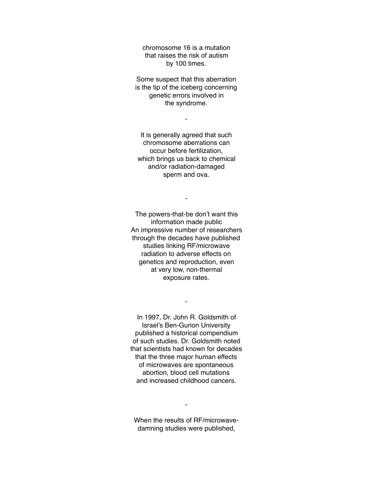chromosome 16 is a mutation that raises the risk of autism by 100 times.

Some suspect that this aberration is the tip of the iceberg concerning genetic errors involved in the syndrome.

-

It is generally agreed that such chromosome aberrations can occur before fertilization, which brings us back to chemical and/or radiation-damaged sperm and ova.

-

The powers-that-be don't want this information made public An impressive number of researchers through the decades have published studies linking RF/microwave radiation to adverse effects on genetics and reproduction, even at very low, non-thermal exposure rates.

In 1997, Dr. John R. Goldsmith of Israel's Ben-Gurion University published a historical compendium of such studies. Dr. Goldsmith noted that scientists had known for decades that the three major human effects of microwaves are spontaneous abortion, blood cell mutations and increased childhood cancers.

-

When the results of RF/microwavedamning studies were published,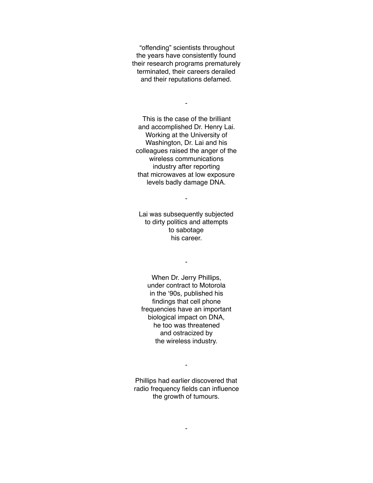"offending" scientists throughout the years have consistently found their research programs prematurely terminated, their careers derailed and their reputations defamed.

-

This is the case of the brilliant and accomplished Dr. Henry Lai. Working at the University of Washington, Dr. Lai and his colleagues raised the anger of the wireless communications industry after reporting that microwaves at low exposure levels badly damage DNA.

Lai was subsequently subjected to dirty politics and attempts to sabotage his career.

-

-

When Dr. Jerry Phillips, under contract to Motorola in the '90s, published his findings that cell phone frequencies have an important biological impact on DNA, he too was threatened and ostracized by the wireless industry.

Phillips had earlier discovered that radio frequency fields can influence the growth of tumours.

-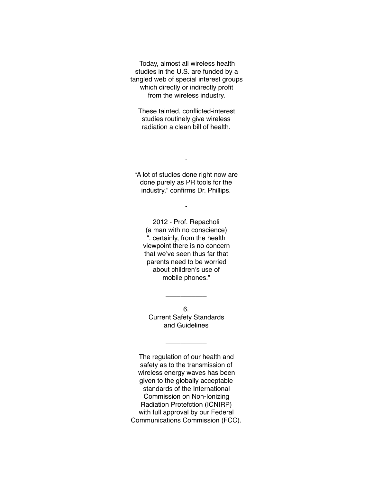Today, almost all wireless health studies in the U.S. are funded by a tangled web of special interest groups which directly or indirectly profit from the wireless industry.

These tainted, conflicted-interest studies routinely give wireless radiation a clean bill of health.

"A lot of studies done right now are done purely as PR tools for the industry," confirms Dr. Phillips.

-

-

2012 - Prof. Repacholi (a man with no conscience) ". certainly, from the health viewpoint there is no concern that we've seen thus far that parents need to be worried about children's use of mobile phones."

6. Current Safety Standards and Guidelines

 $\overline{\phantom{a}}$ 

 $\overline{\phantom{a}}$ 

The regulation of our health and safety as to the transmission of wireless energy waves has been given to the globally acceptable standards of the International Commission on Non-Ionizing Radiation Protefction (ICNIRP) with full approval by our Federal Communications Commission (FCC).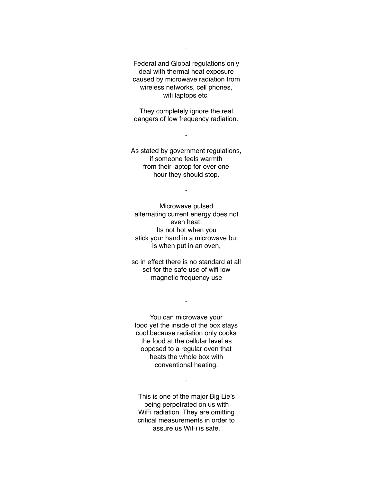Federal and Global regulations only deal with thermal heat exposure caused by microwave radiation from wireless networks, cell phones, wifi laptops etc.

They completely ignore the real dangers of low frequency radiation.

-

As stated by government regulations, if someone feels warmth from their laptop for over one hour they should stop.

-

Microwave pulsed alternating current energy does not even heat: Its not hot when you stick your hand in a microwave but is when put in an oven,

so in effect there is no standard at all set for the safe use of wifi low magnetic frequency use

-

You can microwave your food yet the inside of the box stays cool because radiation only cooks the food at the cellular level as opposed to a regular oven that heats the whole box with conventional heating.

-

This is one of the major Big Lie's being perpetrated on us with WiFi radiation. They are omitting critical measurements in order to assure us WiFi is safe.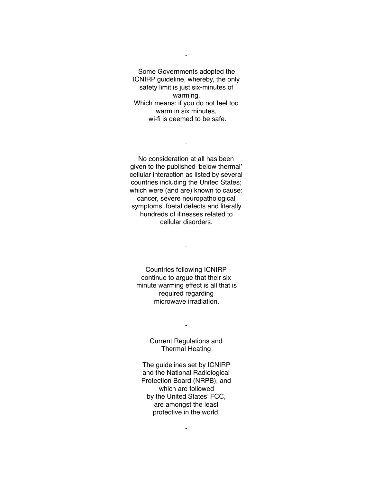Some Governments adopted the ICNIRP guideline, whereby, the only safety limit is just six-minutes of warming. Which means: if you do not feel too warm in six minutes, wi-fi is deemed to be safe.

-

-

No consideration at all has been given to the published 'below thermal' cellular interaction as listed by several countries including the United States; which were (and are) known to cause: cancer, severe neuropathological symptoms, foetal defects and literally hundreds of illnesses related to cellular disorders.

-

Countries following ICNIRP continue to argue that their six minute warming effect is all that is required regarding microwave irradiation.

> Current Regulations and Thermal Heating

-

The guidelines set by ICNIRP and the National Radiological Protection Board (NRPB), and which are followed by the United States' FCC, are amongst the least protective in the world.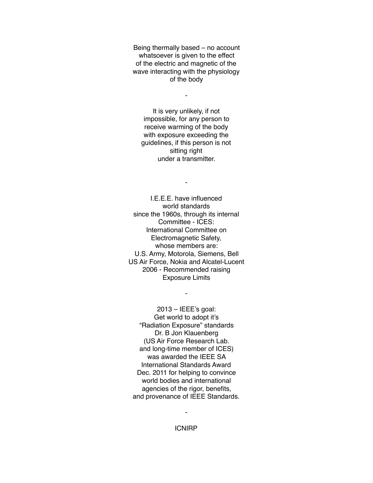Being thermally based – no account whatsoever is given to the effect of the electric and magnetic of the wave interacting with the physiology of the body

-

It is very unlikely, if not impossible, for any person to receive warming of the body with exposure exceeding the guidelines, if this person is not sitting right under a transmitter.

-

I.E.E.E. have influenced world standards since the 1960s, through its internal Committee - ICES: International Committee on Electromagnetic Safety, whose members are: U.S. Army, Motorola, Siemens, Bell US Air Force, Nokia and Alcatel-Lucent 2006 - Recommended raising Exposure Limits

-

2013 – IEEE's goal: Get world to adopt it's "Radiation Exposure" standards Dr. B Jon Klauenberg (US Air Force Research Lab. and long-time member of ICES) was awarded the IEEE SA International Standards Award Dec. 2011 for helping to convince world bodies and international agencies of the rigor, benefits, and provenance of IEEE Standards.

ICNIRP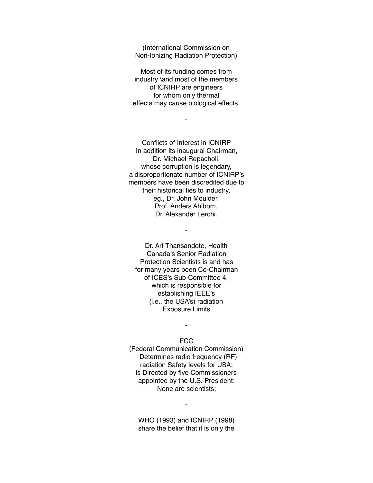(International Commission on Non-Ionizing Radiation Protection)

Most of its funding comes from industry \and most of the members of ICNIRP are engineers for whom only thermal effects may cause biological effects.

-

Conflicts of Interest in ICNIRP In addition its inaugural Chairman, Dr. Michael Repacholi, whose corruption is legendary, a disproportionate number of ICNIRP's members have been discredited due to their historical ties to industry, eg., Dr. John Moulder, Prof. Anders Ahlbom, Dr. Alexander Lerchi.

Dr. Art Thansandote, Health Canada's Senior Radiation Protection Scientists is and has for many years been Co-Chairman of ICES's Sub-Committee 4, which is responsible for establishing IEEE's (i.e., the USA's) radiation Exposure Limits

-

## FCC

-

(Federal Communication Commission) Determines radio frequency (RF) radiation Safety levels for USA; is Directed by five Commissioners appointed by the U.S. President: None are scientists;

WHO (1993) and ICNIRP (1998) share the belief that it is only the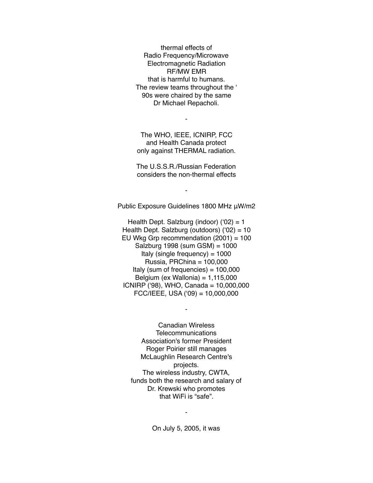thermal effects of Radio Frequency/Microwave Electromagnetic Radiation RF/MW EMR that is harmful to humans. The review teams throughout the ' 90s were chaired by the same Dr Michael Repacholi.

The WHO, IEEE, ICNIRP, FCC and Health Canada protect only against THERMAL radiation.

-

The U.S.S.R./Russian Federation considers the non-thermal effects

Public Exposure Guidelines 1800 MHz μW/m2

-

Health Dept. Salzburg (indoor)  $(92) = 1$ Health Dept. Salzburg (outdoors) ('02) = 10 EU Wkg Grp recommendation (2001) = 100 Salzburg 1998 (sum GSM) = 1000 Italy (single frequency) =  $1000$ Russia, PRChina = 100,000 Italy (sum of frequencies) =  $100,000$ Belgium (ex Wallonia) =  $1,115,000$ ICNIRP ('98), WHO, Canada = 10,000,000 FCC/IEEE, USA ('09) = 10,000,000

-

Canadian Wireless **Telecommunications** Association's former President Roger Poirier still manages McLaughlin Research Centre's projects. The wireless industry, CWTA, funds both the research and salary of Dr. Krewski who promotes that WiFi is "safe".

On July 5, 2005, it was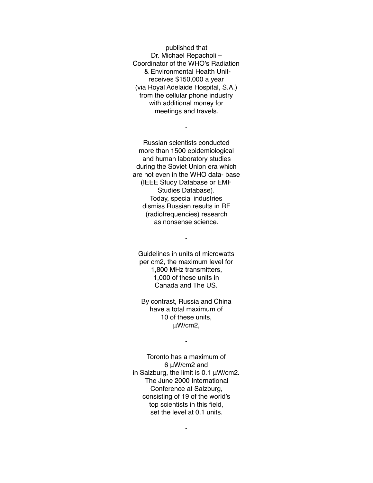published that Dr. Michael Repacholi – Coordinator of the WHO's Radiation & Environmental Health Unitreceives \$150,000 a year (via Royal Adelaide Hospital, S.A.) from the cellular phone industry with additional money for meetings and travels.

-

Russian scientists conducted more than 1500 epidemiological and human laboratory studies during the Soviet Union era which are not even in the WHO data- base (IEEE Study Database or EMF Studies Database). Today, special industries dismiss Russian results in RF (radiofrequencies) research as nonsense science.

Guidelines in units of microwatts per cm2, the maximum level for 1,800 MHz transmitters, 1,000 of these units in Canada and The US.

-

By contrast, Russia and China have a total maximum of 10 of these units, μW/cm2,

-

Toronto has a maximum of 6 μW/cm2 and in Salzburg, the limit is 0.1 μW/cm2. The June 2000 International Conference at Salzburg, consisting of 19 of the world's top scientists in this field, set the level at 0.1 units.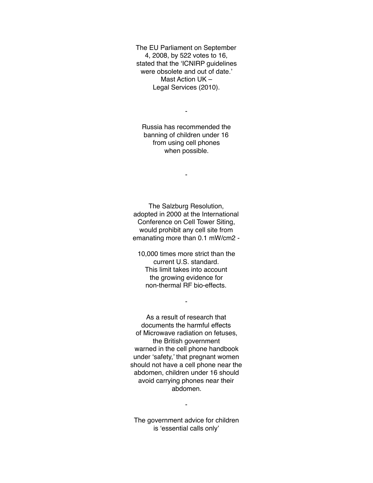The EU Parliament on September 4, 2008, by 522 votes to 16, stated that the 'ICNIRP guidelines were obsolete and out of date.' Mast Action UK – Legal Services (2010).

Russia has recommended the banning of children under 16 from using cell phones when possible.

-

-

The Salzburg Resolution, adopted in 2000 at the International Conference on Cell Tower Siting, would prohibit any cell site from emanating more than 0.1 mW/cm2 -

10,000 times more strict than the current U.S. standard. This limit takes into account the growing evidence for non-thermal RF bio-effects.

-

As a result of research that documents the harmful effects of Microwave radiation on fetuses, the British government warned in the cell phone handbook under 'safety,' that pregnant women should not have a cell phone near the abdomen, children under 16 should avoid carrying phones near their abdomen.

The government advice for children is 'essential calls only'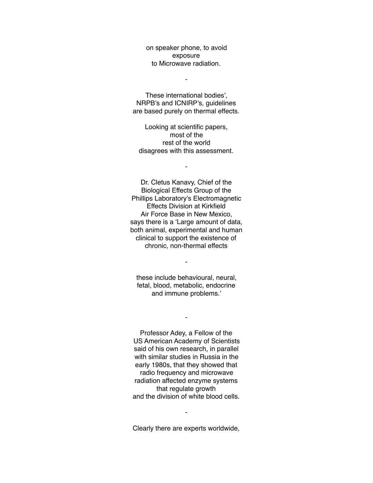on speaker phone, to avoid exposure to Microwave radiation.

-

These international bodies', NRPB's and ICNIRP's, guidelines are based purely on thermal effects.

Looking at scientific papers, most of the rest of the world disagrees with this assessment.

-

Dr. Cletus Kanavy, Chief of the Biological Effects Group of the Phillips Laboratory's Electromagnetic Effects Division at Kirkfield Air Force Base in New Mexico, says there is a 'Large amount of data, both animal, experimental and human clinical to support the existence of chronic, non-thermal effects

these include behavioural, neural, fetal, blood, metabolic, endocrine and immune problems.'

-

-

Professor Adey, a Fellow of the US American Academy of Scientists said of his own research, in parallel with similar studies in Russia in the early 1980s, that they showed that radio frequency and microwave radiation affected enzyme systems that regulate growth and the division of white blood cells.

Clearly there are experts worldwide,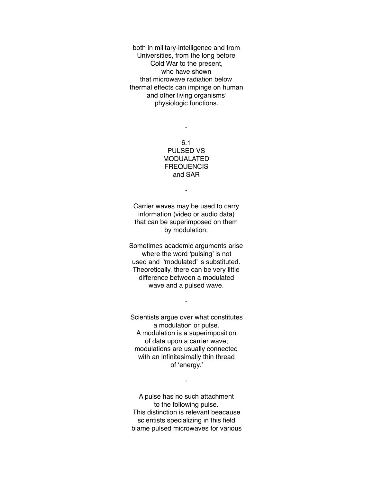both in military-intelligence and from Universities, from the long before Cold War to the present, who have shown that microwave radiation below thermal effects can impinge on human and other living organisms' physiologic functions.

> 6.1 PULSED VS MODUALATED **FREQUENCIS** and SAR

-

-

Carrier waves may be used to carry information (video or audio data) that can be superimposed on them by modulation.

Sometimes academic arguments arise where the word 'pulsing' is not used and 'modulated' is substituted. Theoretically, there can be very little difference between a modulated wave and a pulsed wave.

-

Scientists argue over what constitutes a modulation or pulse. A modulation is a superimposition of data upon a carrier wave; modulations are usually connected with an infinitesimally thin thread of 'energy.'

-

A pulse has no such attachment to the following pulse. This distinction is relevant beacause scientists specializing in this field blame pulsed microwaves for various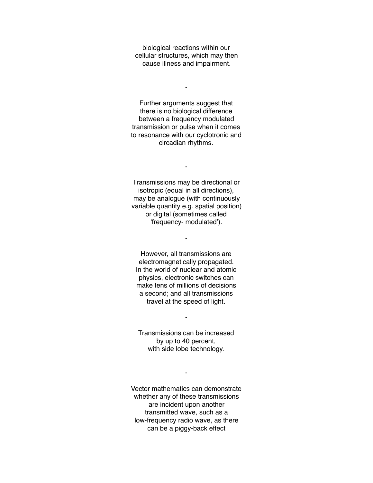biological reactions within our cellular structures, which may then cause illness and impairment.

-

Further arguments suggest that there is no biological difference between a frequency modulated transmission or pulse when it comes to resonance with our cyclotronic and circadian rhythms.

Transmissions may be directional or isotropic (equal in all directions), may be analogue (with continuously variable quantity e.g. spatial position) or digital (sometimes called 'frequency- modulated').

-

-

However, all transmissions are electromagnetically propagated. In the world of nuclear and atomic physics, electronic switches can make tens of millions of decisions a second; and all transmissions travel at the speed of light.

Transmissions can be increased by up to 40 percent, with side lobe technology.

-

-

Vector mathematics can demonstrate whether any of these transmissions are incident upon another transmitted wave, such as a low-frequency radio wave, as there can be a piggy-back effect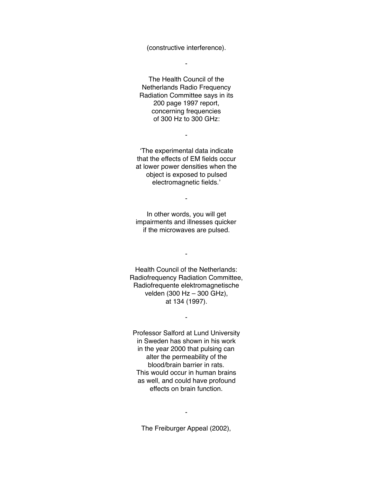(constructive interference).

-

The Health Council of the Netherlands Radio Frequency Radiation Committee says in its 200 page 1997 report, concerning frequencies of 300 Hz to 300 GHz:

'The experimental data indicate that the effects of EM fields occur at lower power densities when the object is exposed to pulsed electromagnetic fields.'

-

In other words, you will get impairments and illnesses quicker if the microwaves are pulsed.

-

Health Council of the Netherlands: Radiofrequency Radiation Committee, Radiofrequente elektromagnetische velden (300 Hz – 300 GHz), at 134 (1997).

-

-

Professor Salford at Lund University in Sweden has shown in his work in the year 2000 that pulsing can alter the permeability of the blood/brain barrier in rats. This would occur in human brains as well, and could have profound effects on brain function.

The Freiburger Appeal (2002),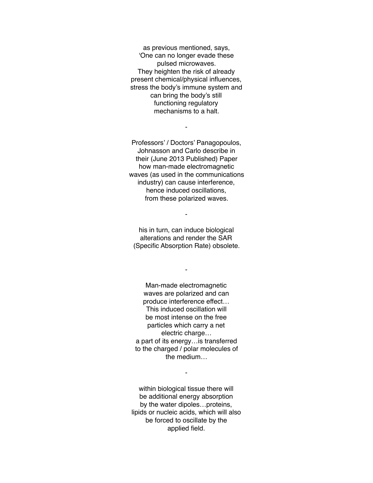as previous mentioned, says, 'One can no longer evade these pulsed microwaves. They heighten the risk of already present chemical/physical influences, stress the body's immune system and can bring the body's still functioning regulatory mechanisms to a halt.

Professors' / Doctors' Panagopoulos, Johnasson and Carlo describe in their (June 2013 Published) Paper how man-made electromagnetic waves (as used in the communications industry) can cause interference, hence induced oscillations, from these polarized waves.

-

his in turn, can induce biological alterations and render the SAR (Specific Absorption Rate) obsolete.

-

-

Man-made electromagnetic waves are polarized and can produce interference effect… This induced oscillation will be most intense on the free particles which carry a net electric charge… a part of its energy…is transferred to the charged / polar molecules of the medium…

within biological tissue there will be additional energy absorption by the water dipoles…proteins, lipids or nucleic acids, which will also be forced to oscillate by the applied field.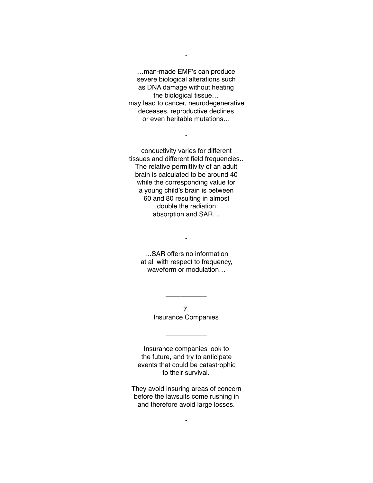…man-made EMF's can produce severe biological alterations such as DNA damage without heating the biological tissue… may lead to cancer, neurodegenerative deceases, reproductive declines or even heritable mutations…

-

-

conductivity varies for different tissues and different field frequencies.. The relative permittivity of an adult brain is calculated to be around 40 while the corresponding value for a young child's brain is between 60 and 80 resulting in almost double the radiation absorption and SAR…

…SAR offers no information at all with respect to frequency, waveform or modulation…

-

7. Insurance Companies

\_\_\_\_\_\_\_\_\_\_\_

 $\overline{\phantom{a}}$ 

Insurance companies look to the future, and try to anticipate events that could be catastrophic to their survival.

They avoid insuring areas of concern before the lawsuits come rushing in and therefore avoid large losses.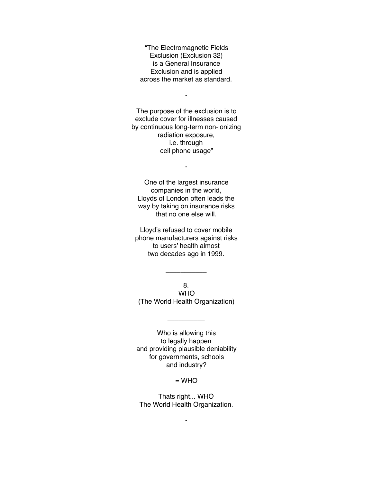"The Electromagnetic Fields Exclusion (Exclusion 32) is a General Insurance Exclusion and is applied across the market as standard.

-

The purpose of the exclusion is to exclude cover for illnesses caused by continuous long-term non-ionizing radiation exposure, i.e. through cell phone usage"

-

One of the largest insurance companies in the world, Lloyds of London often leads the way by taking on insurance risks that no one else will.

Lloyd's refused to cover mobile phone manufacturers against risks to users' health almost two decades ago in 1999.

8. WHO (The World Health Organization)

 $\overline{\phantom{a}}$ 

 $\overline{\phantom{a}}$ 

Who is allowing this to legally happen and providing plausible deniability for governments, schools and industry?

 $=$  WHO

Thats right... WHO The World Health Organization.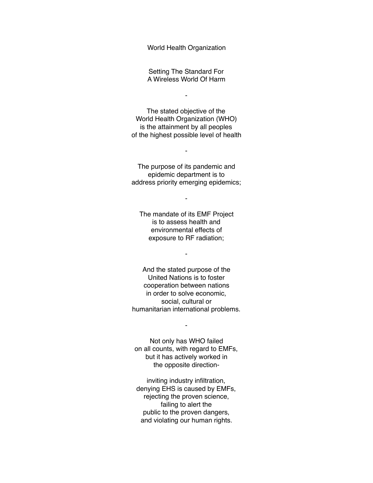World Health Organization

Setting The Standard For A Wireless World Of Harm

-

The stated objective of the World Health Organization (WHO) is the attainment by all peoples of the highest possible level of health

The purpose of its pandemic and epidemic department is to address priority emerging epidemics;

-

-

The mandate of its EMF Project is to assess health and environmental effects of exposure to RF radiation;

-

And the stated purpose of the United Nations is to foster cooperation between nations in order to solve economic, social, cultural or humanitarian international problems.

Not only has WHO failed on all counts, with regard to EMFs, but it has actively worked in the opposite direction-

-

inviting industry infiltration, denying EHS is caused by EMFs, rejecting the proven science, failing to alert the public to the proven dangers, and violating our human rights.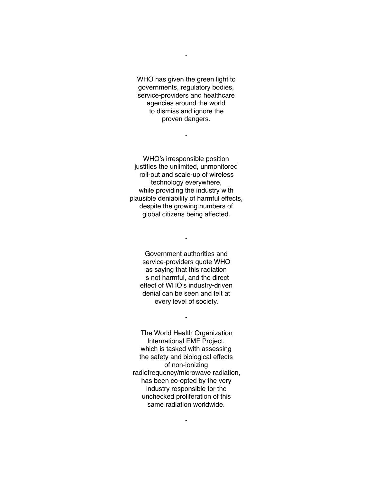WHO has given the green light to governments, regulatory bodies, service-providers and healthcare agencies around the world to dismiss and ignore the proven dangers.

-

-

WHO's irresponsible position justifies the unlimited, unmonitored roll-out and scale-up of wireless technology everywhere, while providing the industry with plausible deniability of harmful effects, despite the growing numbers of global citizens being affected.

Government authorities and service-providers quote WHO as saying that this radiation is not harmful, and the direct effect of WHO's industry-driven denial can be seen and felt at every level of society.

-

-

The World Health Organization International EMF Project, which is tasked with assessing the safety and biological effects of non-ionizing radiofrequency/microwave radiation, has been co-opted by the very industry responsible for the unchecked proliferation of this same radiation worldwide.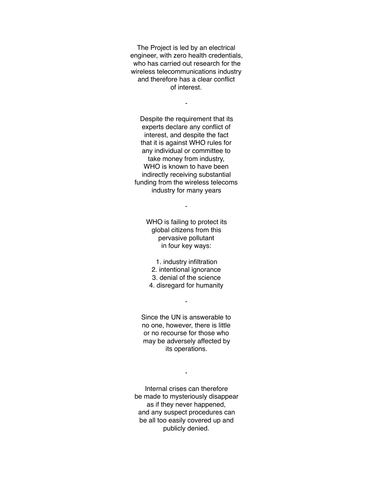The Project is led by an electrical engineer, with zero health credentials, who has carried out research for the wireless telecommunications industry and therefore has a clear conflict of interest.

-

Despite the requirement that its experts declare any conflict of interest, and despite the fact that it is against WHO rules for any individual or committee to take money from industry, WHO is known to have been indirectly receiving substantial funding from the wireless telecoms industry for many years

-

WHO is failing to protect its global citizens from this pervasive pollutant in four key ways:

1. industry infiltration 2. intentional ignorance 3. denial of the science 4. disregard for humanity

-

Since the UN is answerable to no one, however, there is little or no recourse for those who may be adversely affected by its operations.

Internal crises can therefore be made to mysteriously disappear as if they never happened, and any suspect procedures can be all too easily covered up and publicly denied.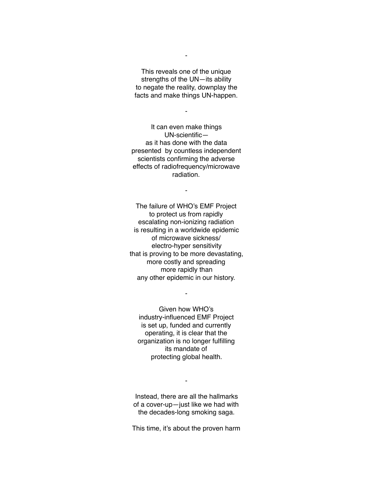This reveals one of the unique strengths of the UN—its ability to negate the reality, downplay the facts and make things UN-happen.

-

-

It can even make things UN-scientific as it has done with the data presented by countless independent scientists confirming the adverse effects of radiofrequency/microwave radiation.

-

The failure of WHO's EMF Project to protect us from rapidly escalating non-ionizing radiation is resulting in a worldwide epidemic of microwave sickness/ electro-hyper sensitivity that is proving to be more devastating, more costly and spreading more rapidly than any other epidemic in our history.

Given how WHO's industry-influenced EMF Project is set up, funded and currently operating, it is clear that the organization is no longer fulfilling its mandate of protecting global health.

-

Instead, there are all the hallmarks of a cover-up—just like we had with the decades-long smoking saga.

-

This time, it's about the proven harm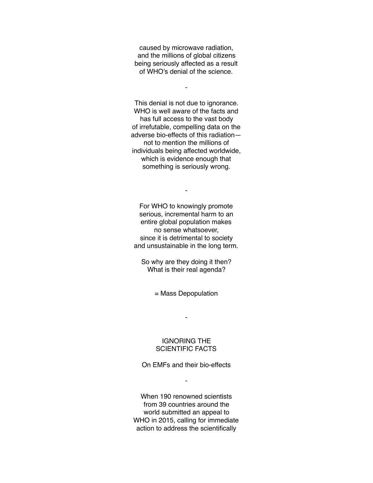caused by microwave radiation, and the millions of global citizens being seriously affected as a result of WHO's denial of the science.

-

This denial is not due to ignorance. WHO is well aware of the facts and has full access to the vast body of irrefutable, compelling data on the adverse bio-effects of this radiation not to mention the millions of individuals being affected worldwide, which is evidence enough that something is seriously wrong.

For WHO to knowingly promote serious, incremental harm to an entire global population makes no sense whatsoever, since it is detrimental to society and unsustainable in the long term.

-

So why are they doing it then? What is their real agenda?

= Mass Depopulation

-

### IGNORING THE SCIENTIFIC FACTS

On EMFs and their bio-effects

-

When 190 renowned scientists from 39 countries around the world submitted an appeal to WHO in 2015, calling for immediate action to address the scientifically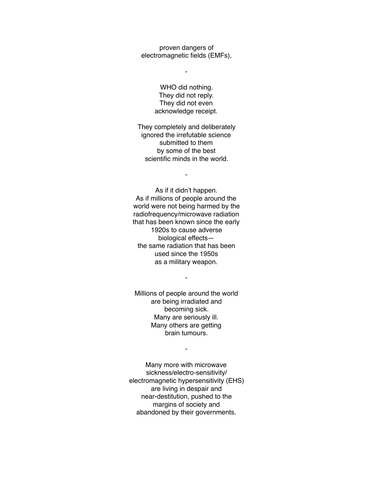proven dangers of electromagnetic fields (EMFs),

-

WHO did nothing. They did not reply. They did not even acknowledge receipt.

They completely and deliberately ignored the irrefutable science submitted to them by some of the best scientific minds in the world.

-

As if it didn't happen. As if millions of people around the world were not being harmed by the radiofrequency/microwave radiation that has been known since the early 1920s to cause adverse biological effects the same radiation that has been used since the 1950s as a military weapon.

Millions of people around the world are being irradiated and becoming sick. Many are seriously ill. Many others are getting brain tumours.

-

-

Many more with microwave sickness/electro-sensitivity/ electromagnetic hypersensitivity (EHS) are living in despair and near-destitution, pushed to the margins of society and abandoned by their governments.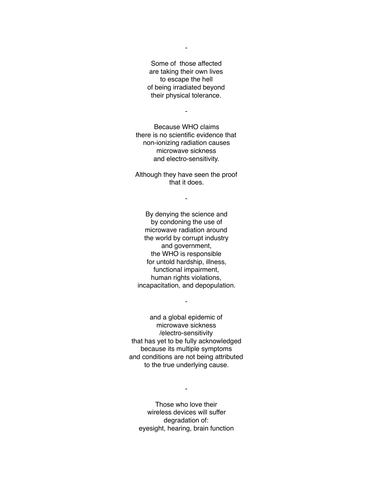Some of those affected are taking their own lives to escape the hell of being irradiated beyond their physical tolerance.

-

-

Because WHO claims there is no scientific evidence that non-ionizing radiation causes microwave sickness and electro-sensitivity.

Although they have seen the proof that it does.

-

By denying the science and by condoning the use of microwave radiation around the world by corrupt industry and government, the WHO is responsible for untold hardship, illness, functional impairment, human rights violations, incapacitation, and depopulation.

and a global epidemic of microwave sickness /electro-sensitivity that has yet to be fully acknowledged because its multiple symptoms and conditions are not being attributed to the true underlying cause.

-

-

Those who love their wireless devices will suffer degradation of: eyesight, hearing, brain function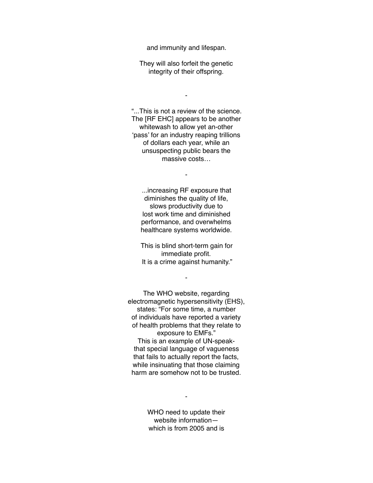and immunity and lifespan.

They will also forfeit the genetic integrity of their offspring.

-

"...This is not a review of the science. The [RF EHC] appears to be another whitewash to allow yet an-other 'pass' for an industry reaping trillions of dollars each year, while an unsuspecting public bears the massive costs…

-

...increasing RF exposure that diminishes the quality of life, slows productivity due to lost work time and diminished performance, and overwhelms healthcare systems worldwide.

This is blind short-term gain for immediate profit. It is a crime against humanity."

-

The WHO website, regarding electromagnetic hypersensitivity (EHS), states: "For some time, a number of individuals have reported a variety of health problems that they relate to exposure to EMFs." This is an example of UN-speakthat special language of vagueness that fails to actually report the facts, while insinuating that those claiming harm are somehow not to be trusted.

> WHO need to update their website information which is from 2005 and is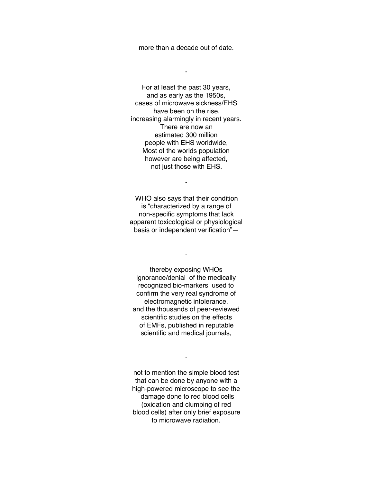more than a decade out of date.

-

For at least the past 30 years, and as early as the 1950s, cases of microwave sickness/EHS have been on the rise, increasing alarmingly in recent years. There are now an estimated 300 million people with EHS worldwide, Most of the worlds population however are being affected, not just those with EHS.

WHO also says that their condition is "characterized by a range of non-specific symptoms that lack apparent toxicological or physiological basis or independent verification"—

-

-

thereby exposing WHOs ignorance/denial of the medically recognized bio-markers used to confirm the very real syndrome of electromagnetic intolerance, and the thousands of peer-reviewed scientific studies on the effects of EMFs, published in reputable scientific and medical journals,

not to mention the simple blood test that can be done by anyone with a high-powered microscope to see the damage done to red blood cells (oxidation and clumping of red blood cells) after only brief exposure to microwave radiation.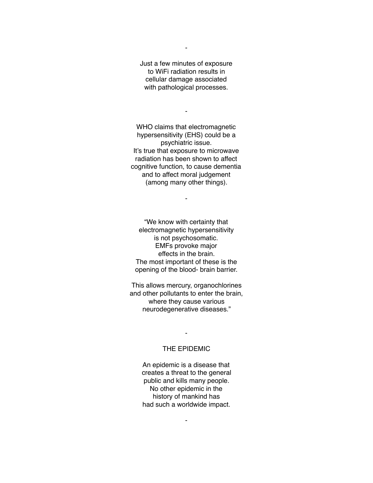Just a few minutes of exposure to WiFi radiation results in cellular damage associated with pathological processes.

-

-

WHO claims that electromagnetic hypersensitivity (EHS) could be a psychiatric issue. It's true that exposure to microwave radiation has been shown to affect cognitive function, to cause dementia and to affect moral judgement (among many other things).

-

"We know with certainty that electromagnetic hypersensitivity is not psychosomatic. EMFs provoke major effects in the brain. The most important of these is the opening of the blood- brain barrier.

This allows mercury, organochlorines and other pollutants to enter the brain, where they cause various neurodegenerative diseases."

# THE EPIDEMIC

-

An epidemic is a disease that creates a threat to the general public and kills many people. No other epidemic in the history of mankind has had such a worldwide impact.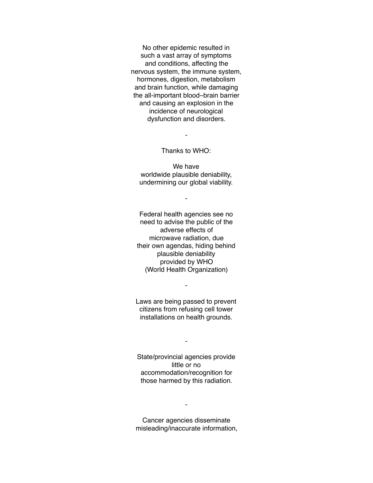No other epidemic resulted in such a vast array of symptoms and conditions, affecting the nervous system, the immune system, hormones, digestion, metabolism and brain function, while damaging the all-important blood–brain barrier and causing an explosion in the incidence of neurological dysfunction and disorders.

-

Thanks to WHO:

We have worldwide plausible deniability, undermining our global viability.

-

Federal health agencies see no need to advise the public of the adverse effects of microwave radiation, due their own agendas, hiding behind plausible deniability provided by WHO (World Health Organization)

Laws are being passed to prevent citizens from refusing cell tower installations on health grounds.

-

State/provincial agencies provide little or no accommodation/recognition for those harmed by this radiation.

-

Cancer agencies disseminate misleading/inaccurate information,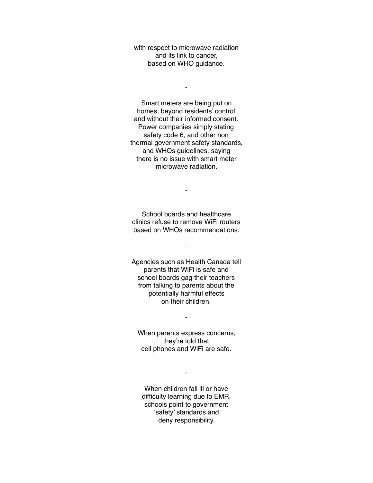with respect to microwave radiation and its link to cancer, based on WHO guidance.

-

Smart meters are being put on homes, beyond residents' control and without their informed consent. Power companies simply stating safety code 6, and other non thermal government safety standards, and WHOs guidelines, saying there is no issue with smart meter microwave radiation.

School boards and healthcare clinics refuse to remove WiFi routers based on WHOs recommendations.

-

-

Agencies such as Health Canada tell parents that WiFi is safe and school boards gag their teachers from talking to parents about the potentially harmful effects on their children.

When parents express concerns, they're told that cell phones and WiFi are safe.

-

When children fall ill or have difficulty learning due to EMR, schools point to government 'safety' standards and deny responsibility.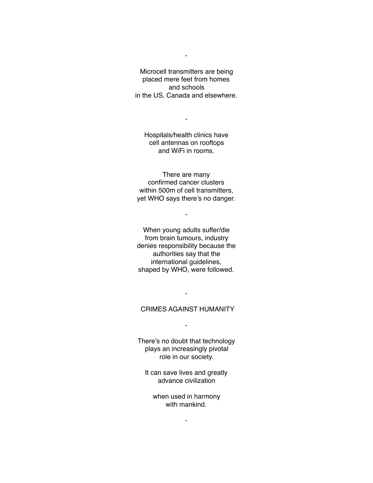Microcell transmitters are being placed mere feet from homes and schools in the US, Canada and elsewhere.

-

Hospitals/health clinics have cell antennas on rooftops and WiFi in rooms.

-

There are many confirmed cancer clusters within 500m of cell transmitters, yet WHO says there's no danger.

-

When young adults suffer/die from brain tumours, industry denies responsibility because the authorities say that the international guidelines, shaped by WHO, were followed.

# CRIMES AGAINST HUMANITY

-

-

There's no doubt that technology plays an increasingly pivotal role in our society.

It can save lives and greatly advance civilization

when used in harmony with mankind.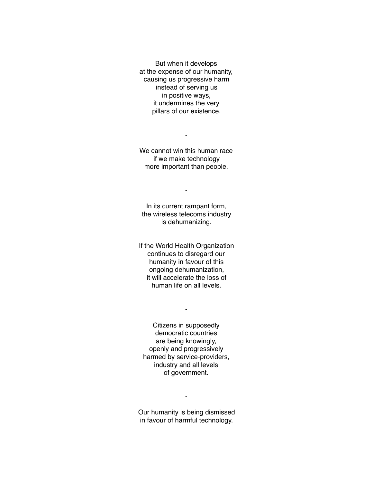But when it develops at the expense of our humanity, causing us progressive harm instead of serving us in positive ways, it undermines the very pillars of our existence.

We cannot win this human race if we make technology more important than people.

-

-

In its current rampant form, the wireless telecoms industry is dehumanizing.

If the World Health Organization continues to disregard our humanity in favour of this ongoing dehumanization, it will accelerate the loss of human life on all levels.

-

Citizens in supposedly democratic countries are being knowingly, openly and progressively harmed by service-providers, industry and all levels of government.

Our humanity is being dismissed in favour of harmful technology.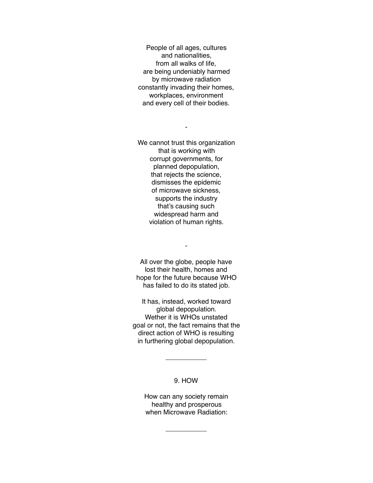People of all ages, cultures and nationalities, from all walks of life, are being undeniably harmed by microwave radiation constantly invading their homes, workplaces, environment and every cell of their bodies.

-

We cannot trust this organization that is working with corrupt governments, for planned depopulation, that rejects the science, dismisses the epidemic of microwave sickness, supports the industry that's causing such widespread harm and violation of human rights.

-

All over the globe, people have lost their health, homes and hope for the future because WHO has failed to do its stated job.

It has, instead, worked toward global depopulation. Wether it is WHOs unstated goal or not, the fact remains that the direct action of WHO is resulting in furthering global depopulation.

# 9. HOW

\_\_\_\_\_\_\_\_\_\_\_

How can any society remain healthy and prosperous when Microwave Radiation:

\_\_\_\_\_\_\_\_\_\_\_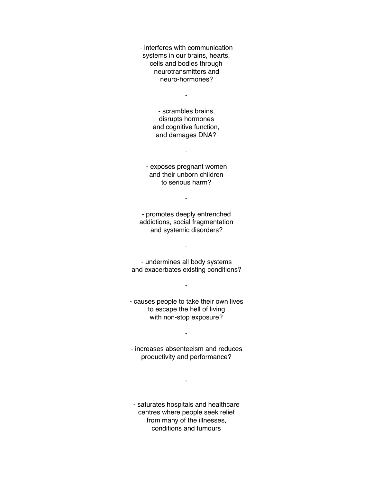- interferes with communication systems in our brains, hearts, cells and bodies through neurotransmitters and neuro-hormones?

-

- scrambles brains, disrupts hormones and cognitive function, and damages DNA?

- exposes pregnant women and their unborn children to serious harm?

-

-

- promotes deeply entrenched addictions, social fragmentation and systemic disorders?

-

- undermines all body systems and exacerbates existing conditions?

- causes people to take their own lives to escape the hell of living with non-stop exposure?

-

-

- increases absenteeism and reduces productivity and performance?

-

- saturates hospitals and healthcare centres where people seek relief from many of the illnesses, conditions and tumours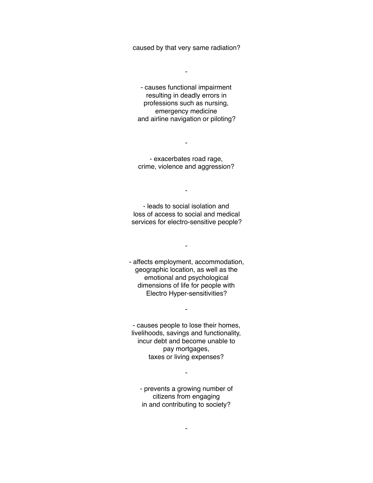caused by that very same radiation?

-

- causes functional impairment resulting in deadly errors in professions such as nursing, emergency medicine and airline navigation or piloting?

- exacerbates road rage, crime, violence and aggression?

-

-

- leads to social isolation and loss of access to social and medical services for electro-sensitive people?

-

- affects employment, accommodation, geographic location, as well as the emotional and psychological dimensions of life for people with Electro Hyper-sensitivities?

- causes people to lose their homes, livelihoods, savings and functionality, incur debt and become unable to pay mortgages, taxes or living expenses?

-

- prevents a growing number of citizens from engaging in and contributing to society?

-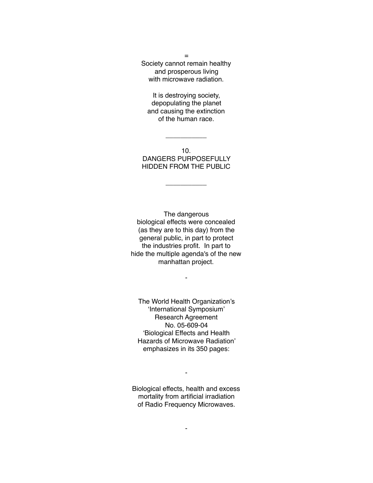Society cannot remain healthy and prosperous living with microwave radiation.

=

It is destroying society, depopulating the planet and causing the extinction of the human race.

10. DANGERS PURPOSEFULLY HIDDEN FROM THE PUBLIC

\_\_\_\_\_\_\_\_\_\_\_

\_\_\_\_\_\_\_\_\_\_\_

The dangerous biological effects were concealed (as they are to this day) from the general public, in part to protect the industries profit. In part to hide the multiple agenda's of the new manhattan project.

-

The World Health Organization's 'International Symposium' Research Agreement No. 05-609-04 'Biological Effects and Health Hazards of Microwave Radiation' emphasizes in its 350 pages:

Biological effects, health and excess mortality from artificial irradiation of Radio Frequency Microwaves.

-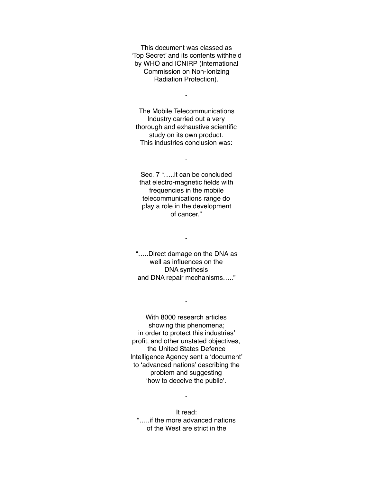This document was classed as 'Top Secret' and its contents withheld by WHO and ICNIRP (International Commission on Non-Ionizing Radiation Protection).

-

The Mobile Telecommunications Industry carried out a very thorough and exhaustive scientific study on its own product. This industries conclusion was:

-

Sec. 7 "…..it can be concluded that electro-magnetic fields with frequencies in the mobile telecommunications range do play a role in the development of cancer."

"…..Direct damage on the DNA as well as influences on the DNA synthesis and DNA repair mechanisms….."

-

-

With 8000 research articles showing this phenomena; in order to protect this industries' profit, and other unstated objectives, the United States Defence Intelligence Agency sent a 'document' to 'advanced nations' describing the problem and suggesting 'how to deceive the public'.

It read: "…..if the more advanced nations of the West are strict in the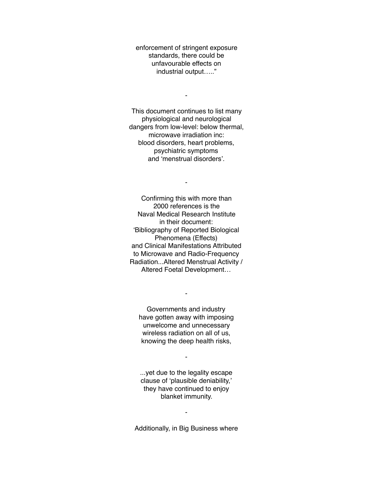enforcement of stringent exposure standards, there could be unfavourable effects on industrial output….."

-

This document continues to list many physiological and neurological dangers from low-level: below thermal, microwave irradiation inc: blood disorders, heart problems, psychiatric symptoms and 'menstrual disorders'.

-

Confirming this with more than 2000 references is the Naval Medical Research Institute in their document: 'Bibliography of Reported Biological Phenomena (Effects) and Clinical Manifestations Attributed to Microwave and Radio-Frequency Radiation...Altered Menstrual Activity / Altered Foetal Development…

Governments and industry have gotten away with imposing unwelcome and unnecessary wireless radiation on all of us, knowing the deep health risks,

-

...yet due to the legality escape clause of 'plausible deniability,' they have continued to enjoy blanket immunity.

-

Additionally, in Big Business where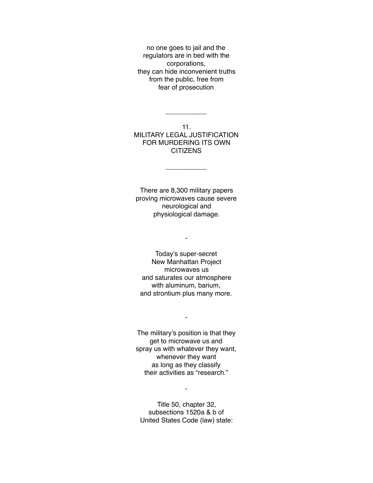no one goes to jail and the regulators are in bed with the corporations, they can hide inconvenient truths from the public, free from fear of prosecution

11. MILITARY LEGAL JUSTIFICATION FOR MURDERING ITS OWN **CITIZENS** 

\_\_\_\_\_\_\_\_\_\_\_

\_\_\_\_\_\_\_\_\_\_\_

There are 8,300 military papers proving microwaves cause severe neurological and physiological damage.

-

Today's super-secret New Manhattan Project microwaves us and saturates our atmosphere with aluminum, barium, and strontium plus many more.

The military's position is that they get to microwave us and spray us with whatever they want, whenever they want as long as they classify their activities as "research."

-

Title 50, chapter 32, subsections 1520a & b of United States Code (law) state: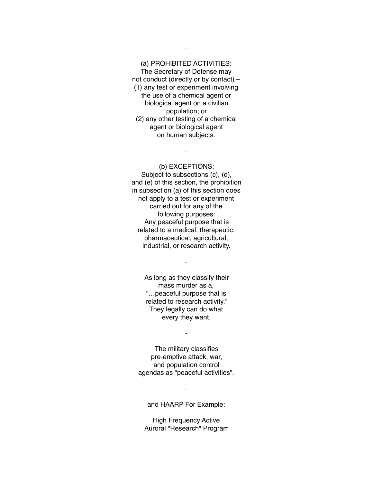# (a) PROHIBITED ACTIVITIES: The Secretary of Defense may not conduct (directly or by contact) – (1) any test or experiment involving

the use of a chemical agent or biological agent on a civilian population; or (2) any other testing of a chemical agent or biological agent on human subjects.

### (b) EXCEPTIONS:

-

Subject to subsections (c), (d), and (e) of this section, the prohibition in subsection (a) of this section does not apply to a test or experiment carried out for any of the following purposes: Any peaceful purpose that is related to a medical, therapeutic, pharmaceutical, agricultural, industrial, or research activity.

> As long as they classify their mass murder as a, "…peaceful purpose that is related to research activity," They legally can do what every they want.

-

The military classifies pre-emptive attack, war, and population control agendas as "peaceful activities".

-

#### and HAARP For Example:

-

High Frequency Active Auroral "Research" Program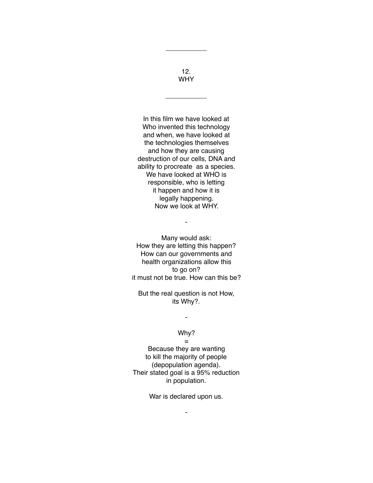12. WHY

\_\_\_\_\_\_\_\_\_\_\_

\_\_\_\_\_\_\_\_\_\_\_

In this film we have looked at Who invented this technology and when, we have looked at the technologies themselves and how they are causing destruction of our cells, DNA and ability to procreate as a species. We have looked at WHO is responsible, who is letting it happen and how it is legally happening. Now we look at WHY.

Many would ask: How they are letting this happen? How can our governments and health organizations allow this to go on? it must not be true. How can this be?

-

But the real question is not How, its Why?.

# Why?

-

=

Because they are wanting to kill the majority of people (depopulation agenda). Their stated goal is a 95% reduction in population.

War is declared upon us.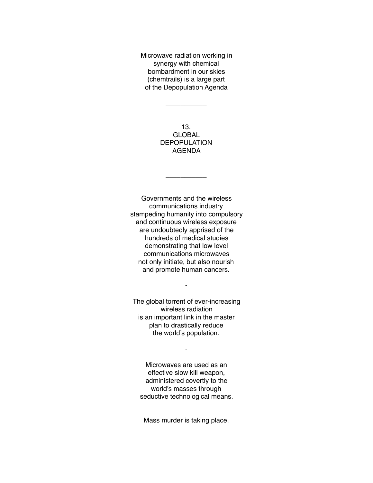Microwave radiation working in synergy with chemical bombardment in our skies (chemtrails) is a large part of the Depopulation Agenda

 $\overline{\phantom{a}}$ 

13. GLOBAL DEPOPULATION AGENDA

 $\overline{\phantom{a}}$ 

Governments and the wireless communications industry stampeding humanity into compulsory and continuous wireless exposure are undoubtedly apprised of the hundreds of medical studies demonstrating that low level communications microwaves not only initiate, but also nourish and promote human cancers.

The global torrent of ever-increasing wireless radiation is an important link in the master plan to drastically reduce the world's population.

-

Microwaves are used as an effective slow kill weapon, administered covertly to the world's masses through seductive technological means.

-

Mass murder is taking place.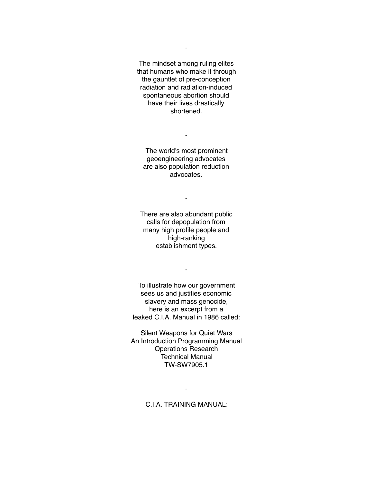The mindset among ruling elites that humans who make it through the gauntlet of pre-conception radiation and radiation-induced spontaneous abortion should have their lives drastically shortened.

-

The world's most prominent geoengineering advocates are also population reduction advocates.

-

There are also abundant public calls for depopulation from many high profile people and high-ranking establishment types.

-

-

To illustrate how our government sees us and justifies economic slavery and mass genocide, here is an excerpt from a leaked C.I.A. Manual in 1986 called:

Silent Weapons for Quiet Wars An Introduction Programming Manual Operations Research Technical Manual TW-SW7905.1

C.I.A. TRAINING MANUAL: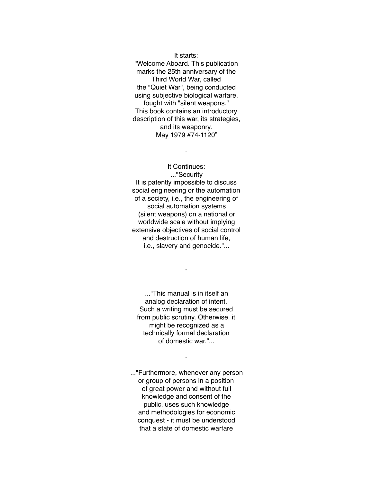It starts: "Welcome Aboard. This publication marks the 25th anniversary of the Third World War, called the "Quiet War", being conducted using subjective biological warfare, fought with "silent weapons." This book contains an introductory description of this war, its strategies, and its weaponry. May 1979 #74-1120"

### It Continues: ..."Security

-

It is patently impossible to discuss social engineering or the automation of a society, i.e., the engineering of social automation systems (silent weapons) on a national or worldwide scale without implying extensive objectives of social control and destruction of human life, i.e., slavery and genocide."...

..."This manual is in itself an analog declaration of intent. Such a writing must be secured from public scrutiny. Otherwise, it might be recognized as a technically formal declaration of domestic war."...

-

-

..."Furthermore, whenever any person or group of persons in a position of great power and without full knowledge and consent of the public, uses such knowledge and methodologies for economic conquest - it must be understood that a state of domestic warfare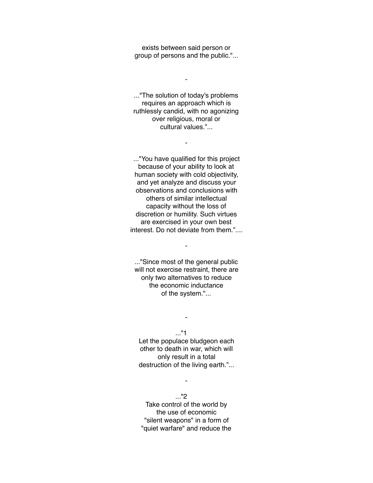exists between said person or group of persons and the public."...

-

..."The solution of today's problems requires an approach which is ruthlessly candid, with no agonizing over religious, moral or cultural values."...

-

..."You have qualified for this project because of your ability to look at human society with cold objectivity, and yet analyze and discuss your observations and conclusions with others of similar intellectual capacity without the loss of discretion or humility. Such virtues are exercised in your own best interest. Do not deviate from them."....

..."Since most of the general public will not exercise restraint, there are only two alternatives to reduce the economic inductance of the system."...

-

..."1

-

Let the populace bludgeon each other to death in war, which will only result in a total destruction of the living earth."...

-

..."2 Take control of the world by the use of economic "silent weapons" in a form of "quiet warfare" and reduce the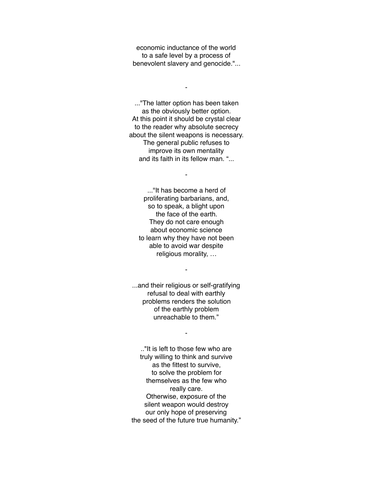economic inductance of the world to a safe level by a process of benevolent slavery and genocide."...

-

..."The latter option has been taken as the obviously better option. At this point it should be crystal clear to the reader why absolute secrecy about the silent weapons is necessary. The general public refuses to improve its own mentality and its faith in its fellow man. "...

-

..."It has become a herd of proliferating barbarians, and, so to speak, a blight upon the face of the earth. They do not care enough about economic science to learn why they have not been able to avoid war despite religious morality, …

-

...and their religious or self-gratifying refusal to deal with earthly problems renders the solution of the earthly problem unreachable to them."

#### -

.."It is left to those few who are truly willing to think and survive as the fittest to survive, to solve the problem for themselves as the few who really care. Otherwise, exposure of the silent weapon would destroy our only hope of preserving the seed of the future true humanity."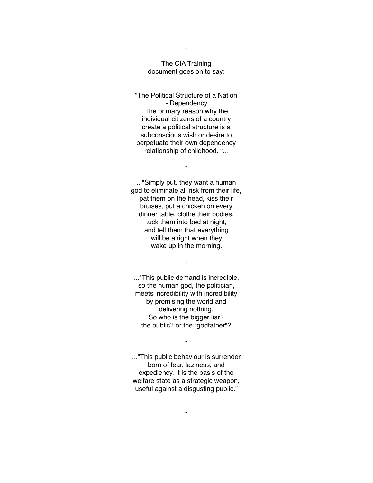### The CIA Training document goes on to say:

"The Political Structure of a Nation - Dependency The primary reason why the individual citizens of a country create a political structure is a subconscious wish or desire to perpetuate their own dependency relationship of childhood. "...

-

..."Simply put, they want a human god to eliminate all risk from their life, pat them on the head, kiss their bruises, put a chicken on every dinner table, clothe their bodies, tuck them into bed at night, and tell them that everything will be alright when they wake up in the morning.

..."This public demand is incredible, so the human god, the politician, meets incredibility with incredibility by promising the world and delivering nothing. So who is the bigger liar? the public? or the "godfather"?

-

..."This public behaviour is surrender born of fear, laziness, and expediency. It is the basis of the welfare state as a strategic weapon, useful against a disgusting public."

-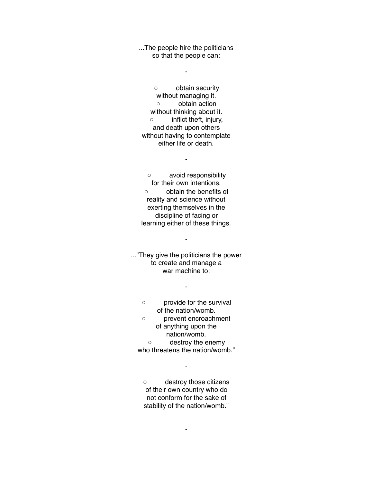...The people hire the politicians so that the people can:

-

◦ obtain security without managing it. ◦ obtain action without thinking about it. ◦ inflict theft, injury, and death upon others without having to contemplate either life or death.

-

◦ avoid responsibility for their own intentions. ◦ obtain the benefits of reality and science without exerting themselves in the discipline of facing or learning either of these things.

-

..."They give the politicians the power to create and manage a war machine to:

-

◦ provide for the survival of the nation/womb.

◦ prevent encroachment of anything upon the nation/womb.

◦ destroy the enemy who threatens the nation/womb."

-

◦ destroy those citizens of their own country who do not conform for the sake of stability of the nation/womb."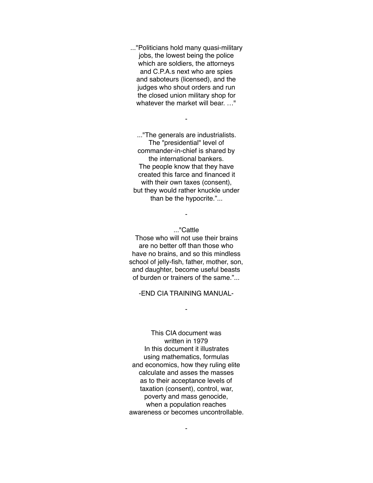..."Politicians hold many quasi-military jobs, the lowest being the police which are soldiers, the attorneys and C.P.A.s next who are spies and saboteurs (licensed), and the judges who shout orders and run the closed union military shop for whatever the market will bear. …"

-

..."The generals are industrialists. The "presidential" level of commander-in-chief is shared by the international bankers. The people know that they have created this farce and financed it with their own taxes (consent), but they would rather knuckle under than be the hypocrite."...

#### ..."Cattle

-

Those who will not use their brains are no better off than those who have no brains, and so this mindless school of jelly-fish, father, mother, son, and daughter, become useful beasts of burden or trainers of the same."...

-END CIA TRAINING MANUAL-

-

This CIA document was written in 1979 In this document it illustrates using mathematics, formulas and economics, how they ruling elite calculate and asses the masses as to their acceptance levels of taxation (consent), control, war, poverty and mass genocide, when a population reaches awareness or becomes uncontrollable.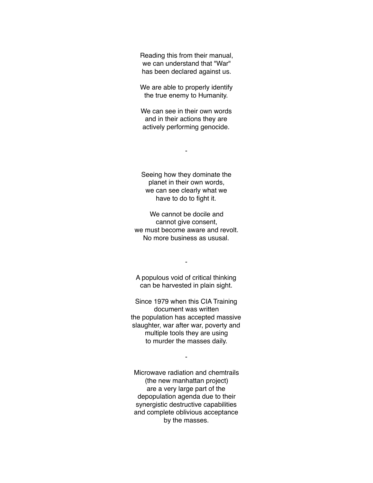Reading this from their manual, we can understand that "War" has been declared against us.

We are able to properly identify the true enemy to Humanity.

We can see in their own words and in their actions they are actively performing genocide.

-

Seeing how they dominate the planet in their own words, we can see clearly what we have to do to fight it.

We cannot be docile and cannot give consent, we must become aware and revolt. No more business as ususal.

A populous void of critical thinking can be harvested in plain sight.

-

Since 1979 when this CIA Training document was written the population has accepted massive slaughter, war after war, poverty and multiple tools they are using to murder the masses daily.

-

Microwave radiation and chemtrails (the new manhattan project) are a very large part of the depopulation agenda due to their synergistic destructive capabilities and complete oblivious acceptance by the masses.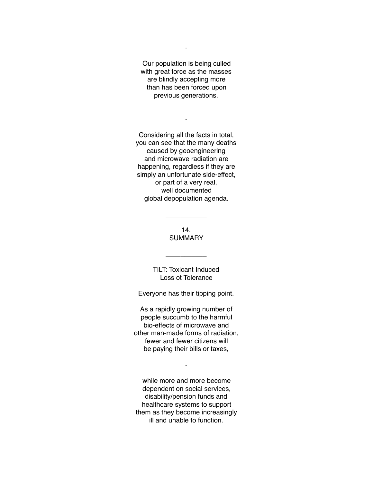Our population is being culled with great force as the masses are blindly accepting more than has been forced upon previous generations.

-

Considering all the facts in total, you can see that the many deaths caused by geoengineering and microwave radiation are happening, regardless if they are simply an unfortunate side-effect, or part of a very real, well documented global depopulation agenda.

> 14. **SUMMARY**

\_\_\_\_\_\_\_\_\_\_\_

TILT: Toxicant Induced Loss ot Tolerance

\_\_\_\_\_\_\_\_\_\_\_

Everyone has their tipping point.

As a rapidly growing number of people succumb to the harmful bio-effects of microwave and other man-made forms of radiation, fewer and fewer citizens will be paying their bills or taxes,

-

while more and more become dependent on social services, disability/pension funds and healthcare systems to support them as they become increasingly ill and unable to function.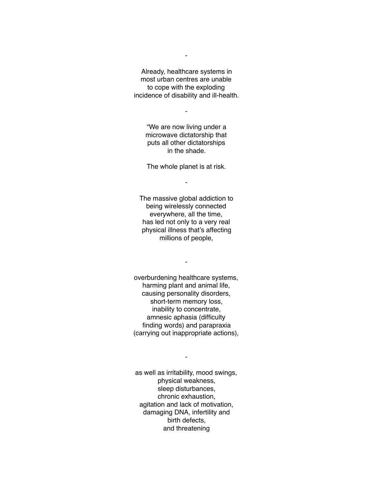Already, healthcare systems in most urban centres are unable to cope with the exploding incidence of disability and ill-health.

-

"We are now living under a microwave dictatorship that puts all other dictatorships in the shade.

The whole planet is at risk.

-

The massive global addiction to being wirelessly connected everywhere, all the time, has led not only to a very real physical illness that's affecting millions of people,

-

overburdening healthcare systems, harming plant and animal life, causing personality disorders, short-term memory loss, inability to concentrate, amnesic aphasia (difficulty finding words) and parapraxia (carrying out inappropriate actions),

as well as irritability, mood swings, physical weakness, sleep disturbances, chronic exhaustion, agitation and lack of motivation, damaging DNA, infertility and birth defects, and threatening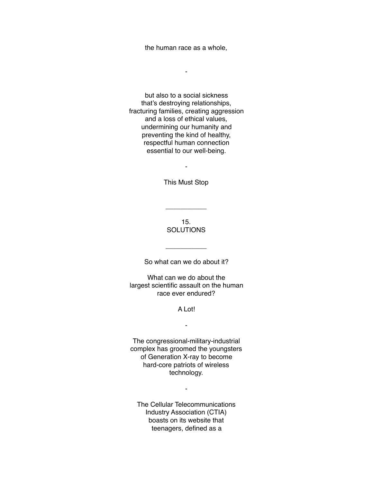the human race as a whole,

-

but also to a social sickness that's destroying relationships, fracturing families, creating aggression and a loss of ethical values, undermining our humanity and preventing the kind of healthy, respectful human connection essential to our well-being.

This Must Stop

-

15. **SOLUTIONS** 

\_\_\_\_\_\_\_\_\_\_\_

So what can we do about it?

 $\overline{\phantom{a}}$ 

What can we do about the largest scientific assault on the human race ever endured?

### A Lot!

-

The congressional-military-industrial complex has groomed the youngsters of Generation X-ray to become hard-core patriots of wireless technology.

-

The Cellular Telecommunications Industry Association (CTIA) boasts on its website that teenagers, defined as a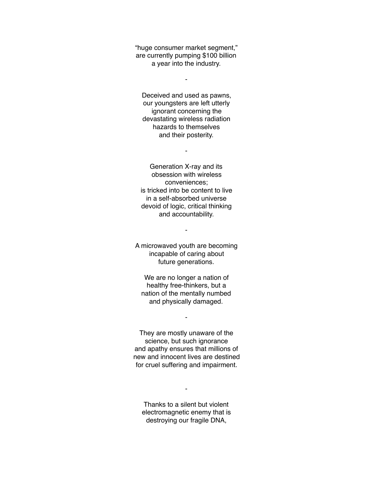"huge consumer market segment," are currently pumping \$100 billion a year into the industry.

-

Deceived and used as pawns, our youngsters are left utterly ignorant concerning the devastating wireless radiation hazards to themselves and their posterity.

-

Generation X-ray and its obsession with wireless conveniences; is tricked into be content to live in a self-absorbed universe devoid of logic, critical thinking and accountability.

A microwaved youth are becoming incapable of caring about future generations.

-

We are no longer a nation of healthy free-thinkers, but a nation of the mentally numbed and physically damaged.

-

They are mostly unaware of the science, but such ignorance and apathy ensures that millions of new and innocent lives are destined for cruel suffering and impairment.

Thanks to a silent but violent electromagnetic enemy that is destroying our fragile DNA,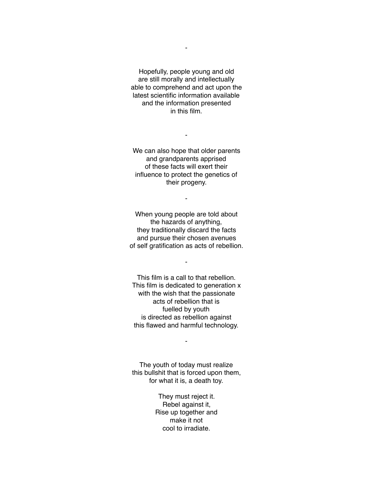Hopefully, people young and old are still morally and intellectually able to comprehend and act upon the latest scientific information available and the information presented in this film.

We can also hope that older parents and grandparents apprised of these facts will exert their influence to protect the genetics of their progeny.

-

When young people are told about the hazards of anything, they traditionally discard the facts and pursue their chosen avenues of self gratification as acts of rebellion.

-

-

This film is a call to that rebellion. This film is dedicated to generation x with the wish that the passionate acts of rebellion that is fuelled by youth is directed as rebellion against this flawed and harmful technology.

The youth of today must realize this bullshit that is forced upon them, for what it is, a death toy.

-

They must reject it. Rebel against it, Rise up together and make it not cool to irradiate.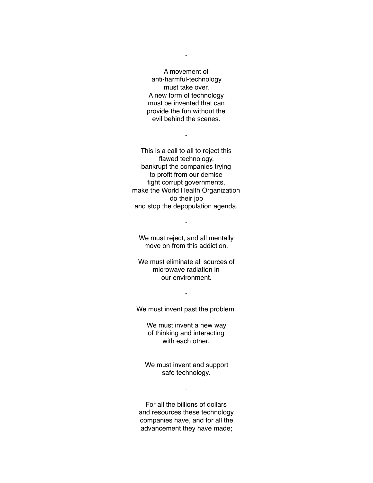A movement of anti-harmful-technology must take over. A new form of technology must be invented that can provide the fun without the evil behind the scenes.

-

-

This is a call to all to reject this flawed technology, bankrupt the companies trying to profit from our demise fight corrupt governments, make the World Health Organization do their job and stop the depopulation agenda.

We must reject, and all mentally move on from this addiction.

-

We must eliminate all sources of microwave radiation in our environment.

We must invent past the problem.

-

We must invent a new way of thinking and interacting with each other.

We must invent and support safe technology.

-

For all the billions of dollars and resources these technology companies have, and for all the advancement they have made;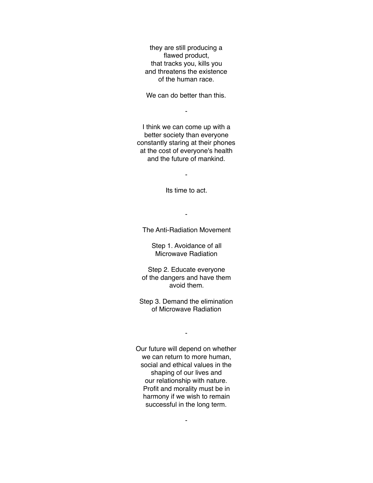they are still producing a flawed product, that tracks you, kills you and threatens the existence of the human race.

We can do better than this.

-

I think we can come up with a better society than everyone constantly staring at their phones at the cost of everyone's health and the future of mankind.

-

Its time to act.

The Anti-Radiation Movement

-

Step 1. Avoidance of all Microwave Radiation

Step 2. Educate everyone of the dangers and have them avoid them.

Step 3. Demand the elimination of Microwave Radiation

-

Our future will depend on whether we can return to more human, social and ethical values in the shaping of our lives and our relationship with nature. Profit and morality must be in harmony if we wish to remain successful in the long term.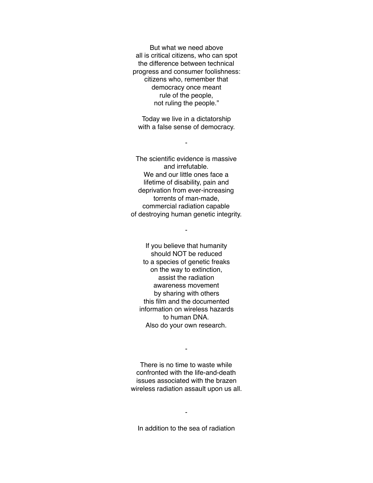But what we need above all is critical citizens, who can spot the difference between technical progress and consumer foolishness: citizens who, remember that democracy once meant rule of the people, not ruling the people."

Today we live in a dictatorship with a false sense of democracy.

-

The scientific evidence is massive and irrefutable. We and our little ones face a lifetime of disability, pain and deprivation from ever-increasing torrents of man-made, commercial radiation capable of destroying human genetic integrity.

-

If you believe that humanity should NOT be reduced to a species of genetic freaks on the way to extinction, assist the radiation awareness movement by sharing with others this film and the documented information on wireless hazards to human DNA. Also do your own research.

There is no time to waste while confronted with the life-and-death issues associated with the brazen wireless radiation assault upon us all.

-

In addition to the sea of radiation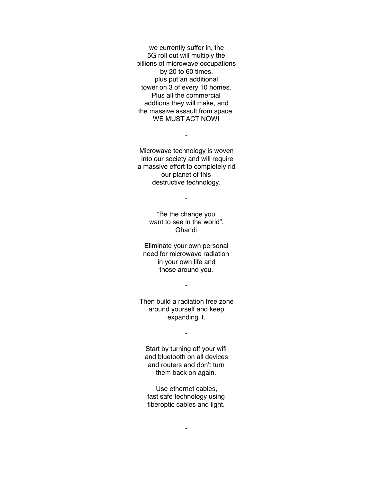we currently suffer in, the 5G roll out will multiply the billions of microwave occupations by 20 to 60 times. plus put an additional tower on 3 of every 10 homes. Plus all the commercial addtions they will make, and the massive assault from space. WE MUST ACT NOW!

Microwave technology is woven into our society and will require a massive effort to completely rid our planet of this destructive technology.

-

-

"Be the change you want to see in the world". Ghandi

Eliminate your own personal need for microwave radiation in your own life and those around you.

-

Then build a radiation free zone around yourself and keep expanding it.

-

Start by turning off your wifi and bluetooth on all devices and routers and don't turn them back on again.

Use ethernet cables, fast safe technology using fiberoptic cables and light.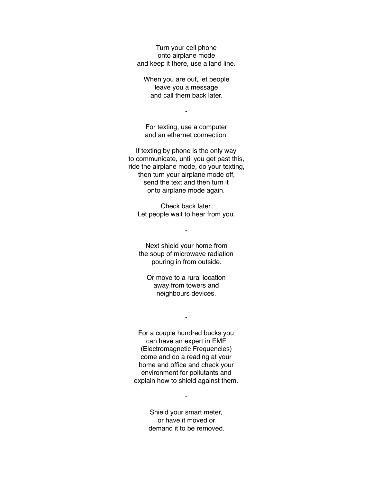Turn your cell phone onto airplane mode and keep it there, use a land line.

When you are out, let people leave you a message and call them back later.

-

For texting, use a computer and an ethernet connection.

If texting by phone is the only way to communicate, until you get past this, ride the airplane mode, do your texting, then turn your airplane mode off, send the text and then turn it onto airplane mode again.

Check back later. Let people wait to hear from you.

-

Next shield your home from the soup of microwave radiation pouring in from outside.

Or move to a rural location away from towers and neighbours devices.

-

For a couple hundred bucks you can have an expert in EMF (Electromagnetic Frequencies) come and do a reading at your home and office and check your environment for pollutants and explain how to shield against them.

> Shield your smart meter, or have it moved or demand it to be removed.

 $\blacksquare$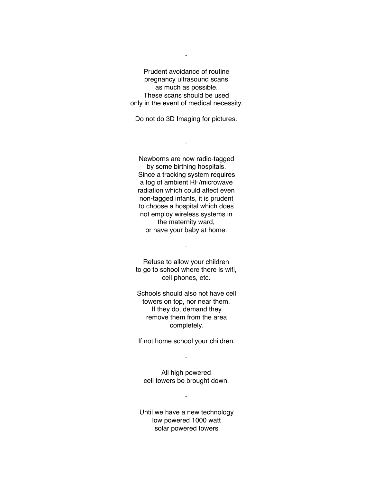Prudent avoidance of routine pregnancy ultrasound scans as much as possible. These scans should be used only in the event of medical necessity.

-

Do not do 3D Imaging for pictures.

-

Newborns are now radio-tagged by some birthing hospitals. Since a tracking system requires a fog of ambient RF/microwave radiation which could affect even non-tagged infants, it is prudent to choose a hospital which does not employ wireless systems in the maternity ward, or have your baby at home.

Refuse to allow your children to go to school where there is wifi, cell phones, etc.

-

Schools should also not have cell towers on top, nor near them. If they do, demand they remove them from the area completely.

If not home school your children.

-

All high powered cell towers be brought down.

-

Until we have a new technology low powered 1000 watt solar powered towers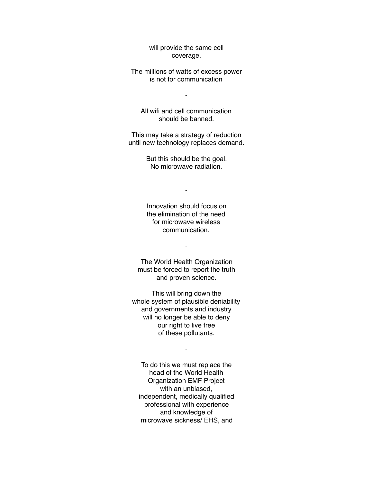will provide the same cell coverage.

The millions of watts of excess power is not for communication

-

All wifi and cell communication should be banned.

This may take a strategy of reduction until new technology replaces demand.

> But this should be the goal. No microwave radiation.

> > -

Innovation should focus on the elimination of the need for microwave wireless communication.

-

The World Health Organization must be forced to report the truth and proven science.

This will bring down the whole system of plausible deniability and governments and industry will no longer be able to deny our right to live free of these pollutants.

-

To do this we must replace the head of the World Health Organization EMF Project with an unbiased, independent, medically qualified professional with experience and knowledge of microwave sickness/ EHS, and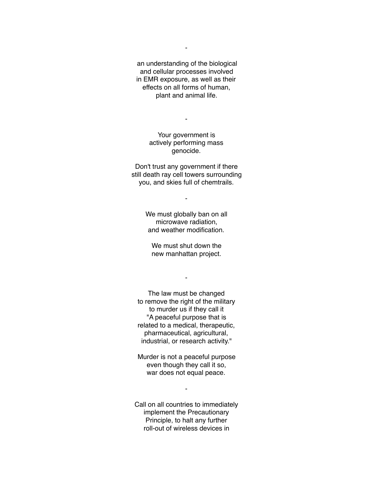an understanding of the biological and cellular processes involved in EMR exposure, as well as their effects on all forms of human, plant and animal life.

-

Your government is actively performing mass genocide.

Don't trust any government if there still death ray cell towers surrounding you, and skies full of chemtrails.

> We must globally ban on all microwave radiation, and weather modification.

-

We must shut down the new manhattan project.

-

The law must be changed to remove the right of the military to murder us if they call it "A peaceful purpose that is related to a medical, therapeutic, pharmaceutical, agricultural, industrial, or research activity."

Murder is not a peaceful purpose even though they call it so, war does not equal peace.

-

Call on all countries to immediately implement the Precautionary Principle, to halt any further roll-out of wireless devices in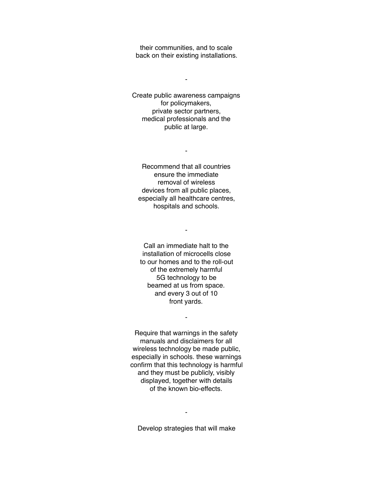their communities, and to scale back on their existing installations.

-

Create public awareness campaigns for policymakers, private sector partners, medical professionals and the public at large.

Recommend that all countries ensure the immediate removal of wireless devices from all public places, especially all healthcare centres, hospitals and schools.

-

-

Call an immediate halt to the installation of microcells close to our homes and to the roll-out of the extremely harmful 5G technology to be beamed at us from space. and every 3 out of 10 front yards.

Require that warnings in the safety manuals and disclaimers for all wireless technology be made public, especially in schools. these warnings confirm that this technology is harmful and they must be publicly, visibly displayed, together with details of the known bio-effects.

-

Develop strategies that will make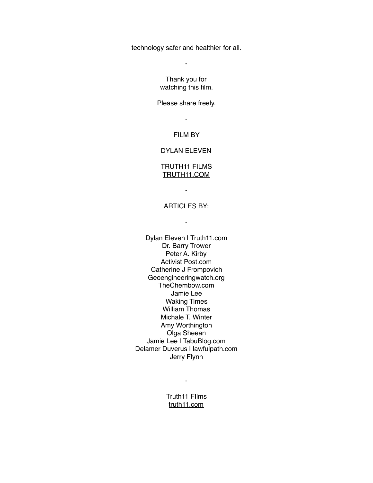technology safer and healthier for all.

-

Thank you for watching this film.

Please share freely.

- FILM BY

# DYLAN ELEVEN

## TRUTH11 FILMS [TRUTH11.COM](http://TRUTH11.COM)

-

## ARTICLES BY:

-

Dylan Eleven | Truth11.com Dr. Barry Trower Peter A. Kirby Activist Post.com Catherine J Frompovich Geoengineeringwatch.org TheChembow.com Jamie Lee Waking Times William Thomas Michale T. Winter Amy Worthington Olga Sheean Jamie Lee | TabuBlog.com Delamer Duverus | lawfulpath.com Jerry Flynn

> Truth11 FIlms [truth11.com](http://truth11.com)